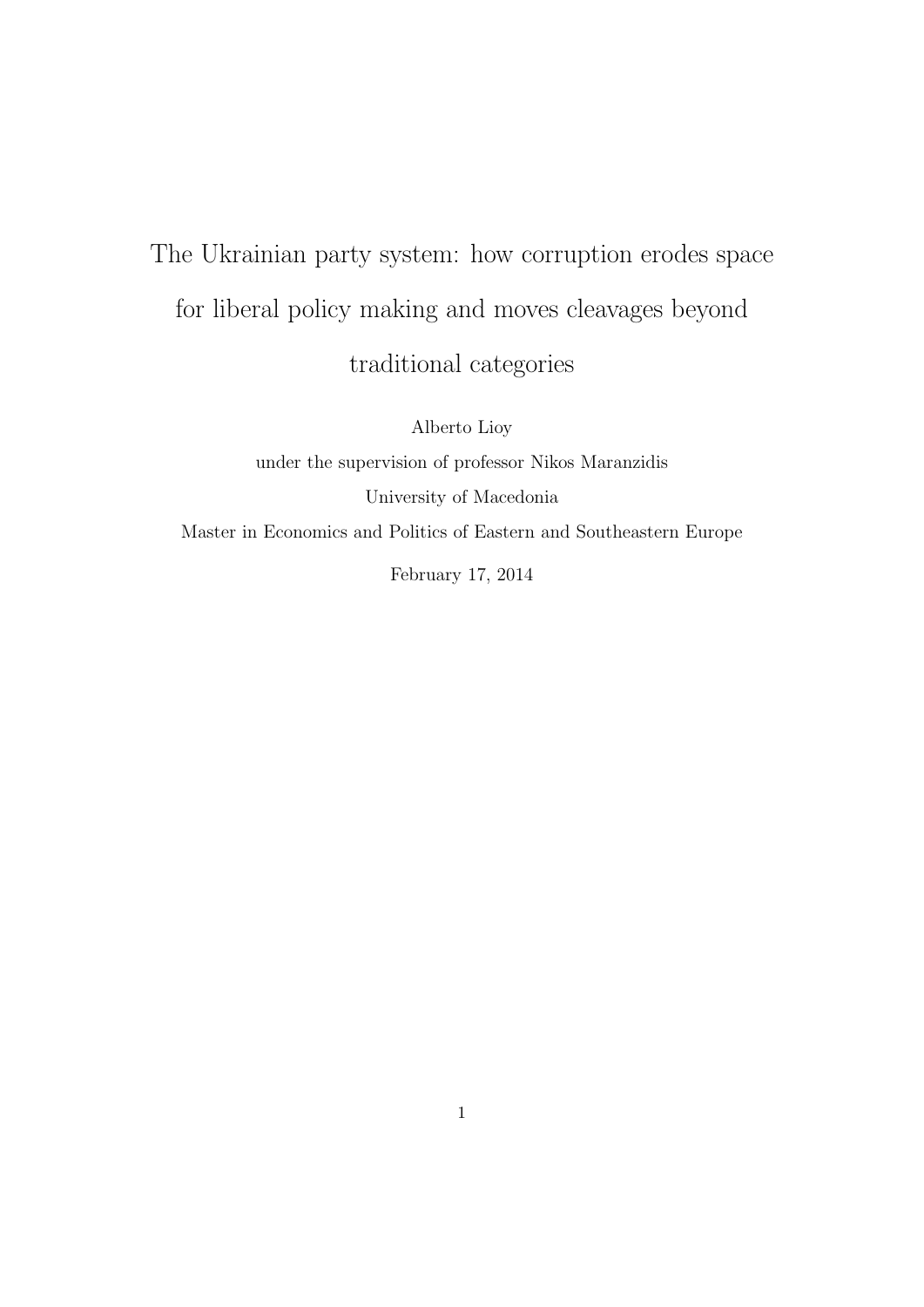# The Ukrainian party system: how corruption erodes space for liberal policy making and moves cleavages beyond traditional categories

Alberto Lioy under the supervision of professor Nikos Maranzidis University of Macedonia Master in Economics and Politics of Eastern and Southeastern Europe February 17, 2014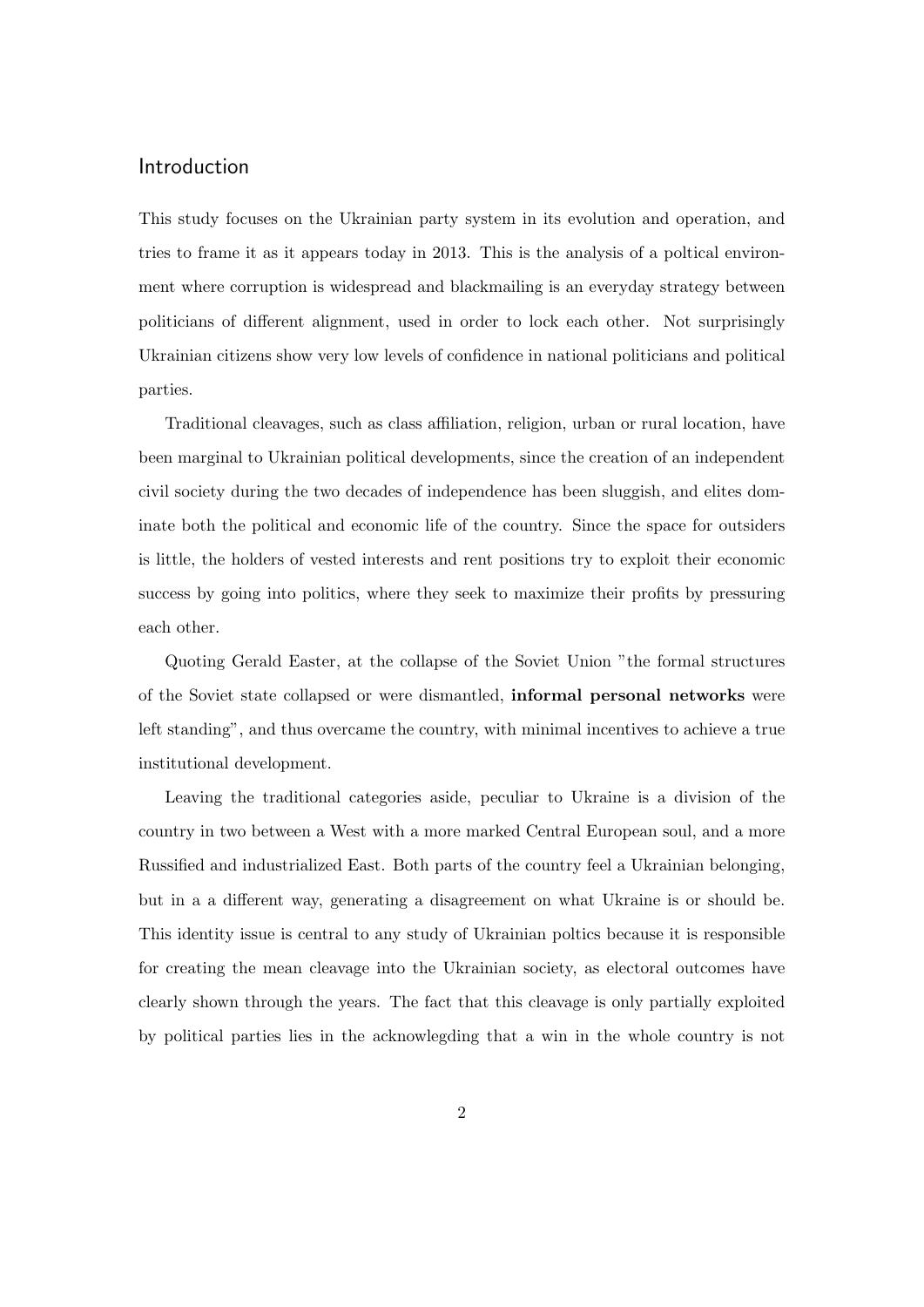## Introduction

This study focuses on the Ukrainian party system in its evolution and operation, and tries to frame it as it appears today in 2013. This is the analysis of a poltical environment where corruption is widespread and blackmailing is an everyday strategy between politicians of different alignment, used in order to lock each other. Not surprisingly Ukrainian citizens show very low levels of confidence in national politicians and political parties.

Traditional cleavages, such as class affiliation, religion, urban or rural location, have been marginal to Ukrainian political developments, since the creation of an independent civil society during the two decades of independence has been sluggish, and elites dominate both the political and economic life of the country. Since the space for outsiders is little, the holders of vested interests and rent positions try to exploit their economic success by going into politics, where they seek to maximize their profits by pressuring each other.

Quoting Gerald Easter, at the collapse of the Soviet Union "the formal structures of the Soviet state collapsed or were dismantled, informal personal networks were left standing", and thus overcame the country, with minimal incentives to achieve a true institutional development.

Leaving the traditional categories aside, peculiar to Ukraine is a division of the country in two between a West with a more marked Central European soul, and a more Russified and industrialized East. Both parts of the country feel a Ukrainian belonging, but in a a different way, generating a disagreement on what Ukraine is or should be. This identity issue is central to any study of Ukrainian poltics because it is responsible for creating the mean cleavage into the Ukrainian society, as electoral outcomes have clearly shown through the years. The fact that this cleavage is only partially exploited by political parties lies in the acknowlegding that a win in the whole country is not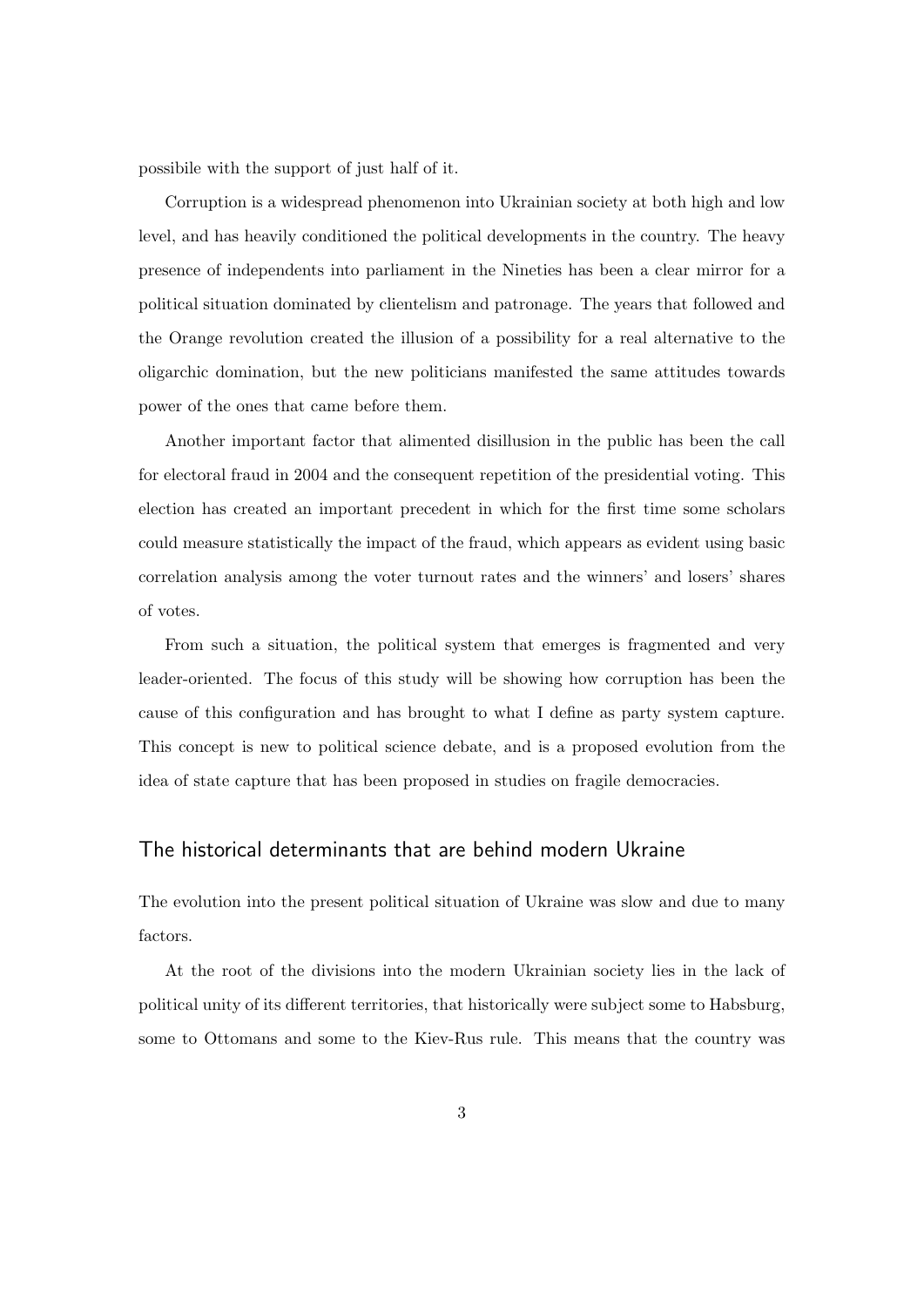possibile with the support of just half of it.

Corruption is a widespread phenomenon into Ukrainian society at both high and low level, and has heavily conditioned the political developments in the country. The heavy presence of independents into parliament in the Nineties has been a clear mirror for a political situation dominated by clientelism and patronage. The years that followed and the Orange revolution created the illusion of a possibility for a real alternative to the oligarchic domination, but the new politicians manifested the same attitudes towards power of the ones that came before them.

Another important factor that alimented disillusion in the public has been the call for electoral fraud in 2004 and the consequent repetition of the presidential voting. This election has created an important precedent in which for the first time some scholars could measure statistically the impact of the fraud, which appears as evident using basic correlation analysis among the voter turnout rates and the winners' and losers' shares of votes.

From such a situation, the political system that emerges is fragmented and very leader-oriented. The focus of this study will be showing how corruption has been the cause of this configuration and has brought to what I define as party system capture. This concept is new to political science debate, and is a proposed evolution from the idea of state capture that has been proposed in studies on fragile democracies.

## The historical determinants that are behind modern Ukraine

The evolution into the present political situation of Ukraine was slow and due to many factors.

At the root of the divisions into the modern Ukrainian society lies in the lack of political unity of its different territories, that historically were subject some to Habsburg, some to Ottomans and some to the Kiev-Rus rule. This means that the country was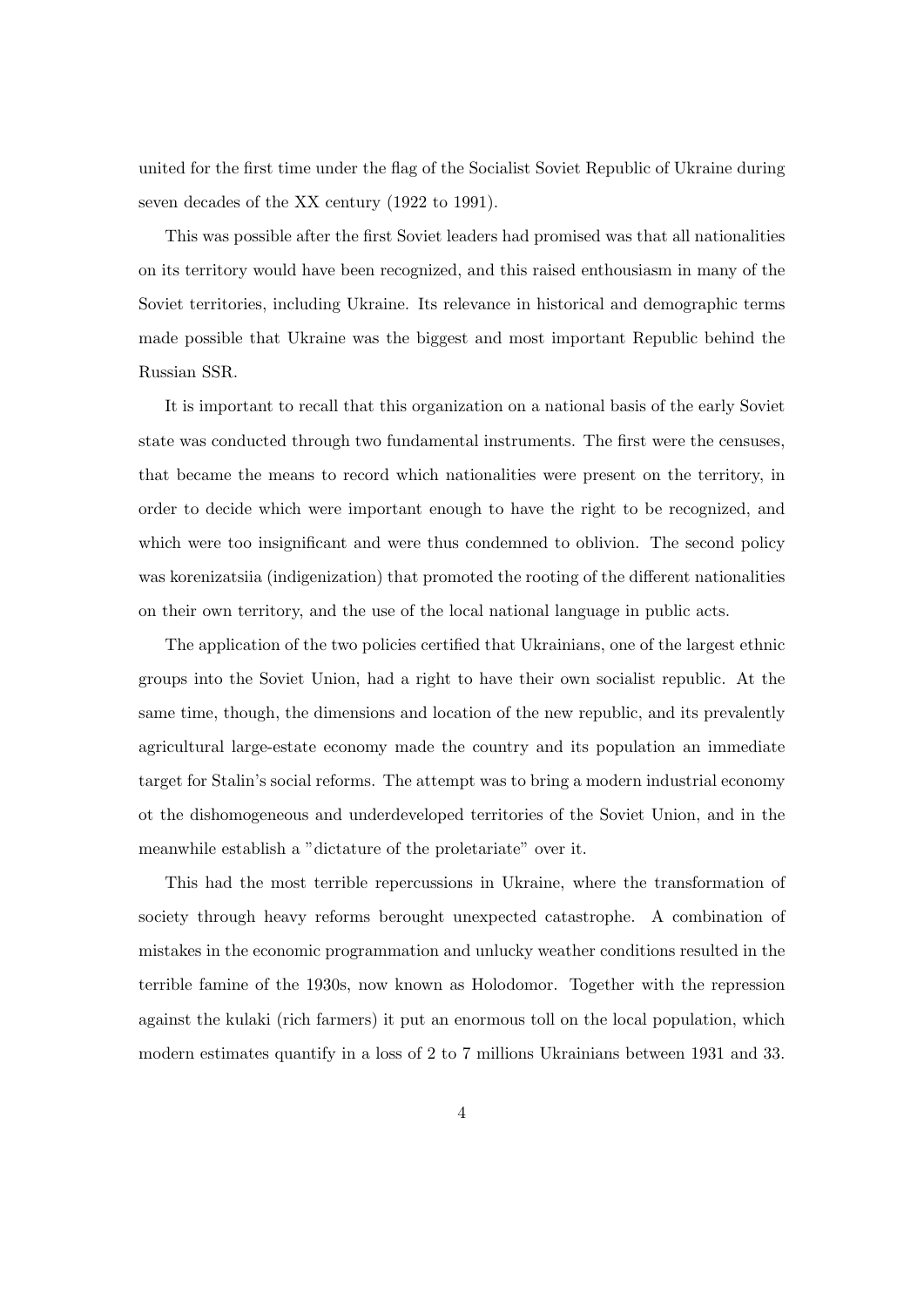united for the first time under the flag of the Socialist Soviet Republic of Ukraine during seven decades of the XX century (1922 to 1991).

This was possible after the first Soviet leaders had promised was that all nationalities on its territory would have been recognized, and this raised enthousiasm in many of the Soviet territories, including Ukraine. Its relevance in historical and demographic terms made possible that Ukraine was the biggest and most important Republic behind the Russian SSR.

It is important to recall that this organization on a national basis of the early Soviet state was conducted through two fundamental instruments. The first were the censuses, that became the means to record which nationalities were present on the territory, in order to decide which were important enough to have the right to be recognized, and which were too insignificant and were thus condemned to oblivion. The second policy was korenizatsiia (indigenization) that promoted the rooting of the different nationalities on their own territory, and the use of the local national language in public acts.

The application of the two policies certified that Ukrainians, one of the largest ethnic groups into the Soviet Union, had a right to have their own socialist republic. At the same time, though, the dimensions and location of the new republic, and its prevalently agricultural large-estate economy made the country and its population an immediate target for Stalin's social reforms. The attempt was to bring a modern industrial economy ot the dishomogeneous and underdeveloped territories of the Soviet Union, and in the meanwhile establish a "dictature of the proletariate" over it.

This had the most terrible repercussions in Ukraine, where the transformation of society through heavy reforms berought unexpected catastrophe. A combination of mistakes in the economic programmation and unlucky weather conditions resulted in the terrible famine of the 1930s, now known as Holodomor. Together with the repression against the kulaki (rich farmers) it put an enormous toll on the local population, which modern estimates quantify in a loss of 2 to 7 millions Ukrainians between 1931 and 33.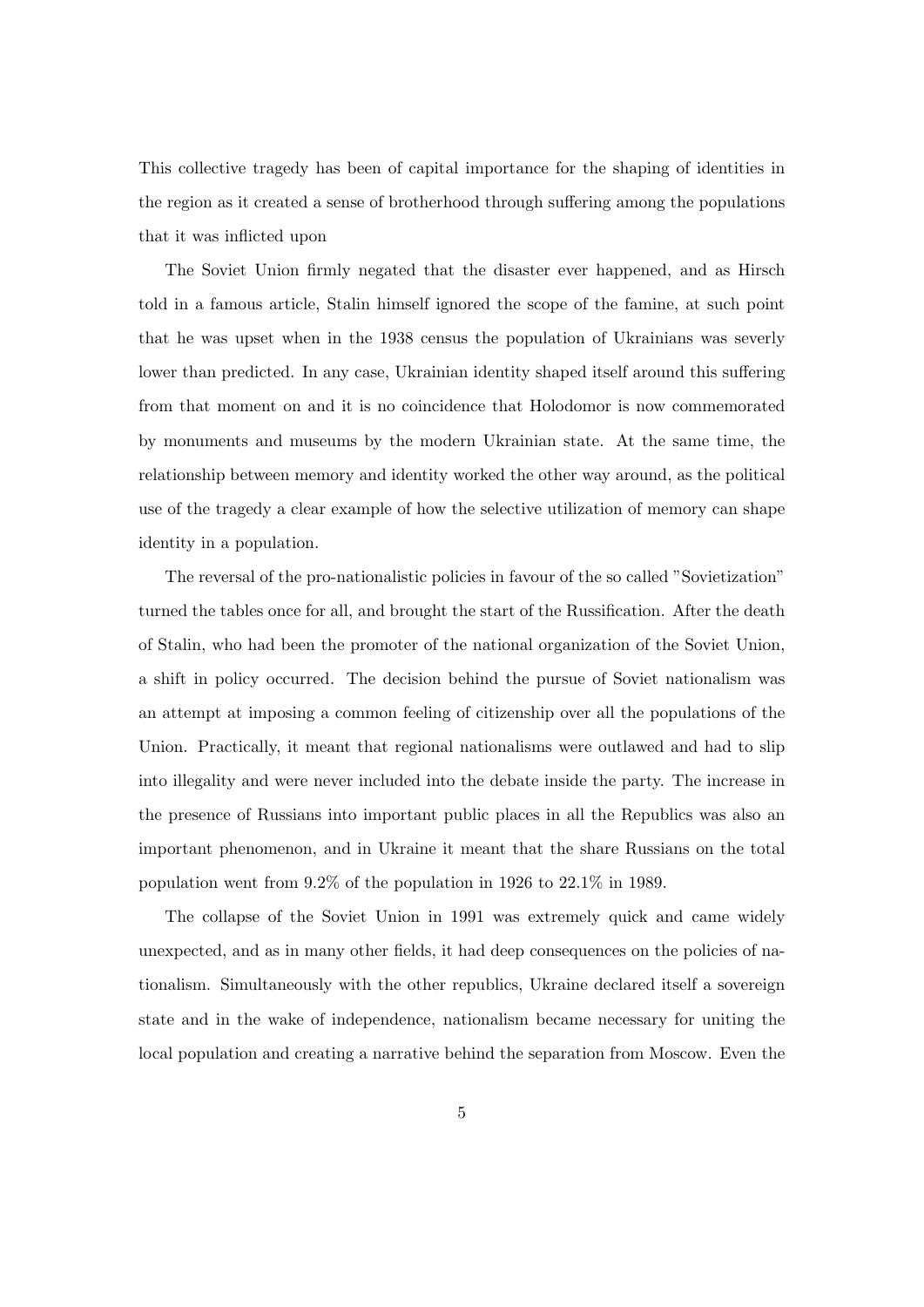This collective tragedy has been of capital importance for the shaping of identities in the region as it created a sense of brotherhood through suffering among the populations that it was inflicted upon

The Soviet Union firmly negated that the disaster ever happened, and as Hirsch told in a famous article, Stalin himself ignored the scope of the famine, at such point that he was upset when in the 1938 census the population of Ukrainians was severly lower than predicted. In any case, Ukrainian identity shaped itself around this suffering from that moment on and it is no coincidence that Holodomor is now commemorated by monuments and museums by the modern Ukrainian state. At the same time, the relationship between memory and identity worked the other way around, as the political use of the tragedy a clear example of how the selective utilization of memory can shape identity in a population.

The reversal of the pro-nationalistic policies in favour of the so called "Sovietization" turned the tables once for all, and brought the start of the Russification. After the death of Stalin, who had been the promoter of the national organization of the Soviet Union, a shift in policy occurred. The decision behind the pursue of Soviet nationalism was an attempt at imposing a common feeling of citizenship over all the populations of the Union. Practically, it meant that regional nationalisms were outlawed and had to slip into illegality and were never included into the debate inside the party. The increase in the presence of Russians into important public places in all the Republics was also an important phenomenon, and in Ukraine it meant that the share Russians on the total population went from 9.2% of the population in 1926 to 22.1% in 1989.

The collapse of the Soviet Union in 1991 was extremely quick and came widely unexpected, and as in many other fields, it had deep consequences on the policies of nationalism. Simultaneously with the other republics, Ukraine declared itself a sovereign state and in the wake of independence, nationalism became necessary for uniting the local population and creating a narrative behind the separation from Moscow. Even the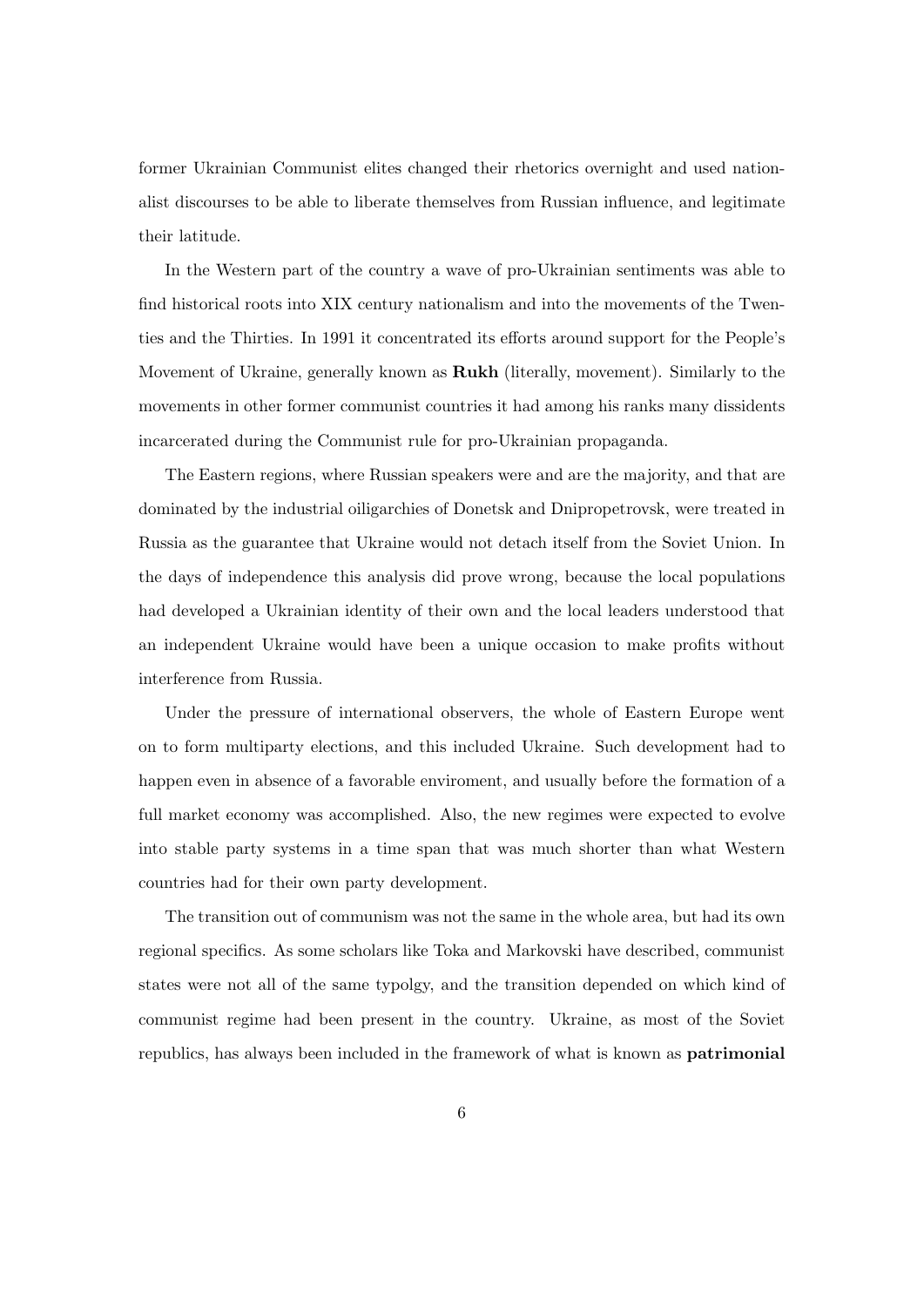former Ukrainian Communist elites changed their rhetorics overnight and used nationalist discourses to be able to liberate themselves from Russian influence, and legitimate their latitude.

In the Western part of the country a wave of pro-Ukrainian sentiments was able to find historical roots into XIX century nationalism and into the movements of the Twenties and the Thirties. In 1991 it concentrated its efforts around support for the People's Movement of Ukraine, generally known as **Rukh** (literally, movement). Similarly to the movements in other former communist countries it had among his ranks many dissidents incarcerated during the Communist rule for pro-Ukrainian propaganda.

The Eastern regions, where Russian speakers were and are the majority, and that are dominated by the industrial oiligarchies of Donetsk and Dnipropetrovsk, were treated in Russia as the guarantee that Ukraine would not detach itself from the Soviet Union. In the days of independence this analysis did prove wrong, because the local populations had developed a Ukrainian identity of their own and the local leaders understood that an independent Ukraine would have been a unique occasion to make profits without interference from Russia.

Under the pressure of international observers, the whole of Eastern Europe went on to form multiparty elections, and this included Ukraine. Such development had to happen even in absence of a favorable enviroment, and usually before the formation of a full market economy was accomplished. Also, the new regimes were expected to evolve into stable party systems in a time span that was much shorter than what Western countries had for their own party development.

The transition out of communism was not the same in the whole area, but had its own regional specifics. As some scholars like Toka and Markovski have described, communist states were not all of the same typolgy, and the transition depended on which kind of communist regime had been present in the country. Ukraine, as most of the Soviet republics, has always been included in the framework of what is known as patrimonial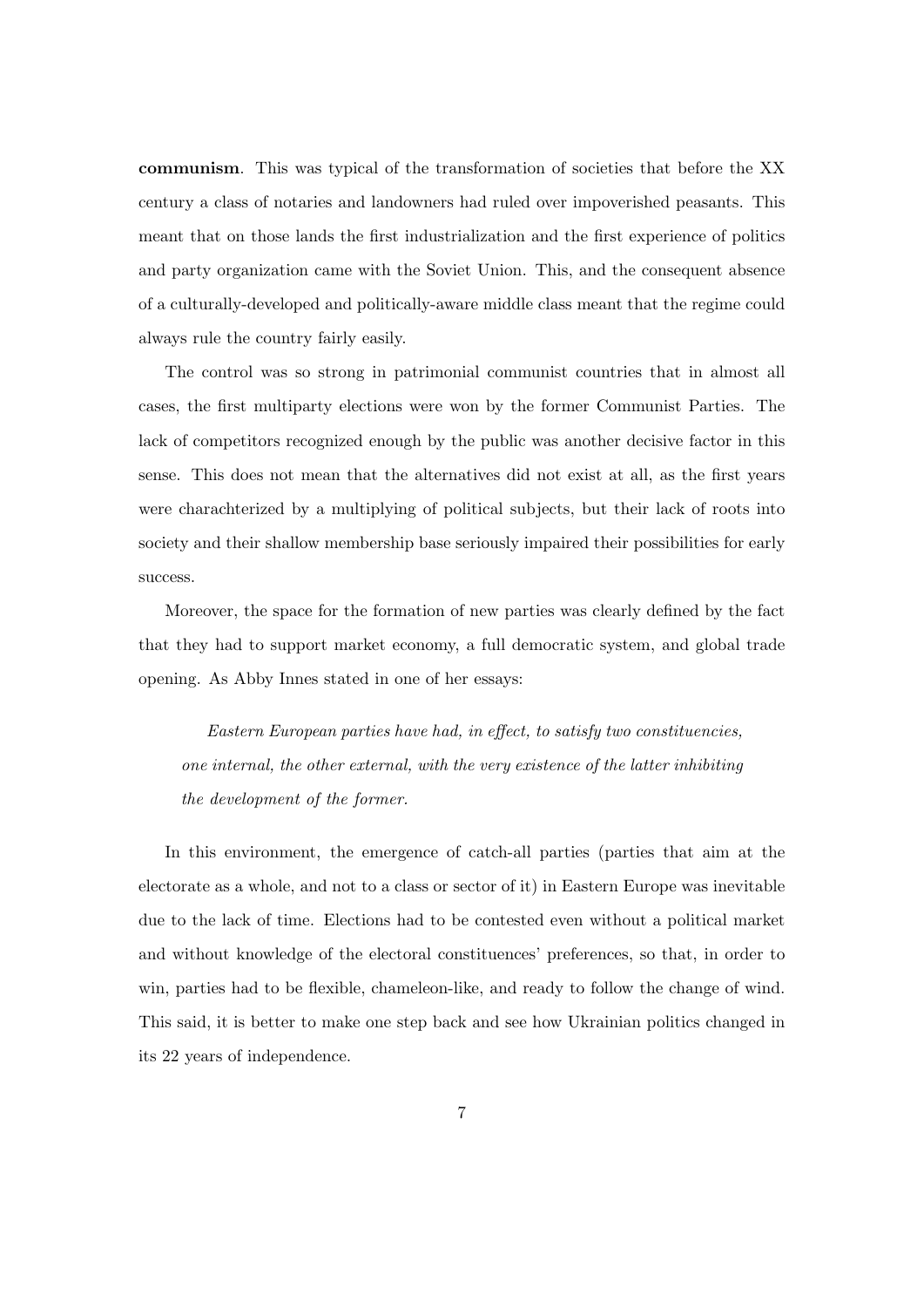communism. This was typical of the transformation of societies that before the XX century a class of notaries and landowners had ruled over impoverished peasants. This meant that on those lands the first industrialization and the first experience of politics and party organization came with the Soviet Union. This, and the consequent absence of a culturally-developed and politically-aware middle class meant that the regime could always rule the country fairly easily.

The control was so strong in patrimonial communist countries that in almost all cases, the first multiparty elections were won by the former Communist Parties. The lack of competitors recognized enough by the public was another decisive factor in this sense. This does not mean that the alternatives did not exist at all, as the first years were charachterized by a multiplying of political subjects, but their lack of roots into society and their shallow membership base seriously impaired their possibilities for early success.

Moreover, the space for the formation of new parties was clearly defined by the fact that they had to support market economy, a full democratic system, and global trade opening. As Abby Innes stated in one of her essays:

Eastern European parties have had, in effect, to satisfy two constituencies, one internal, the other external, with the very existence of the latter inhibiting the development of the former.

In this environment, the emergence of catch-all parties (parties that aim at the electorate as a whole, and not to a class or sector of it) in Eastern Europe was inevitable due to the lack of time. Elections had to be contested even without a political market and without knowledge of the electoral constituences' preferences, so that, in order to win, parties had to be flexible, chameleon-like, and ready to follow the change of wind. This said, it is better to make one step back and see how Ukrainian politics changed in its 22 years of independence.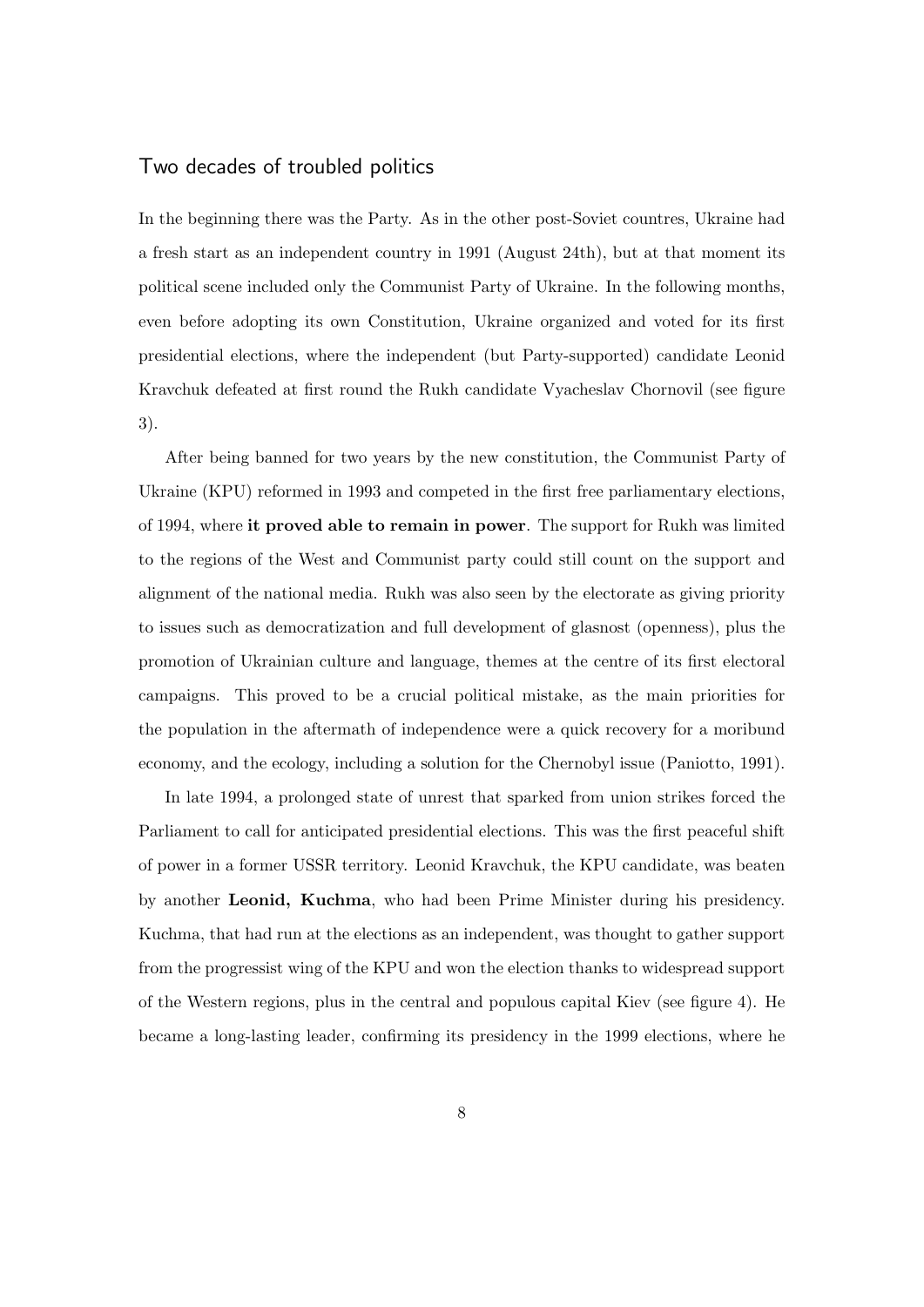## Two decades of troubled politics

In the beginning there was the Party. As in the other post-Soviet countres, Ukraine had a fresh start as an independent country in 1991 (August 24th), but at that moment its political scene included only the Communist Party of Ukraine. In the following months, even before adopting its own Constitution, Ukraine organized and voted for its first presidential elections, where the independent (but Party-supported) candidate Leonid Kravchuk defeated at first round the Rukh candidate Vyacheslav Chornovil (see figure 3).

After being banned for two years by the new constitution, the Communist Party of Ukraine (KPU) reformed in 1993 and competed in the first free parliamentary elections, of 1994, where it proved able to remain in power. The support for Rukh was limited to the regions of the West and Communist party could still count on the support and alignment of the national media. Rukh was also seen by the electorate as giving priority to issues such as democratization and full development of glasnost (openness), plus the promotion of Ukrainian culture and language, themes at the centre of its first electoral campaigns. This proved to be a crucial political mistake, as the main priorities for the population in the aftermath of independence were a quick recovery for a moribund economy, and the ecology, including a solution for the Chernobyl issue (Paniotto, 1991).

In late 1994, a prolonged state of unrest that sparked from union strikes forced the Parliament to call for anticipated presidential elections. This was the first peaceful shift of power in a former USSR territory. Leonid Kravchuk, the KPU candidate, was beaten by another Leonid, Kuchma, who had been Prime Minister during his presidency. Kuchma, that had run at the elections as an independent, was thought to gather support from the progressist wing of the KPU and won the election thanks to widespread support of the Western regions, plus in the central and populous capital Kiev (see figure 4). He became a long-lasting leader, confirming its presidency in the 1999 elections, where he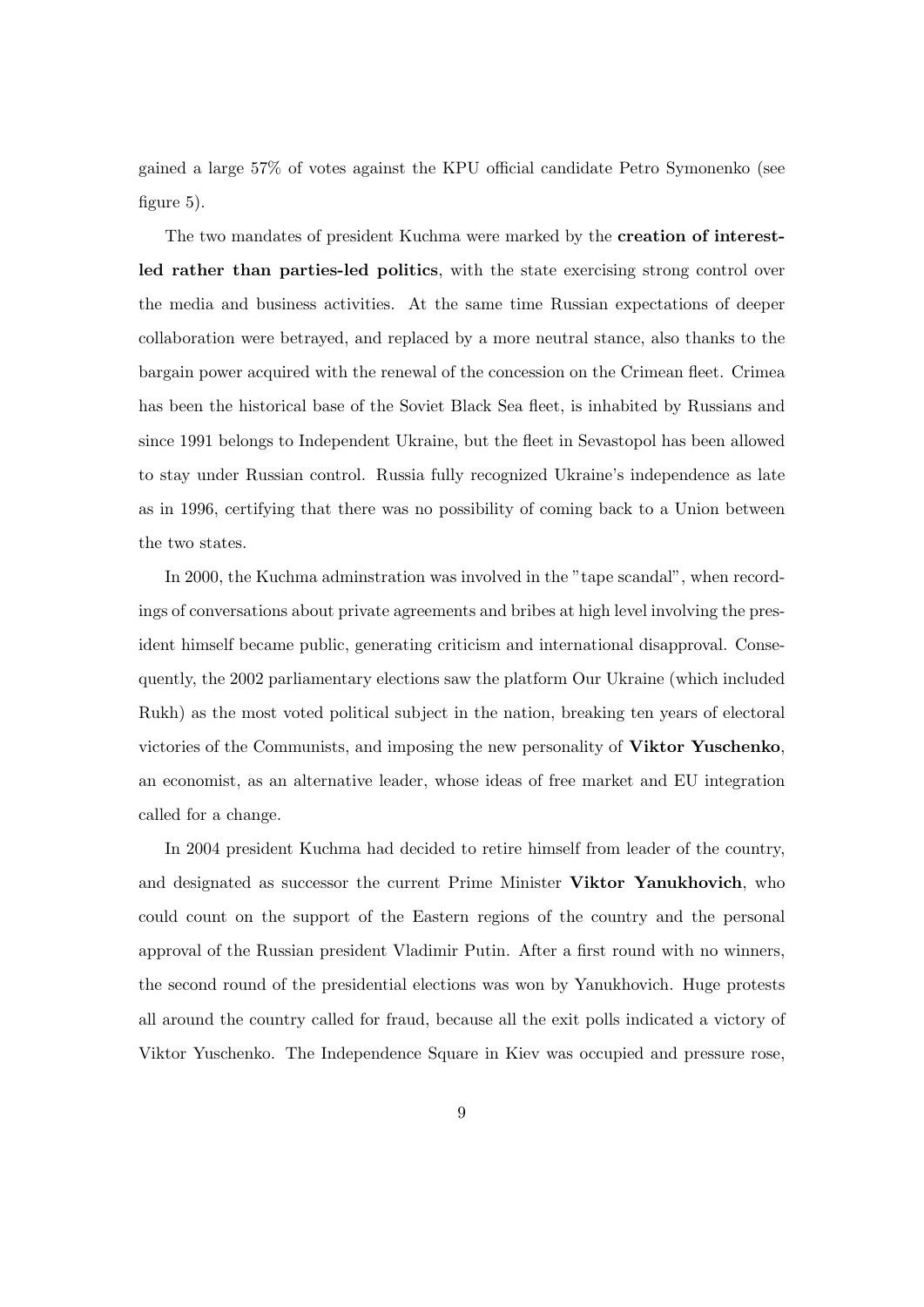gained a large 57% of votes against the KPU official candidate Petro Symonenko (see figure 5).

The two mandates of president Kuchma were marked by the creation of interestled rather than parties-led politics, with the state exercising strong control over the media and business activities. At the same time Russian expectations of deeper collaboration were betrayed, and replaced by a more neutral stance, also thanks to the bargain power acquired with the renewal of the concession on the Crimean fleet. Crimea has been the historical base of the Soviet Black Sea fleet, is inhabited by Russians and since 1991 belongs to Independent Ukraine, but the fleet in Sevastopol has been allowed to stay under Russian control. Russia fully recognized Ukraine's independence as late as in 1996, certifying that there was no possibility of coming back to a Union between the two states.

In 2000, the Kuchma adminstration was involved in the "tape scandal", when recordings of conversations about private agreements and bribes at high level involving the president himself became public, generating criticism and international disapproval. Consequently, the 2002 parliamentary elections saw the platform Our Ukraine (which included Rukh) as the most voted political subject in the nation, breaking ten years of electoral victories of the Communists, and imposing the new personality of Viktor Yuschenko, an economist, as an alternative leader, whose ideas of free market and EU integration called for a change.

In 2004 president Kuchma had decided to retire himself from leader of the country, and designated as successor the current Prime Minister Viktor Yanukhovich, who could count on the support of the Eastern regions of the country and the personal approval of the Russian president Vladimir Putin. After a first round with no winners, the second round of the presidential elections was won by Yanukhovich. Huge protests all around the country called for fraud, because all the exit polls indicated a victory of Viktor Yuschenko. The Independence Square in Kiev was occupied and pressure rose,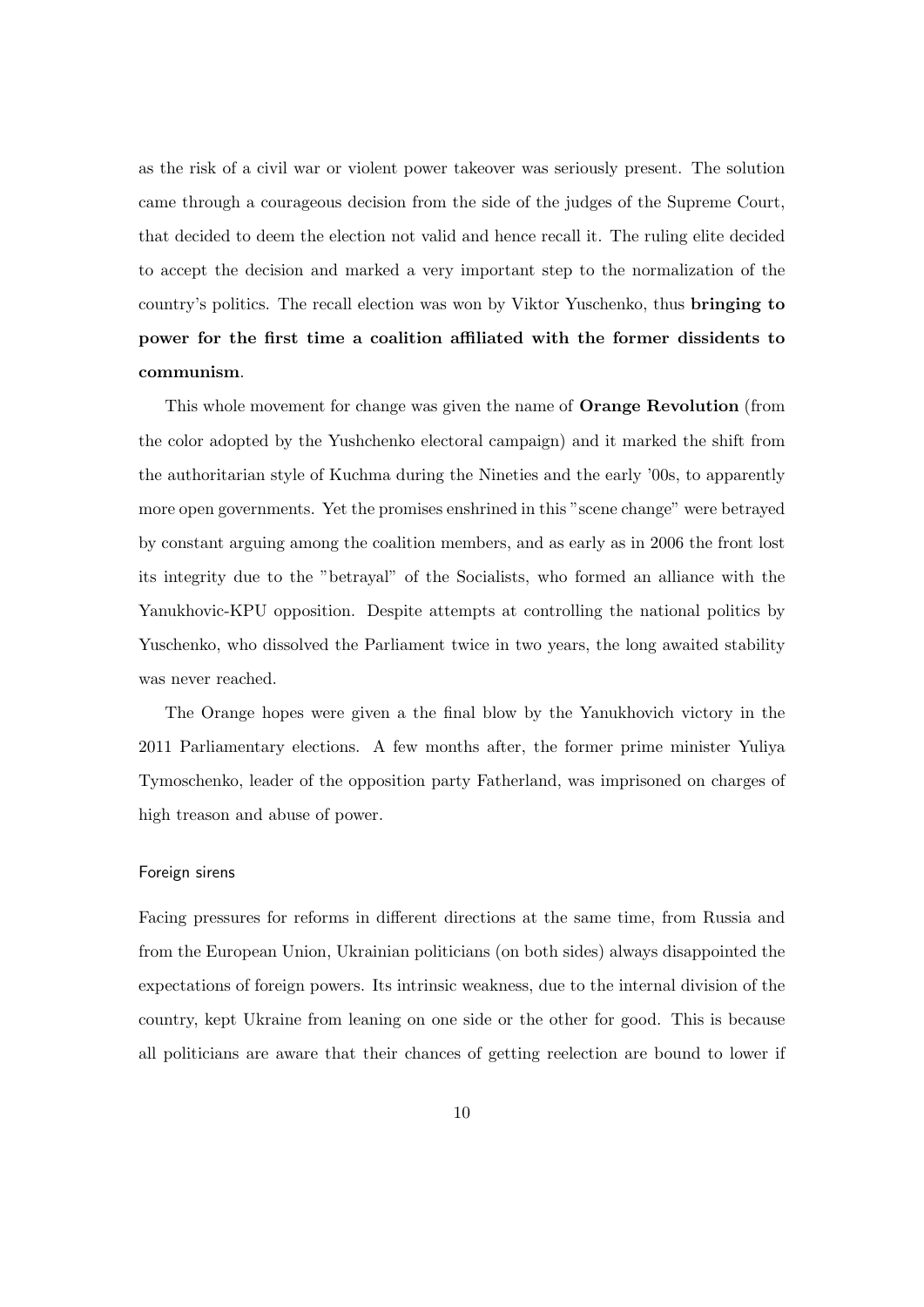as the risk of a civil war or violent power takeover was seriously present. The solution came through a courageous decision from the side of the judges of the Supreme Court, that decided to deem the election not valid and hence recall it. The ruling elite decided to accept the decision and marked a very important step to the normalization of the country's politics. The recall election was won by Viktor Yuschenko, thus bringing to power for the first time a coalition affiliated with the former dissidents to communism.

This whole movement for change was given the name of Orange Revolution (from the color adopted by the Yushchenko electoral campaign) and it marked the shift from the authoritarian style of Kuchma during the Nineties and the early '00s, to apparently more open governments. Yet the promises enshrined in this "scene change" were betrayed by constant arguing among the coalition members, and as early as in 2006 the front lost its integrity due to the "betrayal" of the Socialists, who formed an alliance with the Yanukhovic-KPU opposition. Despite attempts at controlling the national politics by Yuschenko, who dissolved the Parliament twice in two years, the long awaited stability was never reached.

The Orange hopes were given a the final blow by the Yanukhovich victory in the 2011 Parliamentary elections. A few months after, the former prime minister Yuliya Tymoschenko, leader of the opposition party Fatherland, was imprisoned on charges of high treason and abuse of power.

#### Foreign sirens

Facing pressures for reforms in different directions at the same time, from Russia and from the European Union, Ukrainian politicians (on both sides) always disappointed the expectations of foreign powers. Its intrinsic weakness, due to the internal division of the country, kept Ukraine from leaning on one side or the other for good. This is because all politicians are aware that their chances of getting reelection are bound to lower if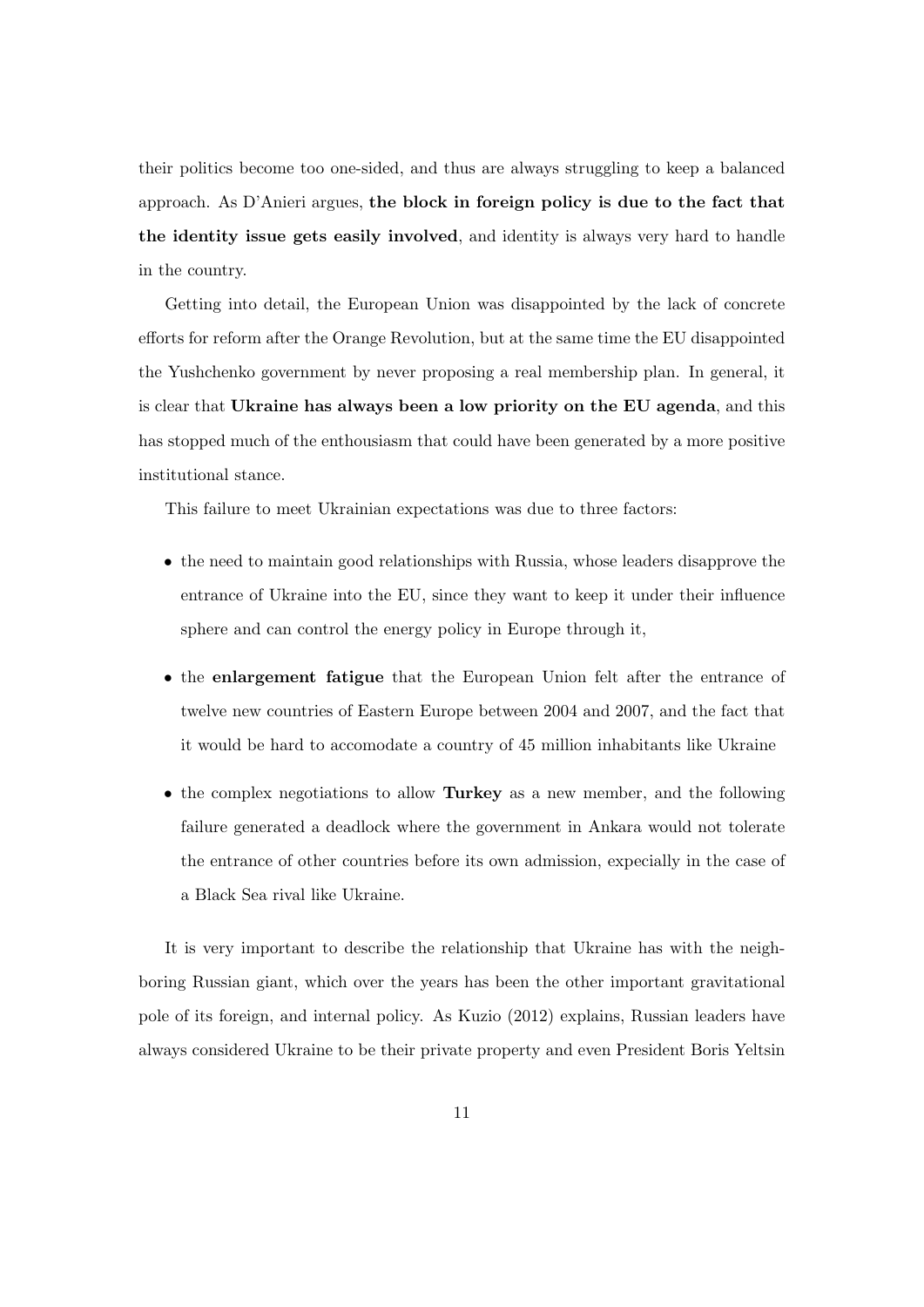their politics become too one-sided, and thus are always struggling to keep a balanced approach. As D'Anieri argues, the block in foreign policy is due to the fact that the identity issue gets easily involved, and identity is always very hard to handle in the country.

Getting into detail, the European Union was disappointed by the lack of concrete efforts for reform after the Orange Revolution, but at the same time the EU disappointed the Yushchenko government by never proposing a real membership plan. In general, it is clear that Ukraine has always been a low priority on the EU agenda, and this has stopped much of the enthousiasm that could have been generated by a more positive institutional stance.

This failure to meet Ukrainian expectations was due to three factors:

- the need to maintain good relationships with Russia, whose leaders disapprove the entrance of Ukraine into the EU, since they want to keep it under their influence sphere and can control the energy policy in Europe through it,
- the enlargement fatigue that the European Union felt after the entrance of twelve new countries of Eastern Europe between 2004 and 2007, and the fact that it would be hard to accomodate a country of 45 million inhabitants like Ukraine
- the complex negotiations to allow Turkey as a new member, and the following failure generated a deadlock where the government in Ankara would not tolerate the entrance of other countries before its own admission, expecially in the case of a Black Sea rival like Ukraine.

It is very important to describe the relationship that Ukraine has with the neighboring Russian giant, which over the years has been the other important gravitational pole of its foreign, and internal policy. As Kuzio (2012) explains, Russian leaders have always considered Ukraine to be their private property and even President Boris Yeltsin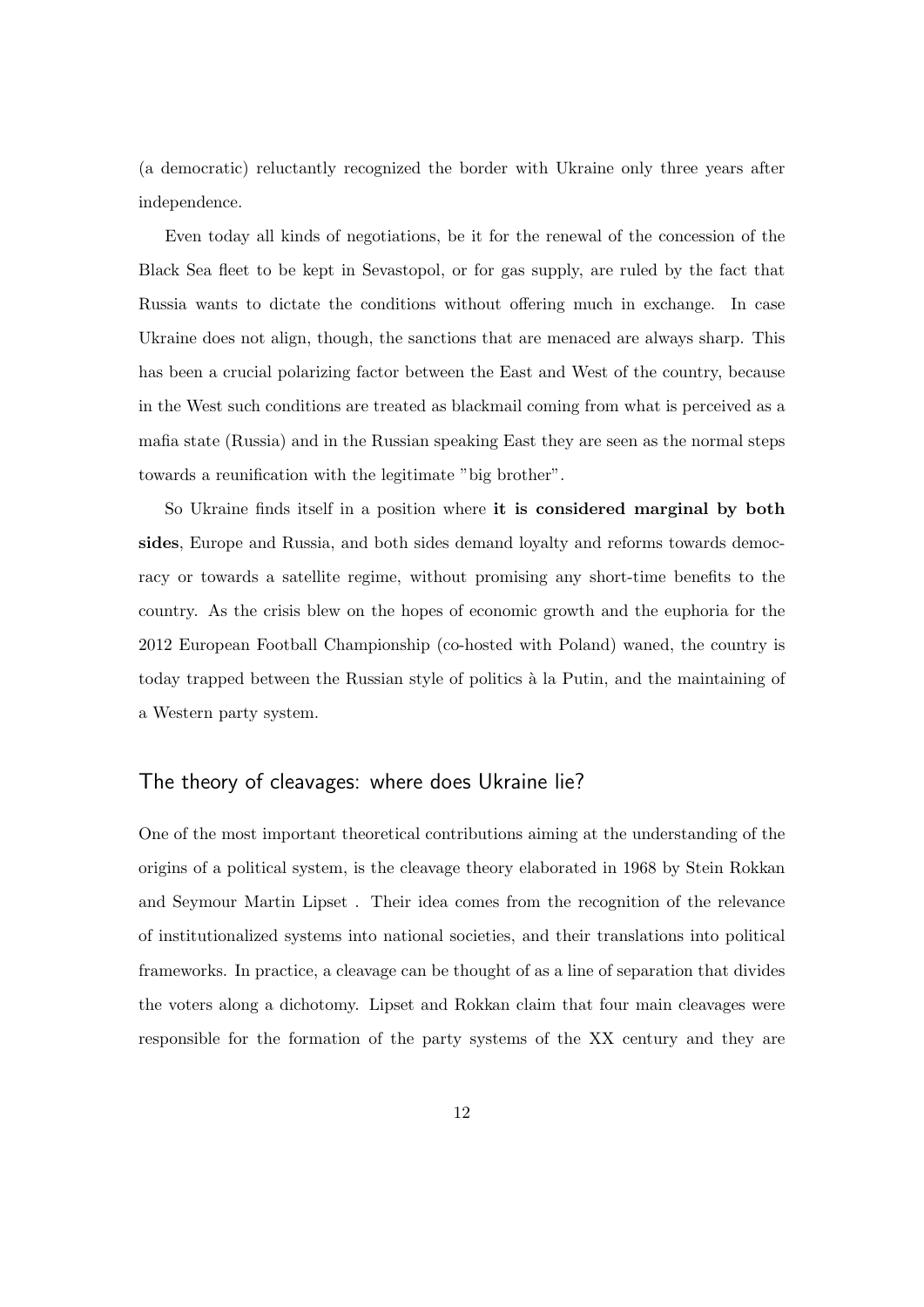(a democratic) reluctantly recognized the border with Ukraine only three years after independence.

Even today all kinds of negotiations, be it for the renewal of the concession of the Black Sea fleet to be kept in Sevastopol, or for gas supply, are ruled by the fact that Russia wants to dictate the conditions without offering much in exchange. In case Ukraine does not align, though, the sanctions that are menaced are always sharp. This has been a crucial polarizing factor between the East and West of the country, because in the West such conditions are treated as blackmail coming from what is perceived as a mafia state (Russia) and in the Russian speaking East they are seen as the normal steps towards a reunification with the legitimate "big brother".

So Ukraine finds itself in a position where it is considered marginal by both sides, Europe and Russia, and both sides demand loyalty and reforms towards democracy or towards a satellite regime, without promising any short-time benefits to the country. As the crisis blew on the hopes of economic growth and the euphoria for the 2012 European Football Championship (co-hosted with Poland) waned, the country is today trapped between the Russian style of politics `a la Putin, and the maintaining of a Western party system.

## The theory of cleavages: where does Ukraine lie?

One of the most important theoretical contributions aiming at the understanding of the origins of a political system, is the cleavage theory elaborated in 1968 by Stein Rokkan and Seymour Martin Lipset . Their idea comes from the recognition of the relevance of institutionalized systems into national societies, and their translations into political frameworks. In practice, a cleavage can be thought of as a line of separation that divides the voters along a dichotomy. Lipset and Rokkan claim that four main cleavages were responsible for the formation of the party systems of the XX century and they are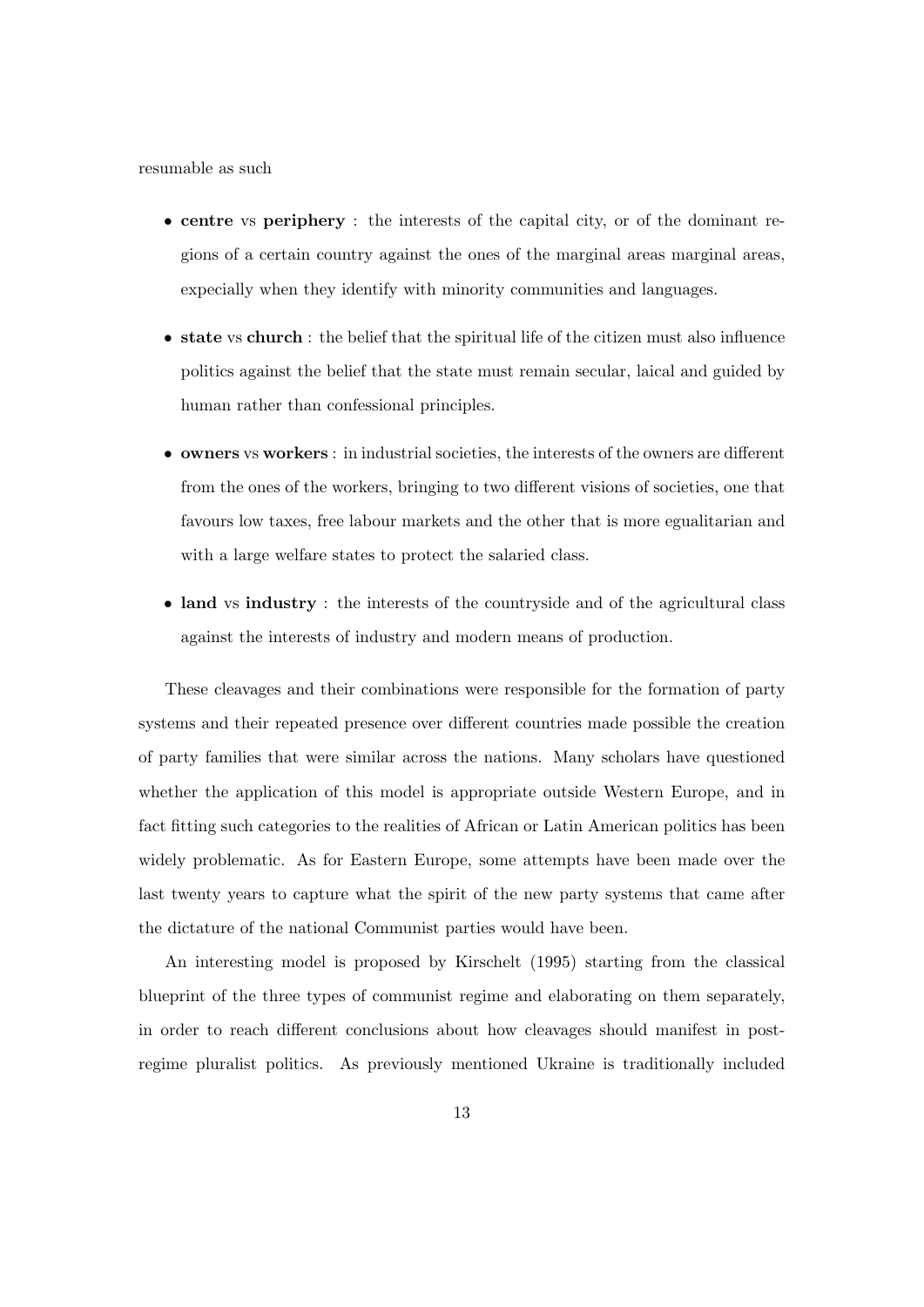resumable as such

- centre vs periphery : the interests of the capital city, or of the dominant regions of a certain country against the ones of the marginal areas marginal areas, expecially when they identify with minority communities and languages.
- state vs church : the belief that the spiritual life of the citizen must also influence politics against the belief that the state must remain secular, laical and guided by human rather than confessional principles.
- owners vs workers : in industrial societies, the interests of the owners are different from the ones of the workers, bringing to two different visions of societies, one that favours low taxes, free labour markets and the other that is more egualitarian and with a large welfare states to protect the salaried class.
- land vs industry : the interests of the countryside and of the agricultural class against the interests of industry and modern means of production.

These cleavages and their combinations were responsible for the formation of party systems and their repeated presence over different countries made possible the creation of party families that were similar across the nations. Many scholars have questioned whether the application of this model is appropriate outside Western Europe, and in fact fitting such categories to the realities of African or Latin American politics has been widely problematic. As for Eastern Europe, some attempts have been made over the last twenty years to capture what the spirit of the new party systems that came after the dictature of the national Communist parties would have been.

An interesting model is proposed by Kirschelt (1995) starting from the classical blueprint of the three types of communist regime and elaborating on them separately, in order to reach different conclusions about how cleavages should manifest in postregime pluralist politics. As previously mentioned Ukraine is traditionally included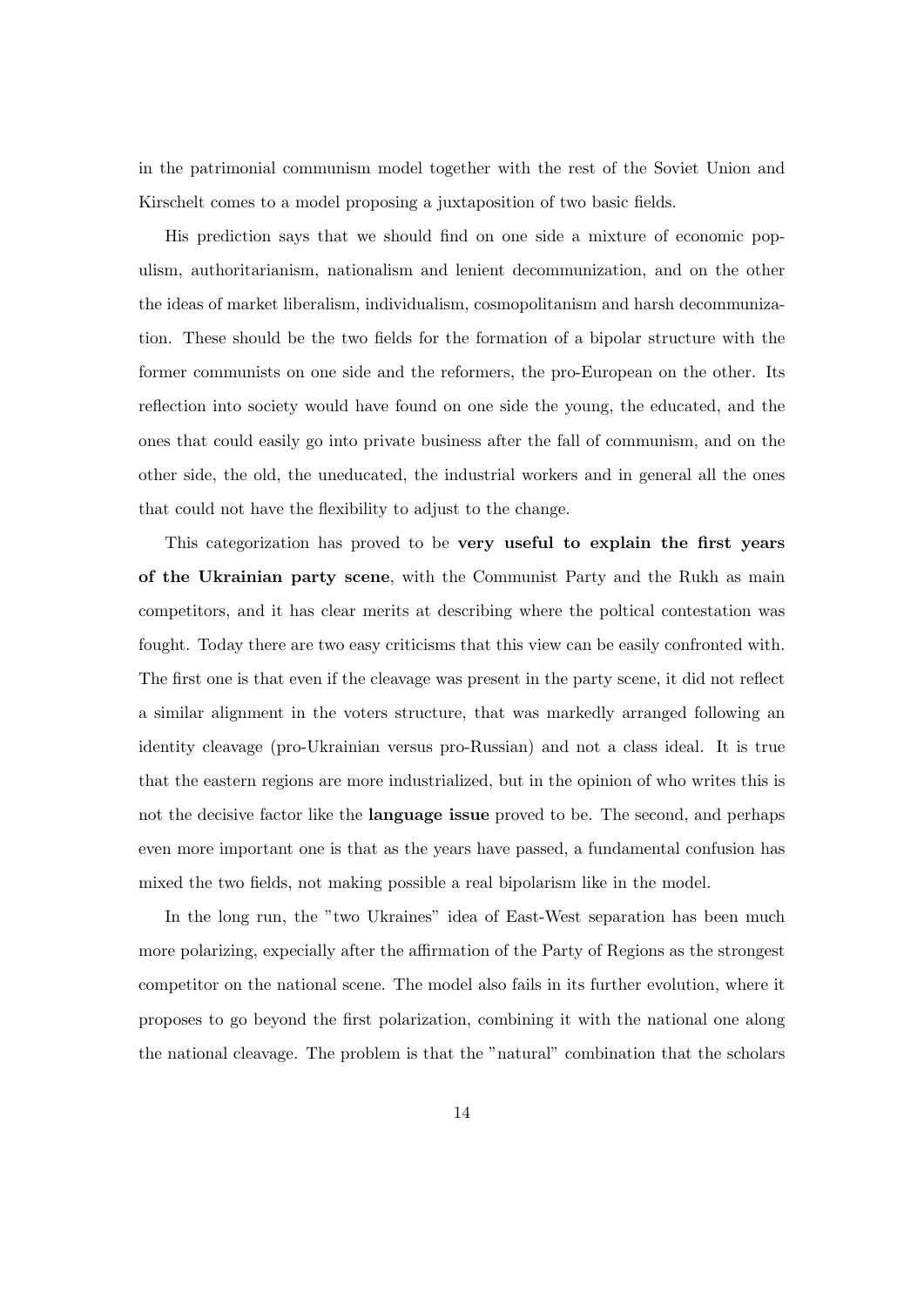in the patrimonial communism model together with the rest of the Soviet Union and Kirschelt comes to a model proposing a juxtaposition of two basic fields.

His prediction says that we should find on one side a mixture of economic populism, authoritarianism, nationalism and lenient decommunization, and on the other the ideas of market liberalism, individualism, cosmopolitanism and harsh decommunization. These should be the two fields for the formation of a bipolar structure with the former communists on one side and the reformers, the pro-European on the other. Its reflection into society would have found on one side the young, the educated, and the ones that could easily go into private business after the fall of communism, and on the other side, the old, the uneducated, the industrial workers and in general all the ones that could not have the flexibility to adjust to the change.

This categorization has proved to be very useful to explain the first years of the Ukrainian party scene, with the Communist Party and the Rukh as main competitors, and it has clear merits at describing where the poltical contestation was fought. Today there are two easy criticisms that this view can be easily confronted with. The first one is that even if the cleavage was present in the party scene, it did not reflect a similar alignment in the voters structure, that was markedly arranged following an identity cleavage (pro-Ukrainian versus pro-Russian) and not a class ideal. It is true that the eastern regions are more industrialized, but in the opinion of who writes this is not the decisive factor like the **language issue** proved to be. The second, and perhaps even more important one is that as the years have passed, a fundamental confusion has mixed the two fields, not making possible a real bipolarism like in the model.

In the long run, the "two Ukraines" idea of East-West separation has been much more polarizing, expecially after the affirmation of the Party of Regions as the strongest competitor on the national scene. The model also fails in its further evolution, where it proposes to go beyond the first polarization, combining it with the national one along the national cleavage. The problem is that the "natural" combination that the scholars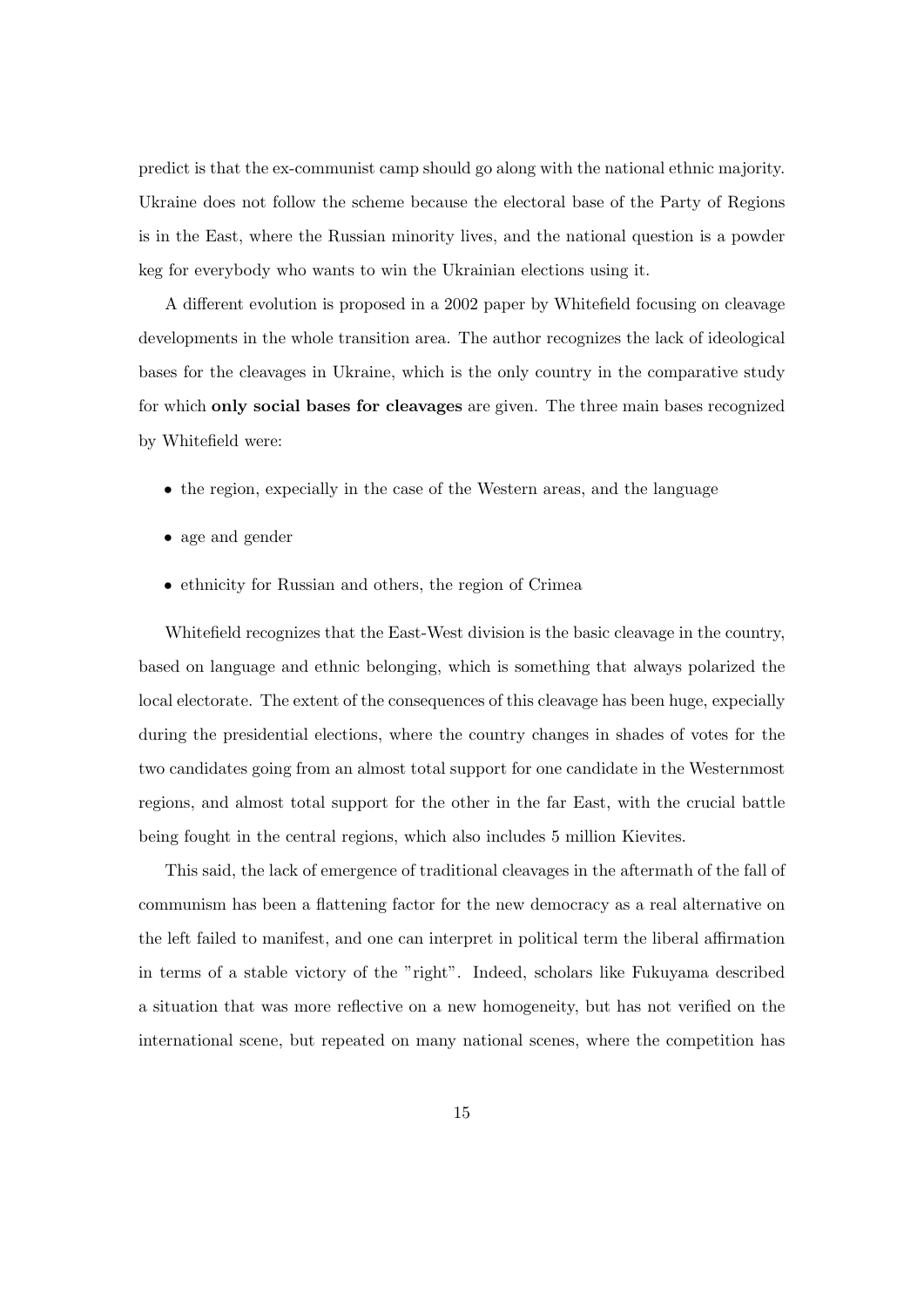predict is that the ex-communist camp should go along with the national ethnic majority. Ukraine does not follow the scheme because the electoral base of the Party of Regions is in the East, where the Russian minority lives, and the national question is a powder keg for everybody who wants to win the Ukrainian elections using it.

A different evolution is proposed in a 2002 paper by Whitefield focusing on cleavage developments in the whole transition area. The author recognizes the lack of ideological bases for the cleavages in Ukraine, which is the only country in the comparative study for which only social bases for cleavages are given. The three main bases recognized by Whitefield were:

- the region, expecially in the case of the Western areas, and the language
- age and gender
- ethnicity for Russian and others, the region of Crimea

Whitefield recognizes that the East-West division is the basic cleavage in the country, based on language and ethnic belonging, which is something that always polarized the local electorate. The extent of the consequences of this cleavage has been huge, expecially during the presidential elections, where the country changes in shades of votes for the two candidates going from an almost total support for one candidate in the Westernmost regions, and almost total support for the other in the far East, with the crucial battle being fought in the central regions, which also includes 5 million Kievites.

This said, the lack of emergence of traditional cleavages in the aftermath of the fall of communism has been a flattening factor for the new democracy as a real alternative on the left failed to manifest, and one can interpret in political term the liberal affirmation in terms of a stable victory of the "right". Indeed, scholars like Fukuyama described a situation that was more reflective on a new homogeneity, but has not verified on the international scene, but repeated on many national scenes, where the competition has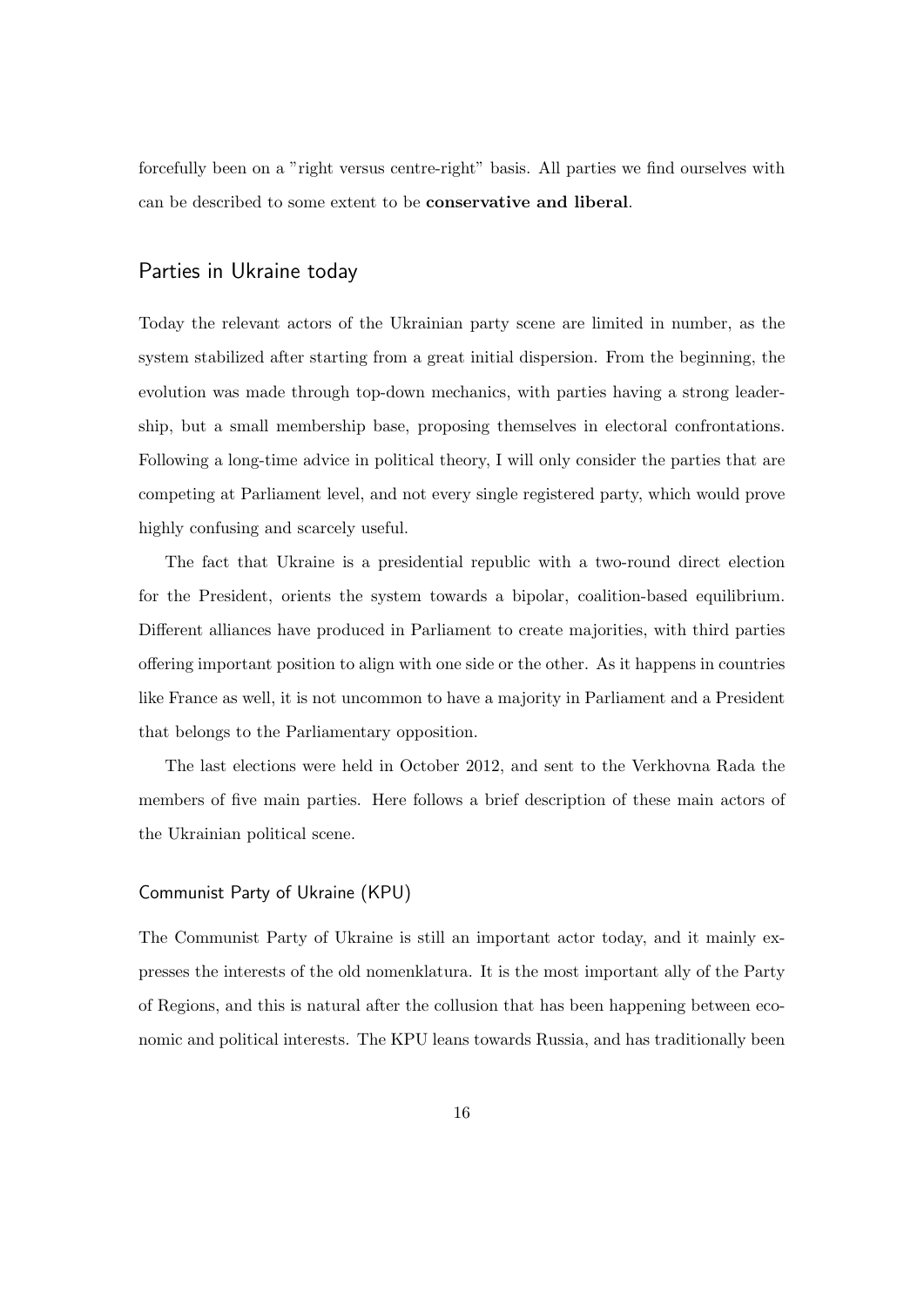forcefully been on a "right versus centre-right" basis. All parties we find ourselves with can be described to some extent to be conservative and liberal.

## Parties in Ukraine today

Today the relevant actors of the Ukrainian party scene are limited in number, as the system stabilized after starting from a great initial dispersion. From the beginning, the evolution was made through top-down mechanics, with parties having a strong leadership, but a small membership base, proposing themselves in electoral confrontations. Following a long-time advice in political theory, I will only consider the parties that are competing at Parliament level, and not every single registered party, which would prove highly confusing and scarcely useful.

The fact that Ukraine is a presidential republic with a two-round direct election for the President, orients the system towards a bipolar, coalition-based equilibrium. Different alliances have produced in Parliament to create majorities, with third parties offering important position to align with one side or the other. As it happens in countries like France as well, it is not uncommon to have a majority in Parliament and a President that belongs to the Parliamentary opposition.

The last elections were held in October 2012, and sent to the Verkhovna Rada the members of five main parties. Here follows a brief description of these main actors of the Ukrainian political scene.

#### Communist Party of Ukraine (KPU)

The Communist Party of Ukraine is still an important actor today, and it mainly expresses the interests of the old nomenklatura. It is the most important ally of the Party of Regions, and this is natural after the collusion that has been happening between economic and political interests. The KPU leans towards Russia, and has traditionally been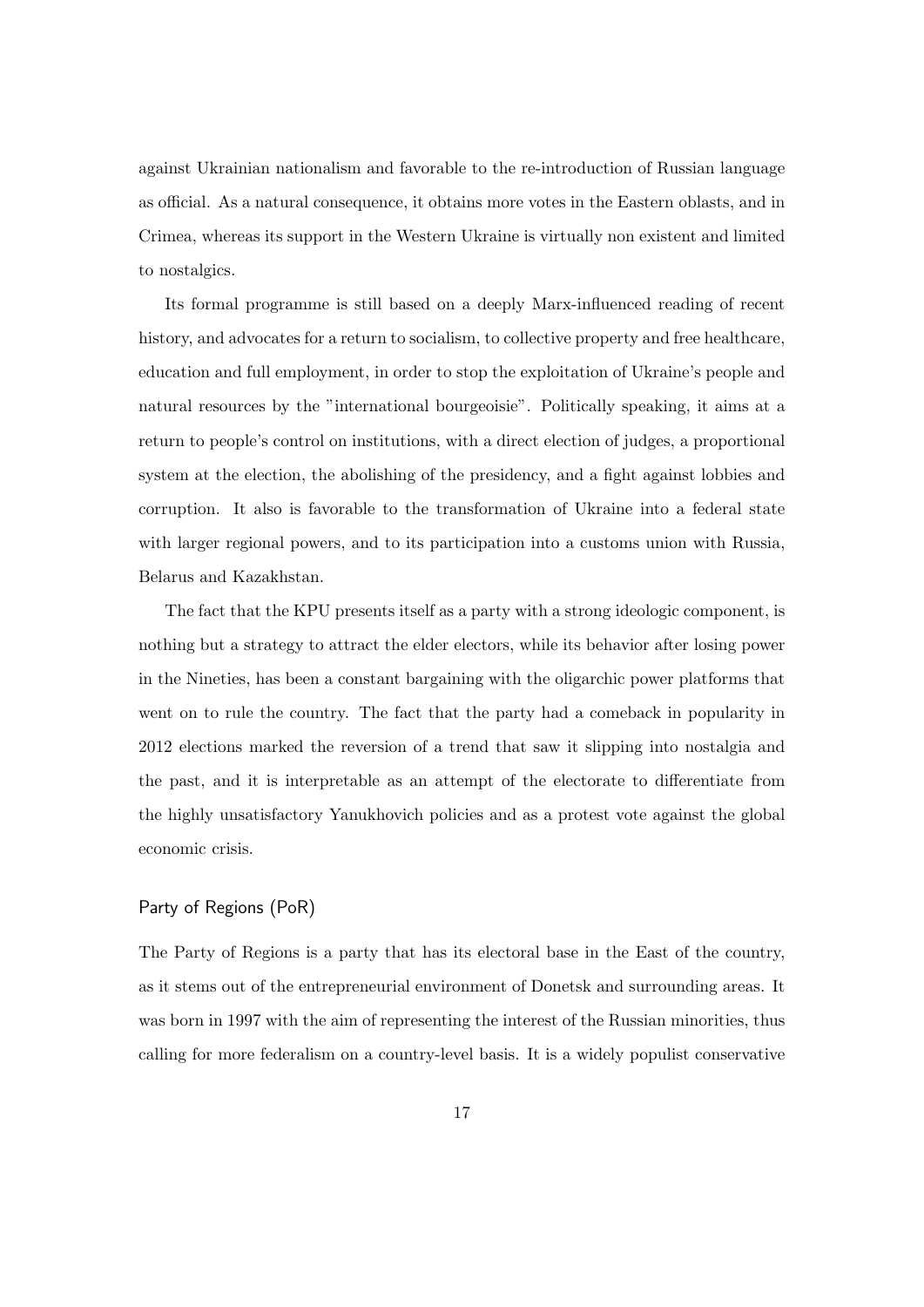against Ukrainian nationalism and favorable to the re-introduction of Russian language as official. As a natural consequence, it obtains more votes in the Eastern oblasts, and in Crimea, whereas its support in the Western Ukraine is virtually non existent and limited to nostalgics.

Its formal programme is still based on a deeply Marx-influenced reading of recent history, and advocates for a return to socialism, to collective property and free healthcare, education and full employment, in order to stop the exploitation of Ukraine's people and natural resources by the "international bourgeoisie". Politically speaking, it aims at a return to people's control on institutions, with a direct election of judges, a proportional system at the election, the abolishing of the presidency, and a fight against lobbies and corruption. It also is favorable to the transformation of Ukraine into a federal state with larger regional powers, and to its participation into a customs union with Russia, Belarus and Kazakhstan.

The fact that the KPU presents itself as a party with a strong ideologic component, is nothing but a strategy to attract the elder electors, while its behavior after losing power in the Nineties, has been a constant bargaining with the oligarchic power platforms that went on to rule the country. The fact that the party had a comeback in popularity in 2012 elections marked the reversion of a trend that saw it slipping into nostalgia and the past, and it is interpretable as an attempt of the electorate to differentiate from the highly unsatisfactory Yanukhovich policies and as a protest vote against the global economic crisis.

#### Party of Regions (PoR)

The Party of Regions is a party that has its electoral base in the East of the country, as it stems out of the entrepreneurial environment of Donetsk and surrounding areas. It was born in 1997 with the aim of representing the interest of the Russian minorities, thus calling for more federalism on a country-level basis. It is a widely populist conservative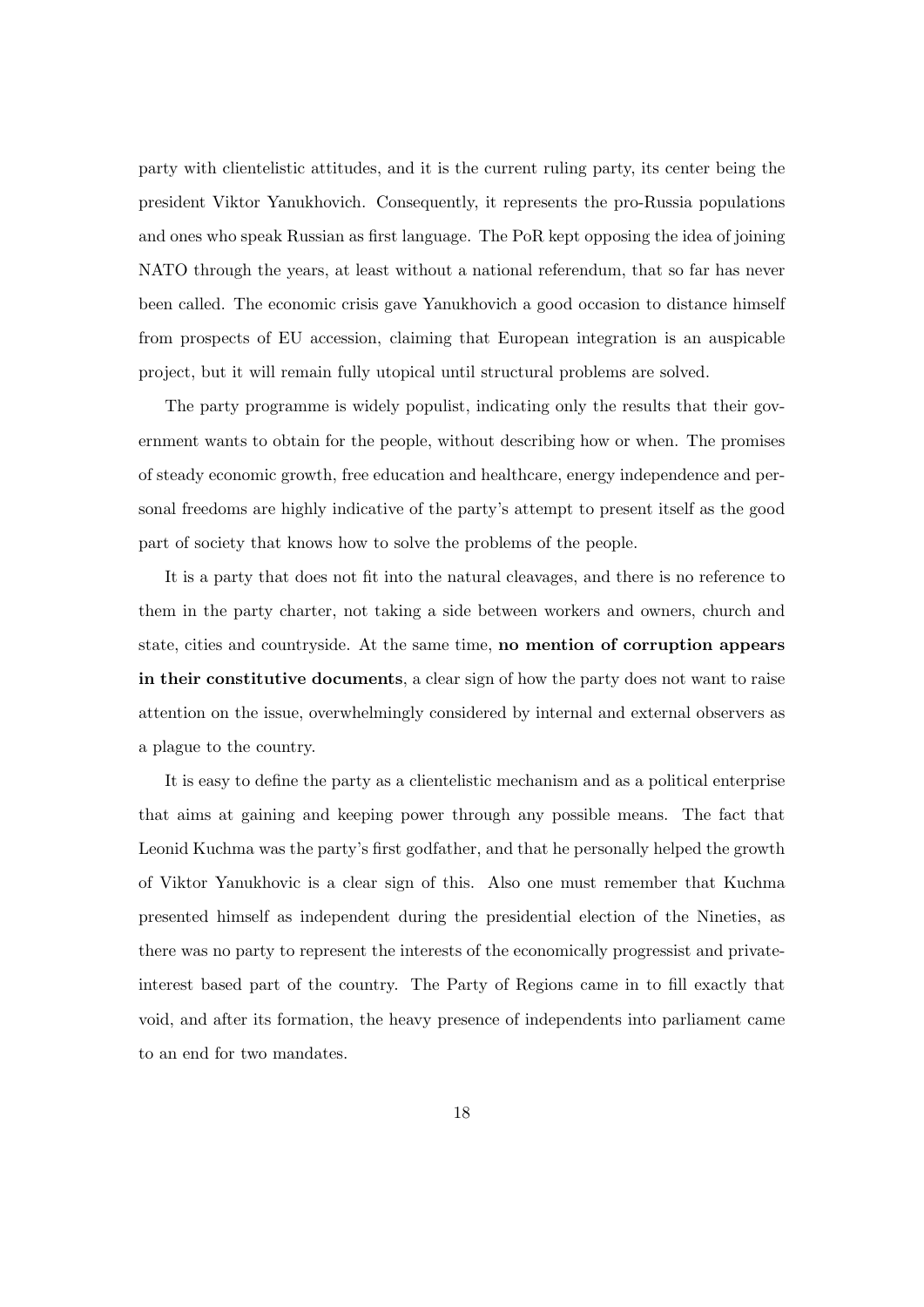party with clientelistic attitudes, and it is the current ruling party, its center being the president Viktor Yanukhovich. Consequently, it represents the pro-Russia populations and ones who speak Russian as first language. The PoR kept opposing the idea of joining NATO through the years, at least without a national referendum, that so far has never been called. The economic crisis gave Yanukhovich a good occasion to distance himself from prospects of EU accession, claiming that European integration is an auspicable project, but it will remain fully utopical until structural problems are solved.

The party programme is widely populist, indicating only the results that their government wants to obtain for the people, without describing how or when. The promises of steady economic growth, free education and healthcare, energy independence and personal freedoms are highly indicative of the party's attempt to present itself as the good part of society that knows how to solve the problems of the people.

It is a party that does not fit into the natural cleavages, and there is no reference to them in the party charter, not taking a side between workers and owners, church and state, cities and countryside. At the same time, no mention of corruption appears in their constitutive documents, a clear sign of how the party does not want to raise attention on the issue, overwhelmingly considered by internal and external observers as a plague to the country.

It is easy to define the party as a clientelistic mechanism and as a political enterprise that aims at gaining and keeping power through any possible means. The fact that Leonid Kuchma was the party's first godfather, and that he personally helped the growth of Viktor Yanukhovic is a clear sign of this. Also one must remember that Kuchma presented himself as independent during the presidential election of the Nineties, as there was no party to represent the interests of the economically progressist and privateinterest based part of the country. The Party of Regions came in to fill exactly that void, and after its formation, the heavy presence of independents into parliament came to an end for two mandates.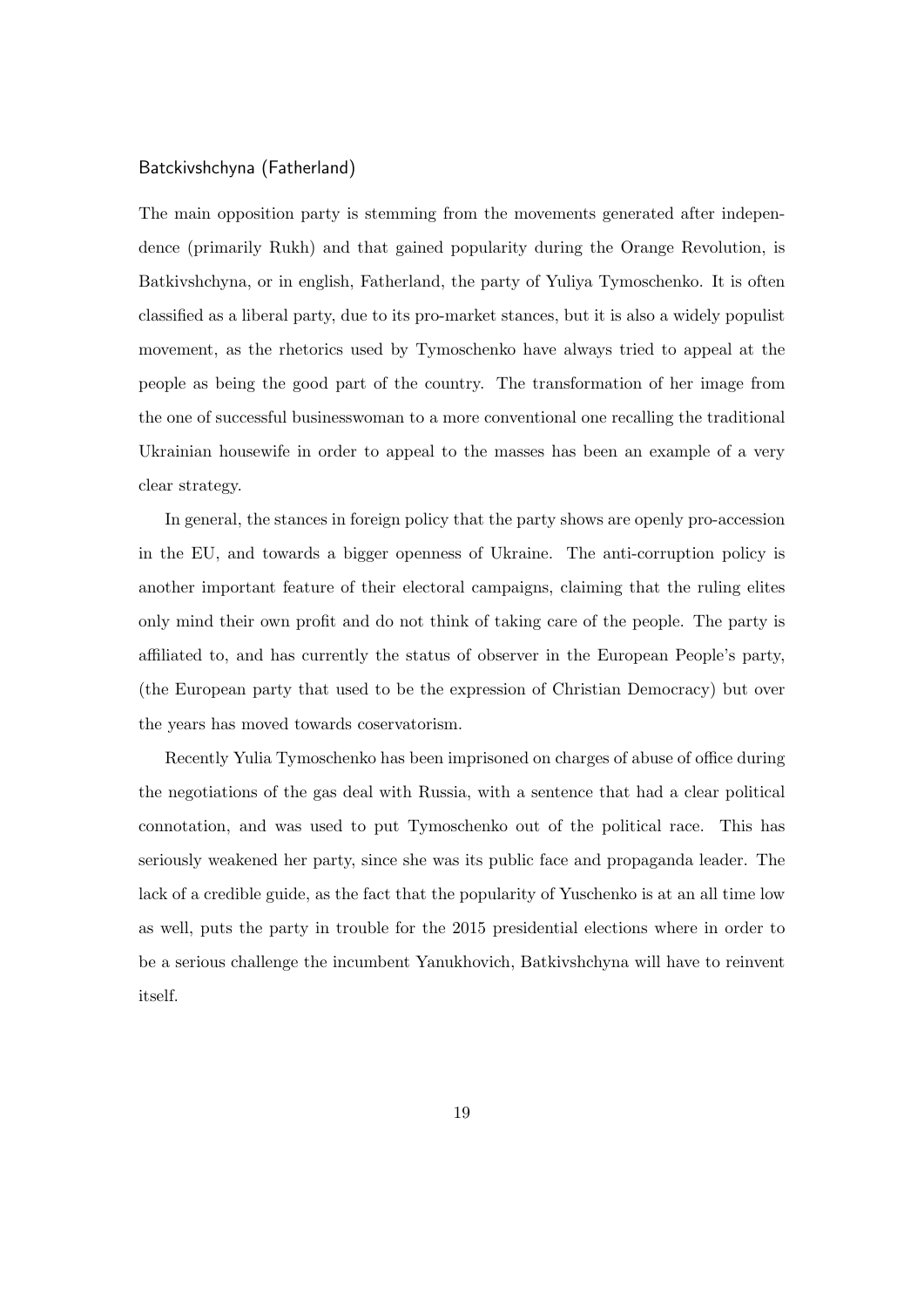#### Batckivshchyna (Fatherland)

The main opposition party is stemming from the movements generated after independence (primarily Rukh) and that gained popularity during the Orange Revolution, is Batkivshchyna, or in english, Fatherland, the party of Yuliya Tymoschenko. It is often classified as a liberal party, due to its pro-market stances, but it is also a widely populist movement, as the rhetorics used by Tymoschenko have always tried to appeal at the people as being the good part of the country. The transformation of her image from the one of successful businesswoman to a more conventional one recalling the traditional Ukrainian housewife in order to appeal to the masses has been an example of a very clear strategy.

In general, the stances in foreign policy that the party shows are openly pro-accession in the EU, and towards a bigger openness of Ukraine. The anti-corruption policy is another important feature of their electoral campaigns, claiming that the ruling elites only mind their own profit and do not think of taking care of the people. The party is affiliated to, and has currently the status of observer in the European People's party, (the European party that used to be the expression of Christian Democracy) but over the years has moved towards coservatorism.

Recently Yulia Tymoschenko has been imprisoned on charges of abuse of office during the negotiations of the gas deal with Russia, with a sentence that had a clear political connotation, and was used to put Tymoschenko out of the political race. This has seriously weakened her party, since she was its public face and propaganda leader. The lack of a credible guide, as the fact that the popularity of Yuschenko is at an all time low as well, puts the party in trouble for the 2015 presidential elections where in order to be a serious challenge the incumbent Yanukhovich, Batkivshchyna will have to reinvent itself.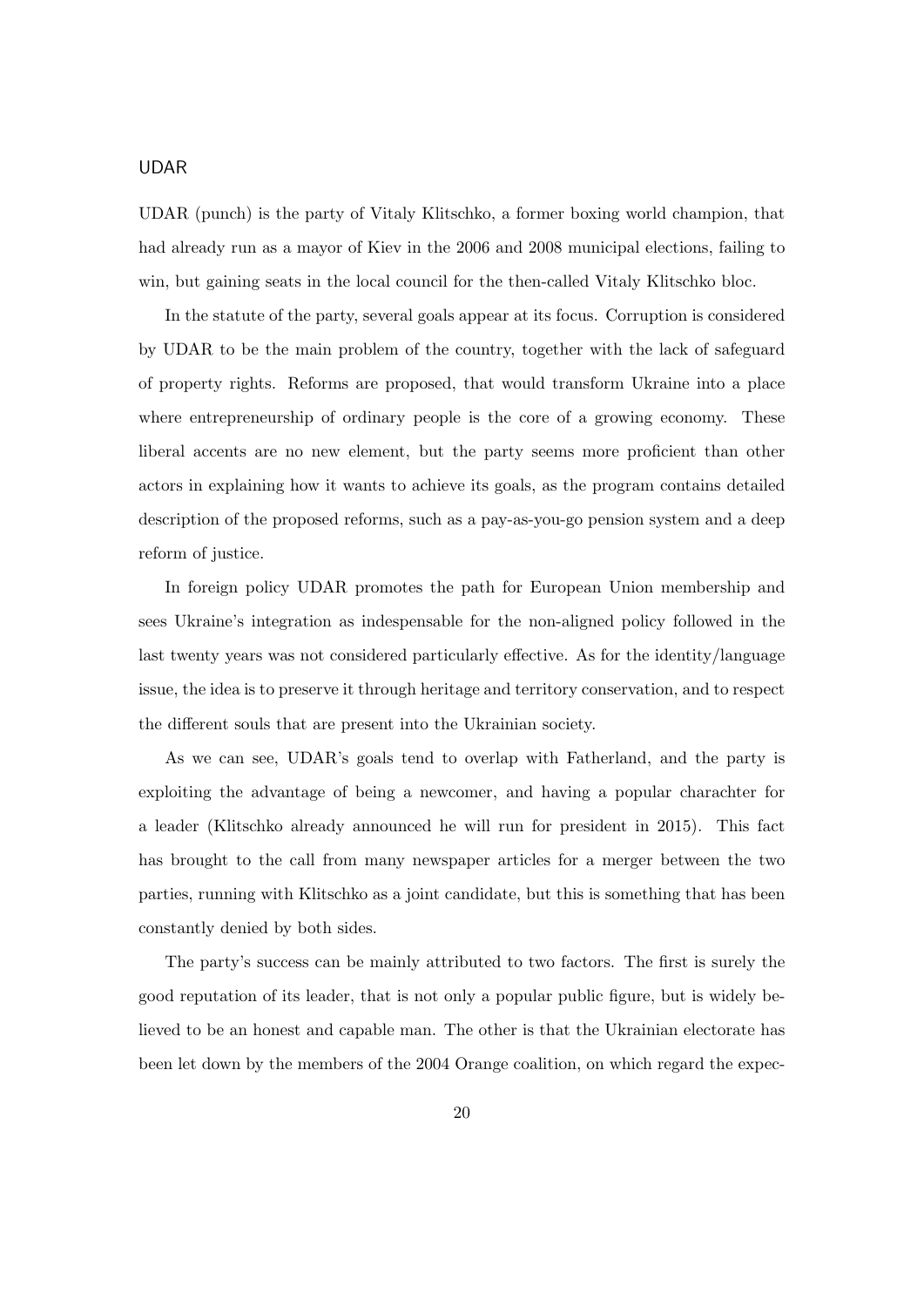## UDAR

UDAR (punch) is the party of Vitaly Klitschko, a former boxing world champion, that had already run as a mayor of Kiev in the 2006 and 2008 municipal elections, failing to win, but gaining seats in the local council for the then-called Vitaly Klitschko bloc.

In the statute of the party, several goals appear at its focus. Corruption is considered by UDAR to be the main problem of the country, together with the lack of safeguard of property rights. Reforms are proposed, that would transform Ukraine into a place where entrepreneurship of ordinary people is the core of a growing economy. These liberal accents are no new element, but the party seems more proficient than other actors in explaining how it wants to achieve its goals, as the program contains detailed description of the proposed reforms, such as a pay-as-you-go pension system and a deep reform of justice.

In foreign policy UDAR promotes the path for European Union membership and sees Ukraine's integration as indespensable for the non-aligned policy followed in the last twenty years was not considered particularly effective. As for the identity/language issue, the idea is to preserve it through heritage and territory conservation, and to respect the different souls that are present into the Ukrainian society.

As we can see, UDAR's goals tend to overlap with Fatherland, and the party is exploiting the advantage of being a newcomer, and having a popular charachter for a leader (Klitschko already announced he will run for president in 2015). This fact has brought to the call from many newspaper articles for a merger between the two parties, running with Klitschko as a joint candidate, but this is something that has been constantly denied by both sides.

The party's success can be mainly attributed to two factors. The first is surely the good reputation of its leader, that is not only a popular public figure, but is widely believed to be an honest and capable man. The other is that the Ukrainian electorate has been let down by the members of the 2004 Orange coalition, on which regard the expec-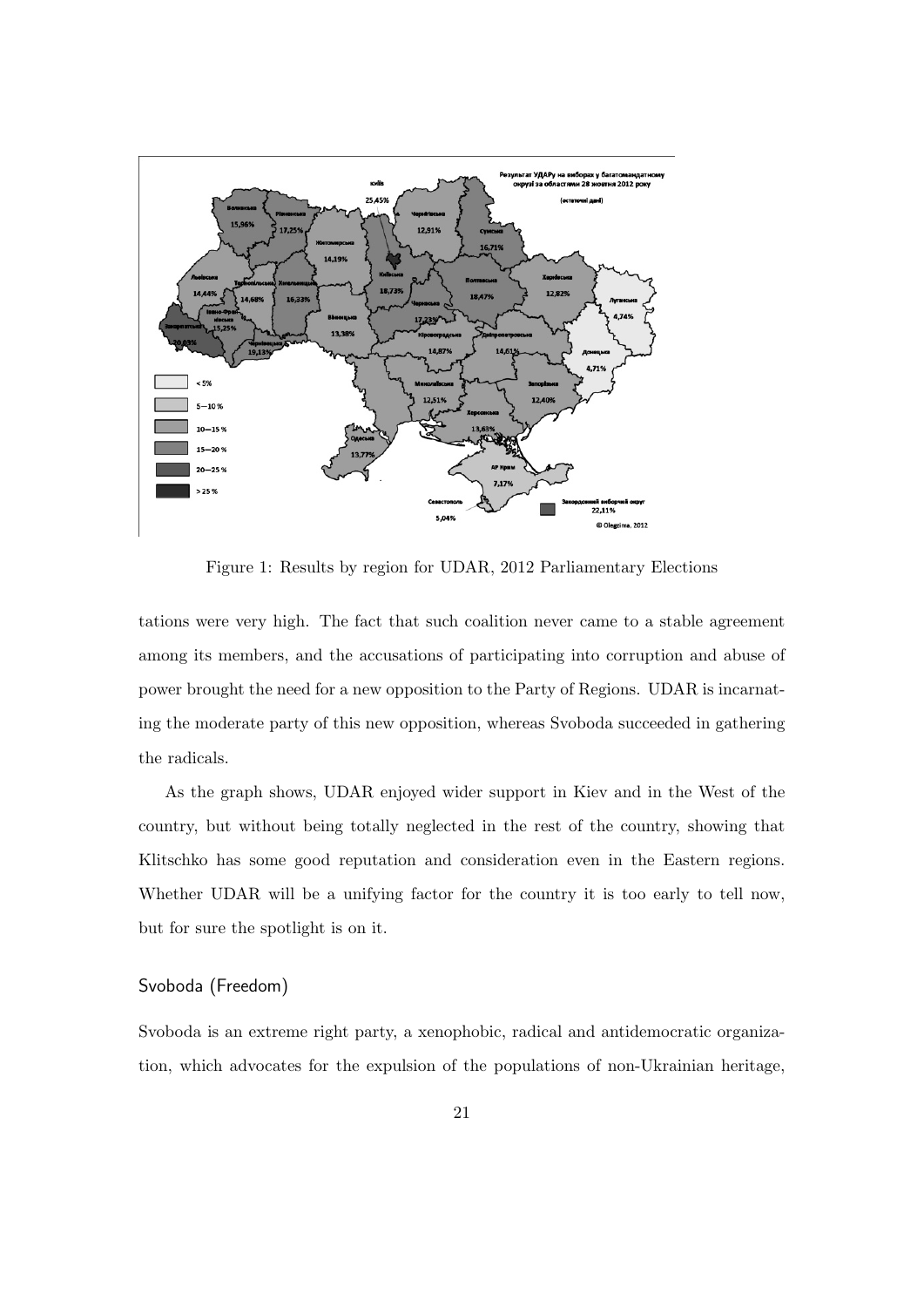

Figure 1: Results by region for UDAR, 2012 Parliamentary Elections

tations were very high. The fact that such coalition never came to a stable agreement among its members, and the accusations of participating into corruption and abuse of power brought the need for a new opposition to the Party of Regions. UDAR is incarnating the moderate party of this new opposition, whereas Svoboda succeeded in gathering the radicals.

As the graph shows, UDAR enjoyed wider support in Kiev and in the West of the country, but without being totally neglected in the rest of the country, showing that Klitschko has some good reputation and consideration even in the Eastern regions. Whether UDAR will be a unifying factor for the country it is too early to tell now, but for sure the spotlight is on it.

#### Svoboda (Freedom)

Svoboda is an extreme right party, a xenophobic, radical and antidemocratic organization, which advocates for the expulsion of the populations of non-Ukrainian heritage,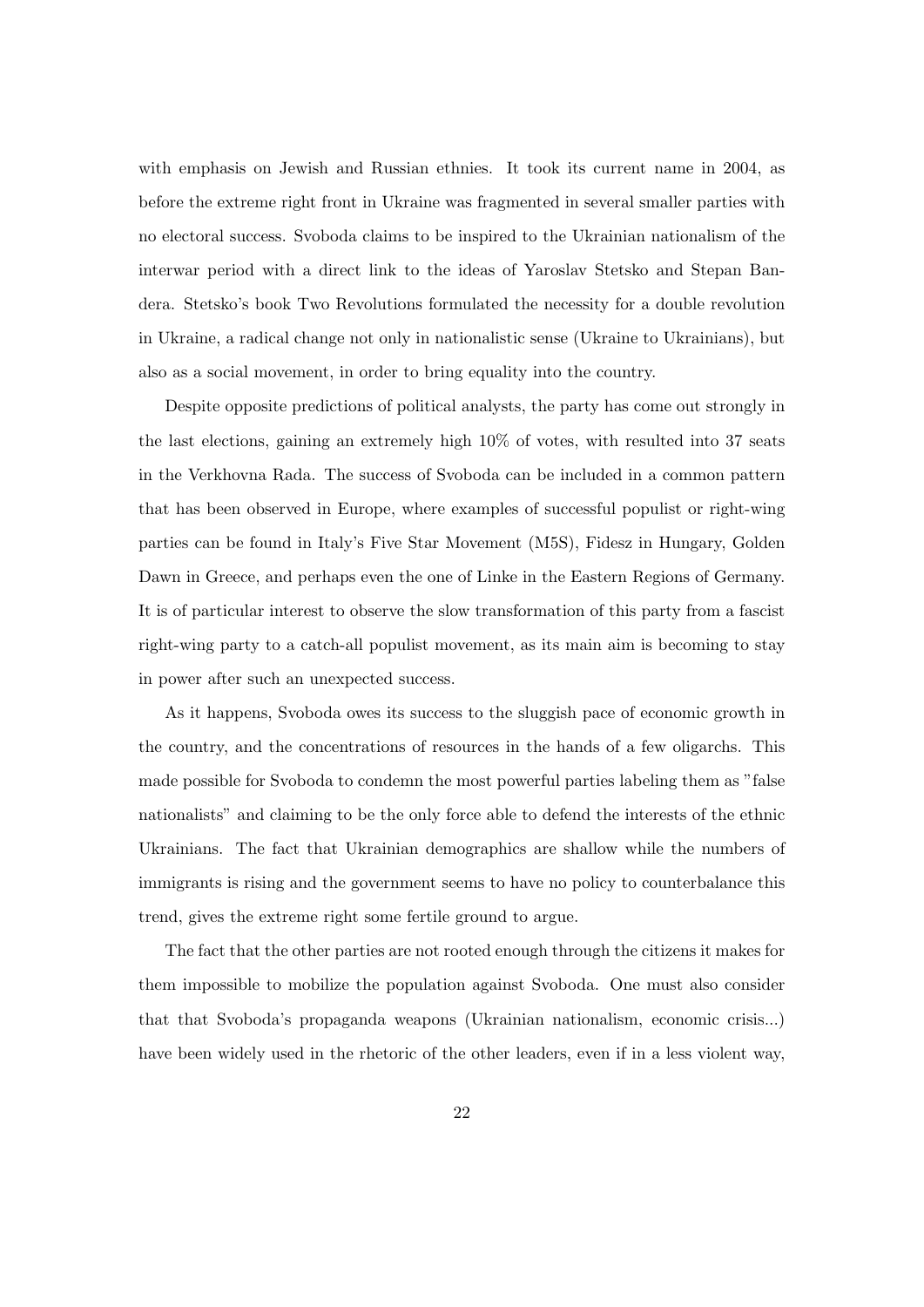with emphasis on Jewish and Russian ethnies. It took its current name in 2004, as before the extreme right front in Ukraine was fragmented in several smaller parties with no electoral success. Svoboda claims to be inspired to the Ukrainian nationalism of the interwar period with a direct link to the ideas of Yaroslav Stetsko and Stepan Bandera. Stetsko's book Two Revolutions formulated the necessity for a double revolution in Ukraine, a radical change not only in nationalistic sense (Ukraine to Ukrainians), but also as a social movement, in order to bring equality into the country.

Despite opposite predictions of political analysts, the party has come out strongly in the last elections, gaining an extremely high 10% of votes, with resulted into 37 seats in the Verkhovna Rada. The success of Svoboda can be included in a common pattern that has been observed in Europe, where examples of successful populist or right-wing parties can be found in Italy's Five Star Movement (M5S), Fidesz in Hungary, Golden Dawn in Greece, and perhaps even the one of Linke in the Eastern Regions of Germany. It is of particular interest to observe the slow transformation of this party from a fascist right-wing party to a catch-all populist movement, as its main aim is becoming to stay in power after such an unexpected success.

As it happens, Svoboda owes its success to the sluggish pace of economic growth in the country, and the concentrations of resources in the hands of a few oligarchs. This made possible for Svoboda to condemn the most powerful parties labeling them as "false nationalists" and claiming to be the only force able to defend the interests of the ethnic Ukrainians. The fact that Ukrainian demographics are shallow while the numbers of immigrants is rising and the government seems to have no policy to counterbalance this trend, gives the extreme right some fertile ground to argue.

The fact that the other parties are not rooted enough through the citizens it makes for them impossible to mobilize the population against Svoboda. One must also consider that that Svoboda's propaganda weapons (Ukrainian nationalism, economic crisis...) have been widely used in the rhetoric of the other leaders, even if in a less violent way,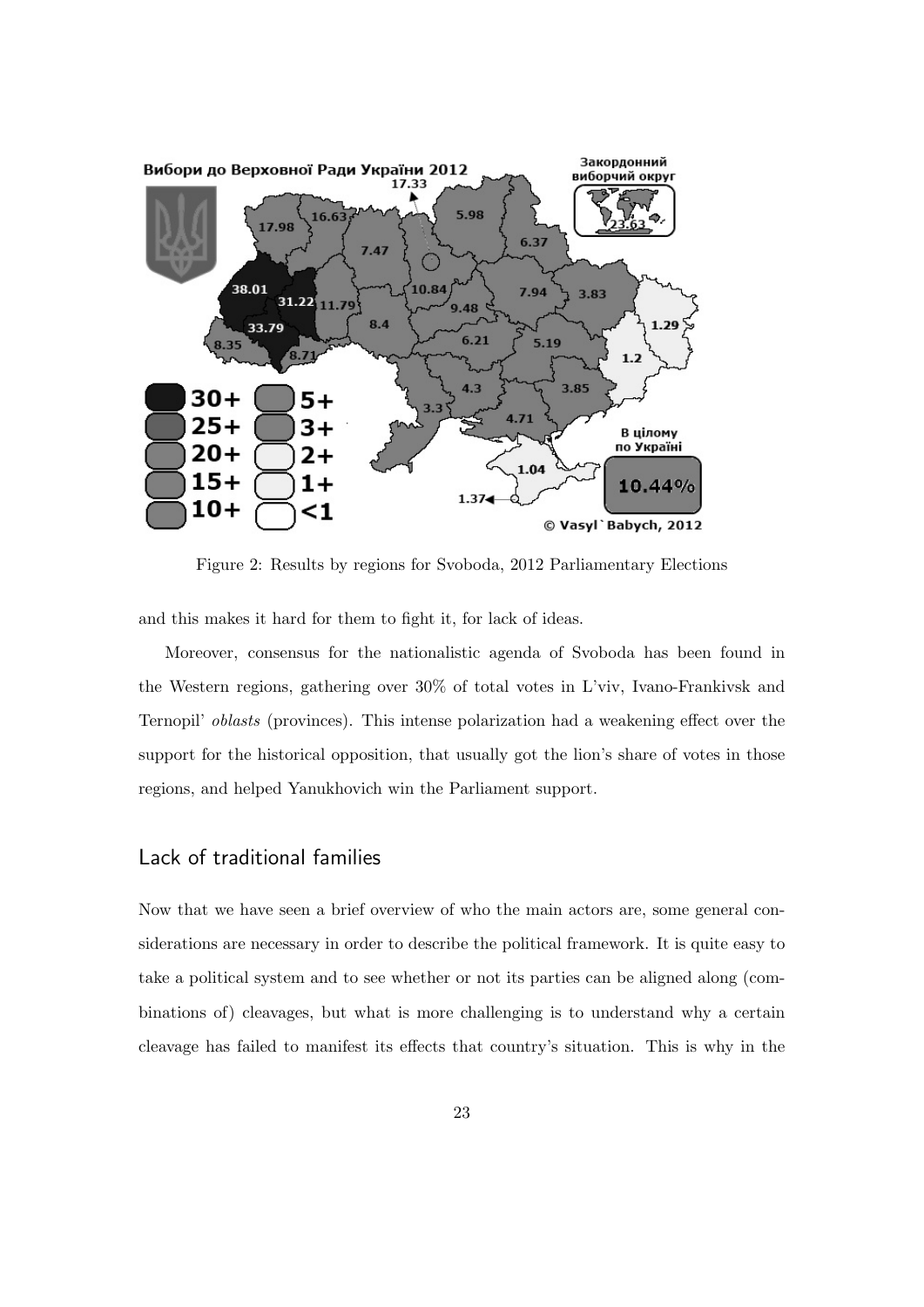

Figure 2: Results by regions for Svoboda, 2012 Parliamentary Elections

and this makes it hard for them to fight it, for lack of ideas.

Moreover, consensus for the nationalistic agenda of Svoboda has been found in the Western regions, gathering over 30% of total votes in L'viv, Ivano-Frankivsk and Ternopil' oblasts (provinces). This intense polarization had a weakening effect over the support for the historical opposition, that usually got the lion's share of votes in those regions, and helped Yanukhovich win the Parliament support.

## Lack of traditional families

Now that we have seen a brief overview of who the main actors are, some general considerations are necessary in order to describe the political framework. It is quite easy to take a political system and to see whether or not its parties can be aligned along (combinations of) cleavages, but what is more challenging is to understand why a certain cleavage has failed to manifest its effects that country's situation. This is why in the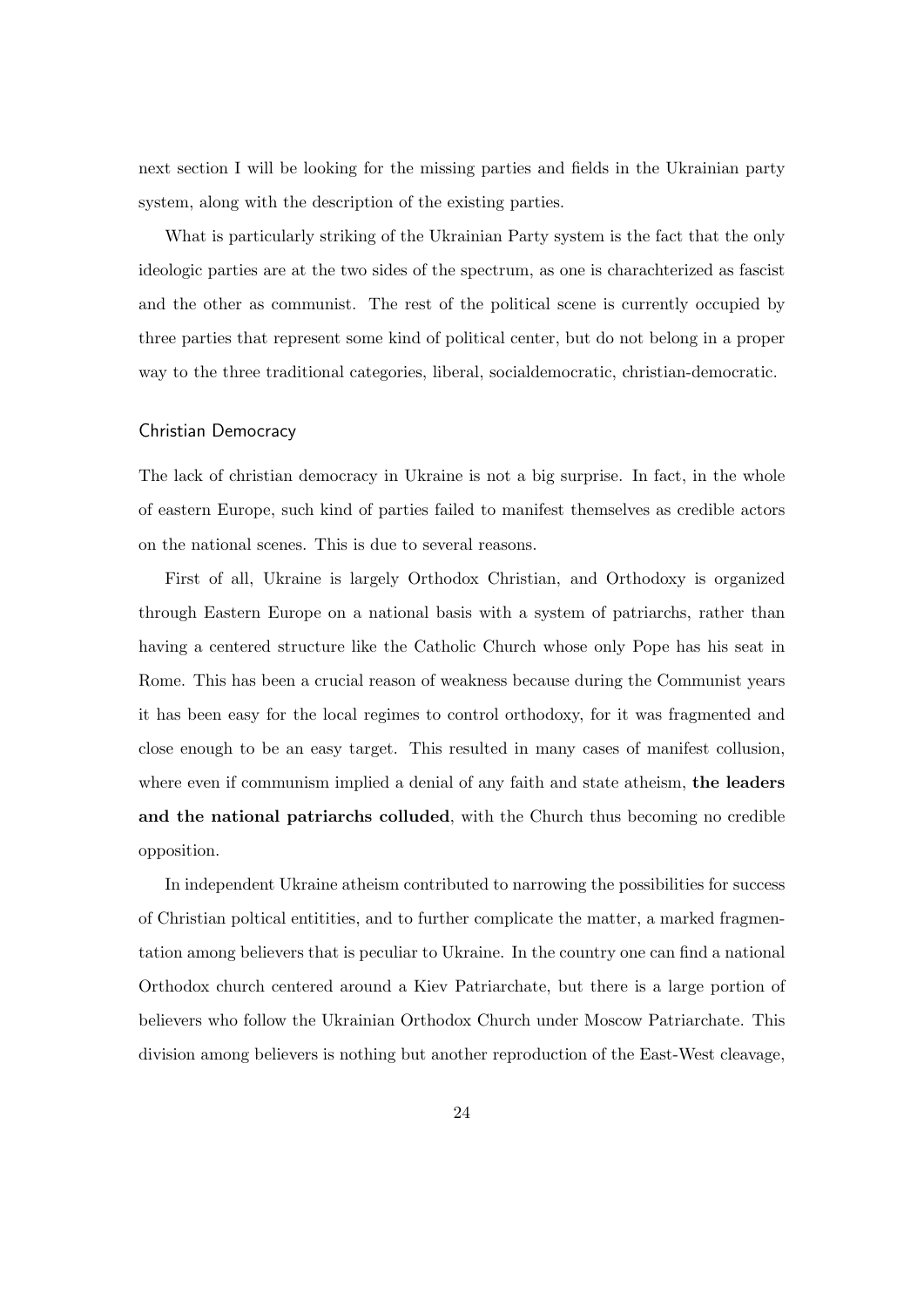next section I will be looking for the missing parties and fields in the Ukrainian party system, along with the description of the existing parties.

What is particularly striking of the Ukrainian Party system is the fact that the only ideologic parties are at the two sides of the spectrum, as one is charachterized as fascist and the other as communist. The rest of the political scene is currently occupied by three parties that represent some kind of political center, but do not belong in a proper way to the three traditional categories, liberal, socialdemocratic, christian-democratic.

#### Christian Democracy

The lack of christian democracy in Ukraine is not a big surprise. In fact, in the whole of eastern Europe, such kind of parties failed to manifest themselves as credible actors on the national scenes. This is due to several reasons.

First of all, Ukraine is largely Orthodox Christian, and Orthodoxy is organized through Eastern Europe on a national basis with a system of patriarchs, rather than having a centered structure like the Catholic Church whose only Pope has his seat in Rome. This has been a crucial reason of weakness because during the Communist years it has been easy for the local regimes to control orthodoxy, for it was fragmented and close enough to be an easy target. This resulted in many cases of manifest collusion, where even if communism implied a denial of any faith and state atheism, the leaders and the national patriarchs colluded, with the Church thus becoming no credible opposition.

In independent Ukraine atheism contributed to narrowing the possibilities for success of Christian poltical entitities, and to further complicate the matter, a marked fragmentation among believers that is peculiar to Ukraine. In the country one can find a national Orthodox church centered around a Kiev Patriarchate, but there is a large portion of believers who follow the Ukrainian Orthodox Church under Moscow Patriarchate. This division among believers is nothing but another reproduction of the East-West cleavage,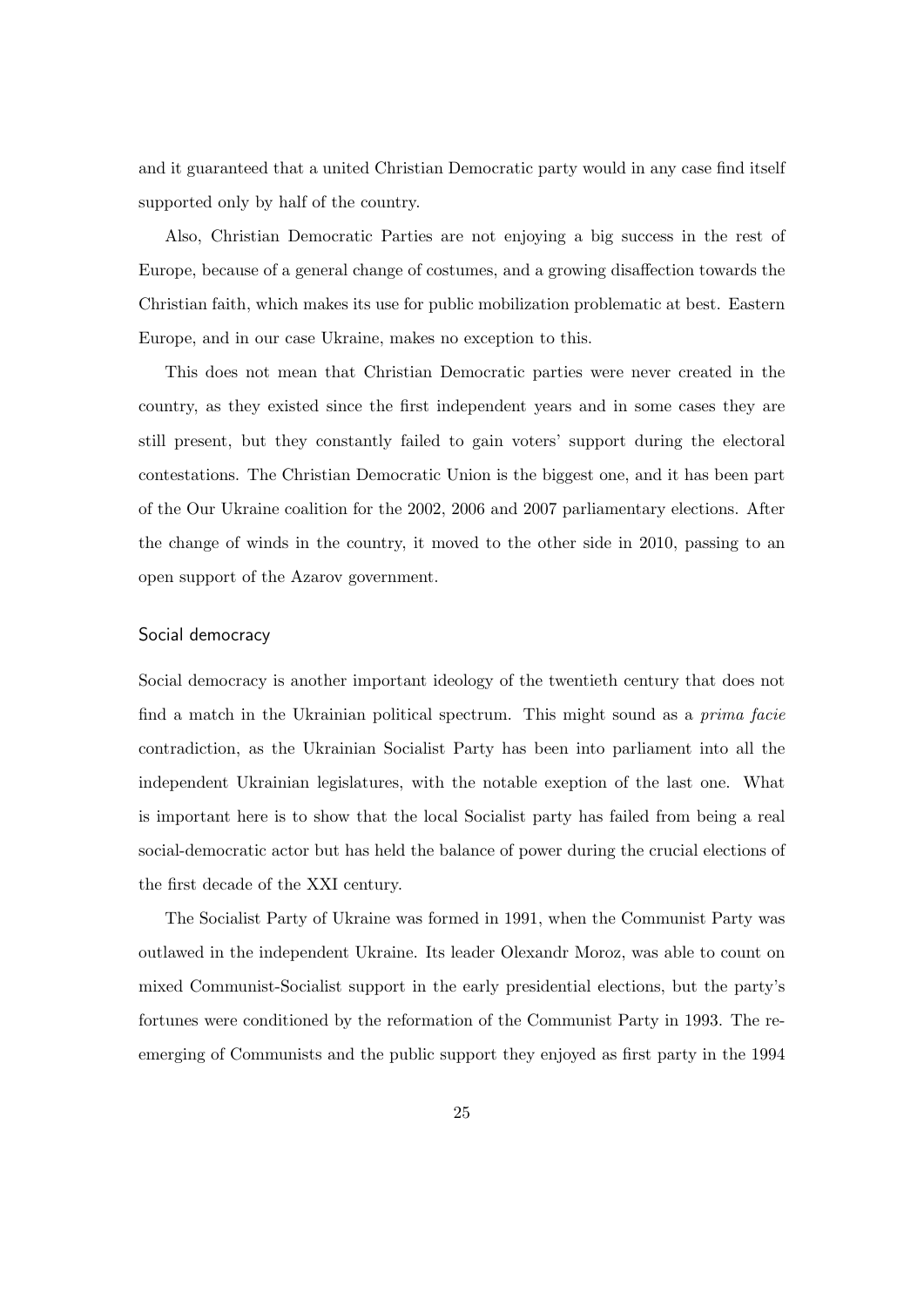and it guaranteed that a united Christian Democratic party would in any case find itself supported only by half of the country.

Also, Christian Democratic Parties are not enjoying a big success in the rest of Europe, because of a general change of costumes, and a growing disaffection towards the Christian faith, which makes its use for public mobilization problematic at best. Eastern Europe, and in our case Ukraine, makes no exception to this.

This does not mean that Christian Democratic parties were never created in the country, as they existed since the first independent years and in some cases they are still present, but they constantly failed to gain voters' support during the electoral contestations. The Christian Democratic Union is the biggest one, and it has been part of the Our Ukraine coalition for the 2002, 2006 and 2007 parliamentary elections. After the change of winds in the country, it moved to the other side in 2010, passing to an open support of the Azarov government.

#### Social democracy

Social democracy is another important ideology of the twentieth century that does not find a match in the Ukrainian political spectrum. This might sound as a prima facie contradiction, as the Ukrainian Socialist Party has been into parliament into all the independent Ukrainian legislatures, with the notable exeption of the last one. What is important here is to show that the local Socialist party has failed from being a real social-democratic actor but has held the balance of power during the crucial elections of the first decade of the XXI century.

The Socialist Party of Ukraine was formed in 1991, when the Communist Party was outlawed in the independent Ukraine. Its leader Olexandr Moroz, was able to count on mixed Communist-Socialist support in the early presidential elections, but the party's fortunes were conditioned by the reformation of the Communist Party in 1993. The reemerging of Communists and the public support they enjoyed as first party in the 1994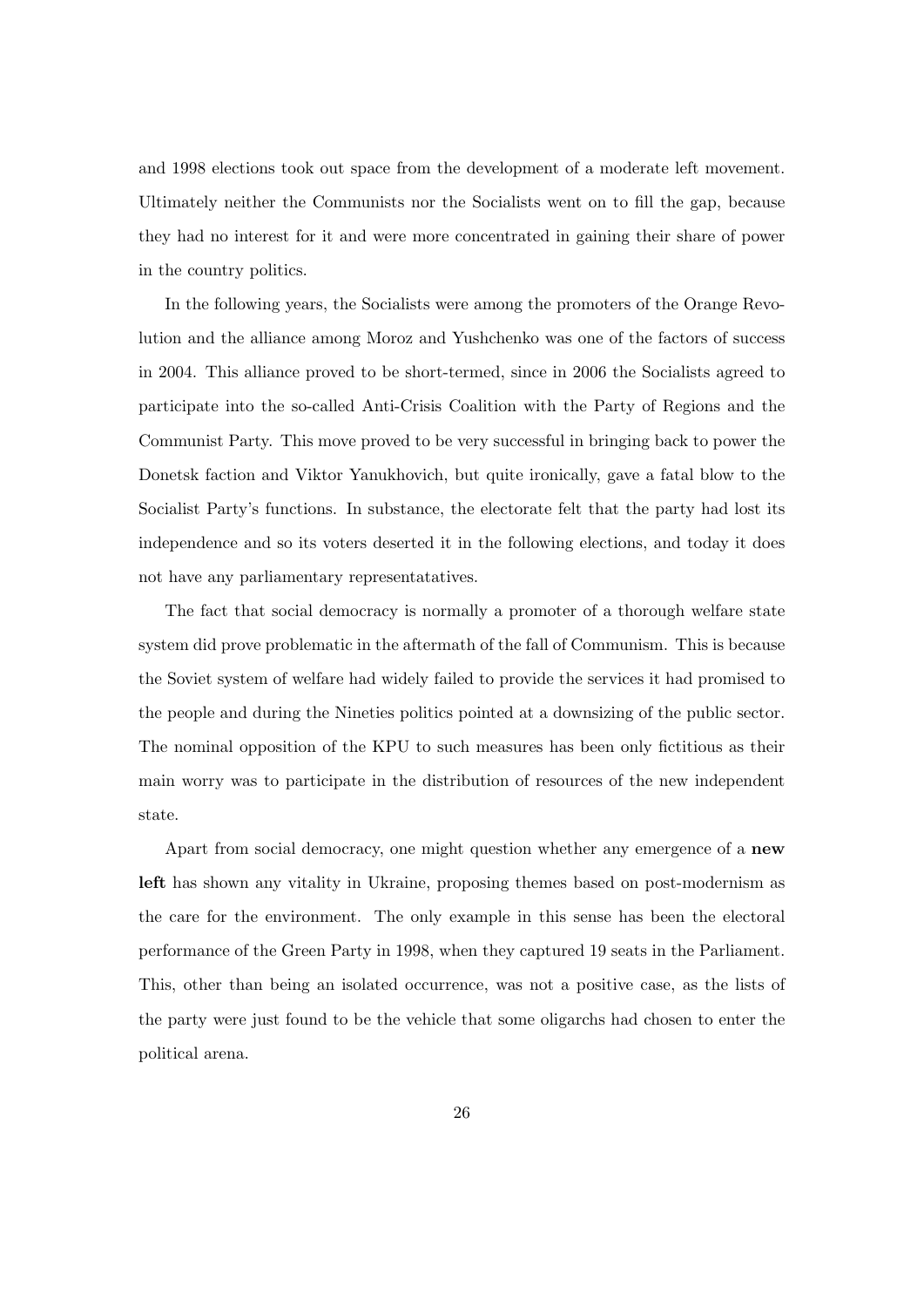and 1998 elections took out space from the development of a moderate left movement. Ultimately neither the Communists nor the Socialists went on to fill the gap, because they had no interest for it and were more concentrated in gaining their share of power in the country politics.

In the following years, the Socialists were among the promoters of the Orange Revolution and the alliance among Moroz and Yushchenko was one of the factors of success in 2004. This alliance proved to be short-termed, since in 2006 the Socialists agreed to participate into the so-called Anti-Crisis Coalition with the Party of Regions and the Communist Party. This move proved to be very successful in bringing back to power the Donetsk faction and Viktor Yanukhovich, but quite ironically, gave a fatal blow to the Socialist Party's functions. In substance, the electorate felt that the party had lost its independence and so its voters deserted it in the following elections, and today it does not have any parliamentary representatatives.

The fact that social democracy is normally a promoter of a thorough welfare state system did prove problematic in the aftermath of the fall of Communism. This is because the Soviet system of welfare had widely failed to provide the services it had promised to the people and during the Nineties politics pointed at a downsizing of the public sector. The nominal opposition of the KPU to such measures has been only fictitious as their main worry was to participate in the distribution of resources of the new independent state.

Apart from social democracy, one might question whether any emergence of a new left has shown any vitality in Ukraine, proposing themes based on post-modernism as the care for the environment. The only example in this sense has been the electoral performance of the Green Party in 1998, when they captured 19 seats in the Parliament. This, other than being an isolated occurrence, was not a positive case, as the lists of the party were just found to be the vehicle that some oligarchs had chosen to enter the political arena.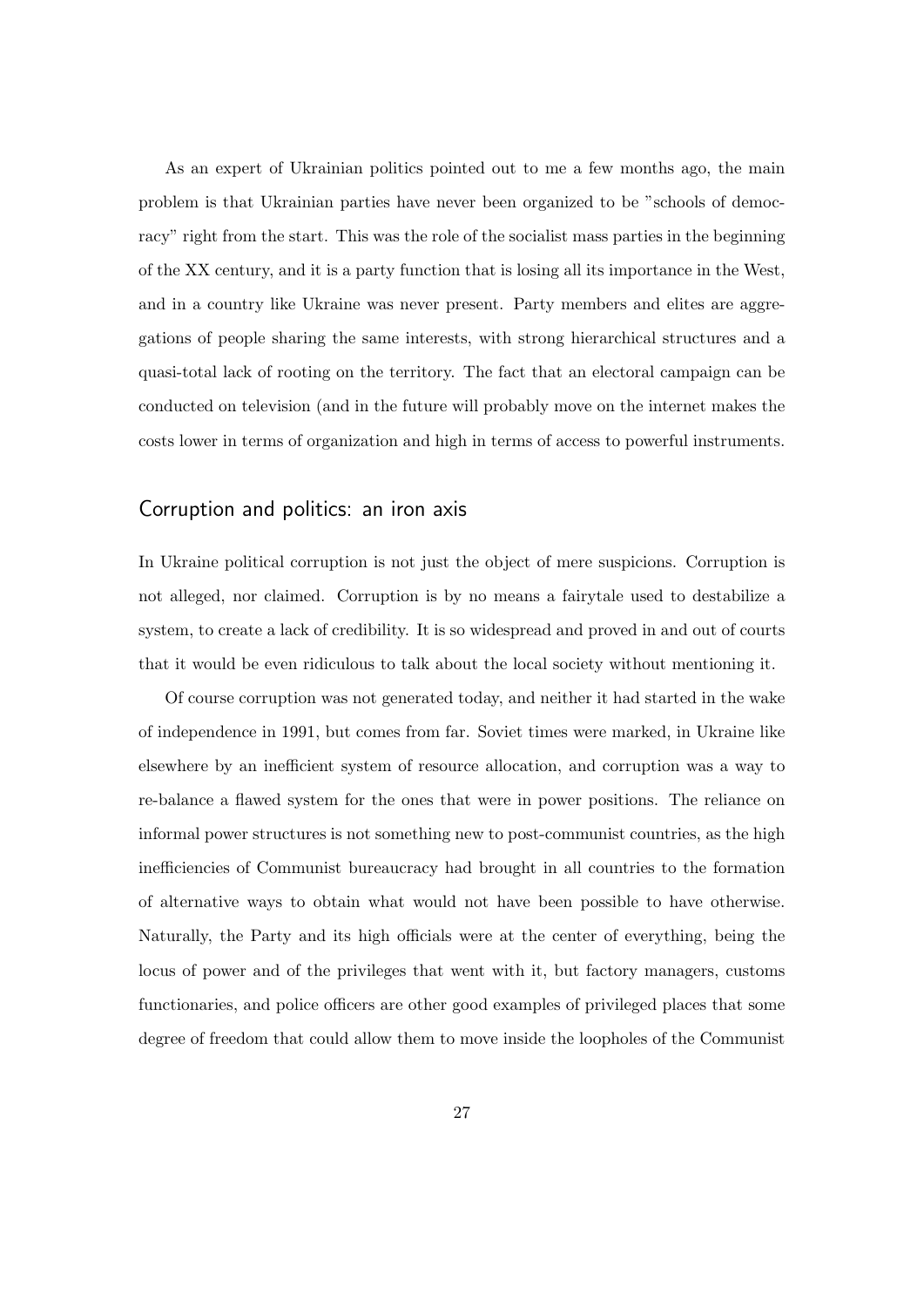As an expert of Ukrainian politics pointed out to me a few months ago, the main problem is that Ukrainian parties have never been organized to be "schools of democracy" right from the start. This was the role of the socialist mass parties in the beginning of the XX century, and it is a party function that is losing all its importance in the West, and in a country like Ukraine was never present. Party members and elites are aggregations of people sharing the same interests, with strong hierarchical structures and a quasi-total lack of rooting on the territory. The fact that an electoral campaign can be conducted on television (and in the future will probably move on the internet makes the costs lower in terms of organization and high in terms of access to powerful instruments.

## Corruption and politics: an iron axis

In Ukraine political corruption is not just the object of mere suspicions. Corruption is not alleged, nor claimed. Corruption is by no means a fairytale used to destabilize a system, to create a lack of credibility. It is so widespread and proved in and out of courts that it would be even ridiculous to talk about the local society without mentioning it.

Of course corruption was not generated today, and neither it had started in the wake of independence in 1991, but comes from far. Soviet times were marked, in Ukraine like elsewhere by an inefficient system of resource allocation, and corruption was a way to re-balance a flawed system for the ones that were in power positions. The reliance on informal power structures is not something new to post-communist countries, as the high inefficiencies of Communist bureaucracy had brought in all countries to the formation of alternative ways to obtain what would not have been possible to have otherwise. Naturally, the Party and its high officials were at the center of everything, being the locus of power and of the privileges that went with it, but factory managers, customs functionaries, and police officers are other good examples of privileged places that some degree of freedom that could allow them to move inside the loopholes of the Communist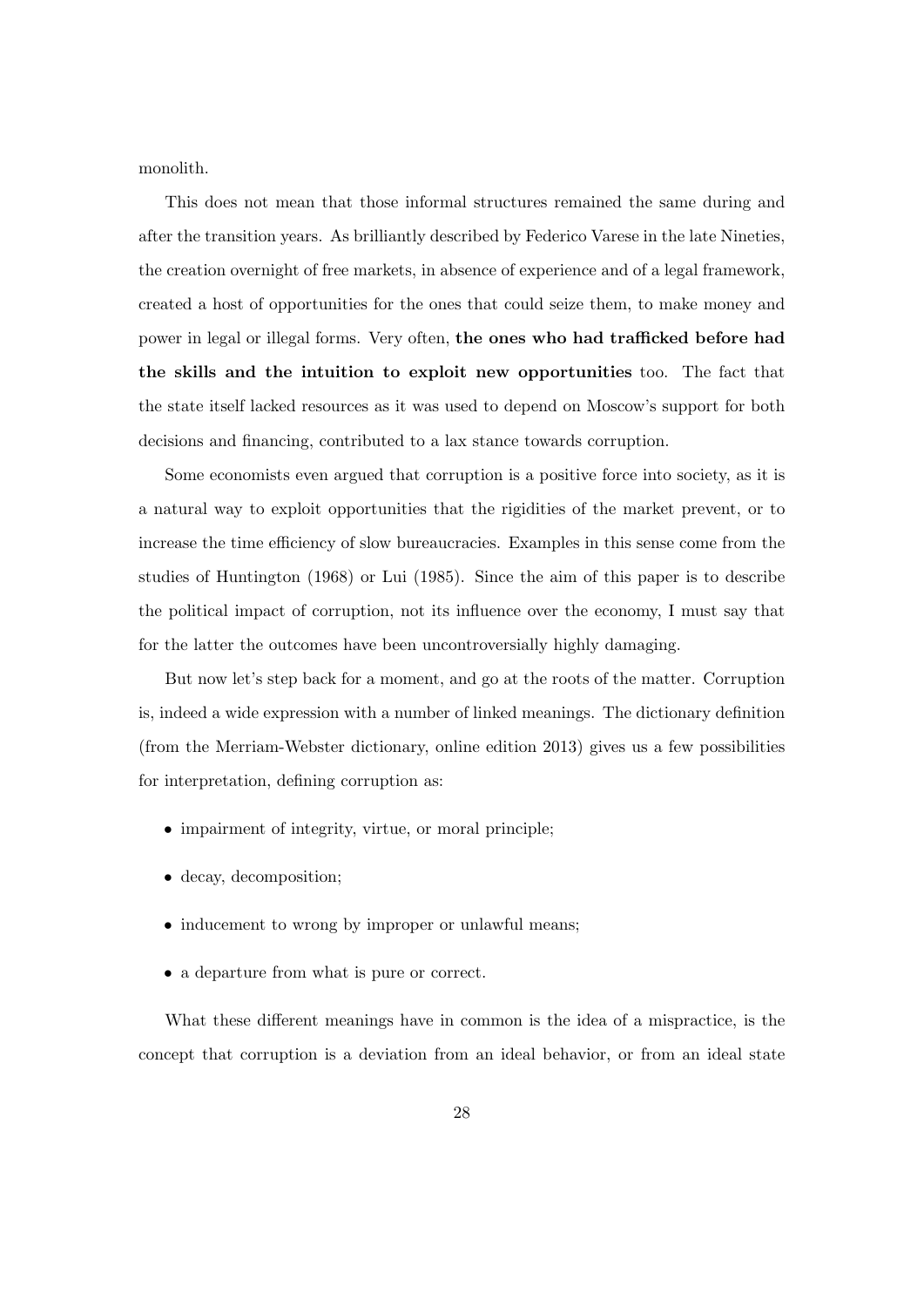monolith.

This does not mean that those informal structures remained the same during and after the transition years. As brilliantly described by Federico Varese in the late Nineties, the creation overnight of free markets, in absence of experience and of a legal framework, created a host of opportunities for the ones that could seize them, to make money and power in legal or illegal forms. Very often, the ones who had trafficked before had the skills and the intuition to exploit new opportunities too. The fact that the state itself lacked resources as it was used to depend on Moscow's support for both decisions and financing, contributed to a lax stance towards corruption.

Some economists even argued that corruption is a positive force into society, as it is a natural way to exploit opportunities that the rigidities of the market prevent, or to increase the time efficiency of slow bureaucracies. Examples in this sense come from the studies of Huntington (1968) or Lui (1985). Since the aim of this paper is to describe the political impact of corruption, not its influence over the economy, I must say that for the latter the outcomes have been uncontroversially highly damaging.

But now let's step back for a moment, and go at the roots of the matter. Corruption is, indeed a wide expression with a number of linked meanings. The dictionary definition (from the Merriam-Webster dictionary, online edition 2013) gives us a few possibilities for interpretation, defining corruption as:

- impairment of integrity, virtue, or moral principle;
- decay, decomposition;
- inducement to wrong by improper or unlawful means;
- a departure from what is pure or correct.

What these different meanings have in common is the idea of a mispractice, is the concept that corruption is a deviation from an ideal behavior, or from an ideal state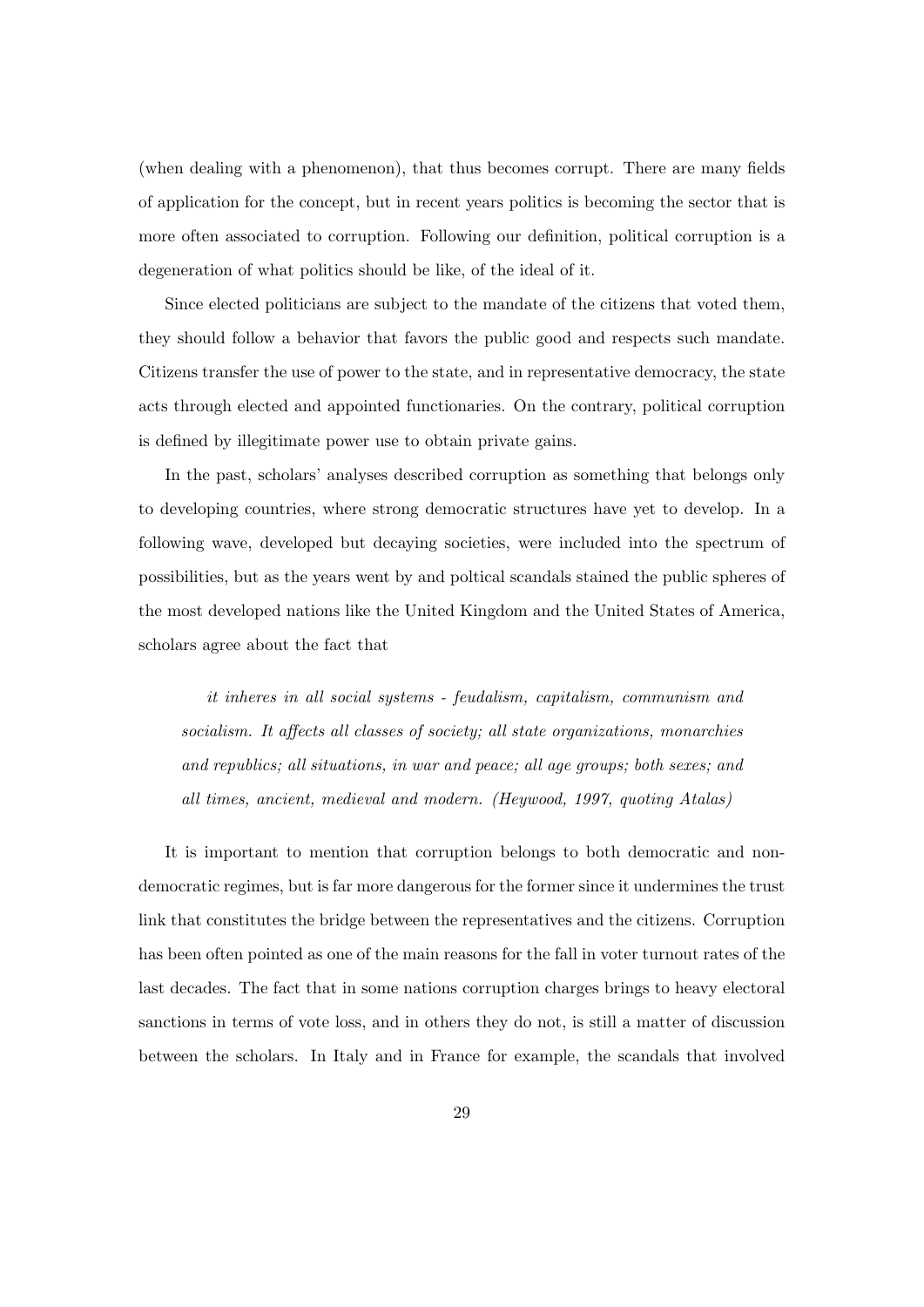(when dealing with a phenomenon), that thus becomes corrupt. There are many fields of application for the concept, but in recent years politics is becoming the sector that is more often associated to corruption. Following our definition, political corruption is a degeneration of what politics should be like, of the ideal of it.

Since elected politicians are subject to the mandate of the citizens that voted them, they should follow a behavior that favors the public good and respects such mandate. Citizens transfer the use of power to the state, and in representative democracy, the state acts through elected and appointed functionaries. On the contrary, political corruption is defined by illegitimate power use to obtain private gains.

In the past, scholars' analyses described corruption as something that belongs only to developing countries, where strong democratic structures have yet to develop. In a following wave, developed but decaying societies, were included into the spectrum of possibilities, but as the years went by and poltical scandals stained the public spheres of the most developed nations like the United Kingdom and the United States of America, scholars agree about the fact that

it inheres in all social systems - feudalism, capitalism, communism and socialism. It affects all classes of society; all state organizations, monarchies and republics; all situations, in war and peace; all age groups; both sexes; and all times, ancient, medieval and modern. (Heywood, 1997, quoting Atalas)

It is important to mention that corruption belongs to both democratic and nondemocratic regimes, but is far more dangerous for the former since it undermines the trust link that constitutes the bridge between the representatives and the citizens. Corruption has been often pointed as one of the main reasons for the fall in voter turnout rates of the last decades. The fact that in some nations corruption charges brings to heavy electoral sanctions in terms of vote loss, and in others they do not, is still a matter of discussion between the scholars. In Italy and in France for example, the scandals that involved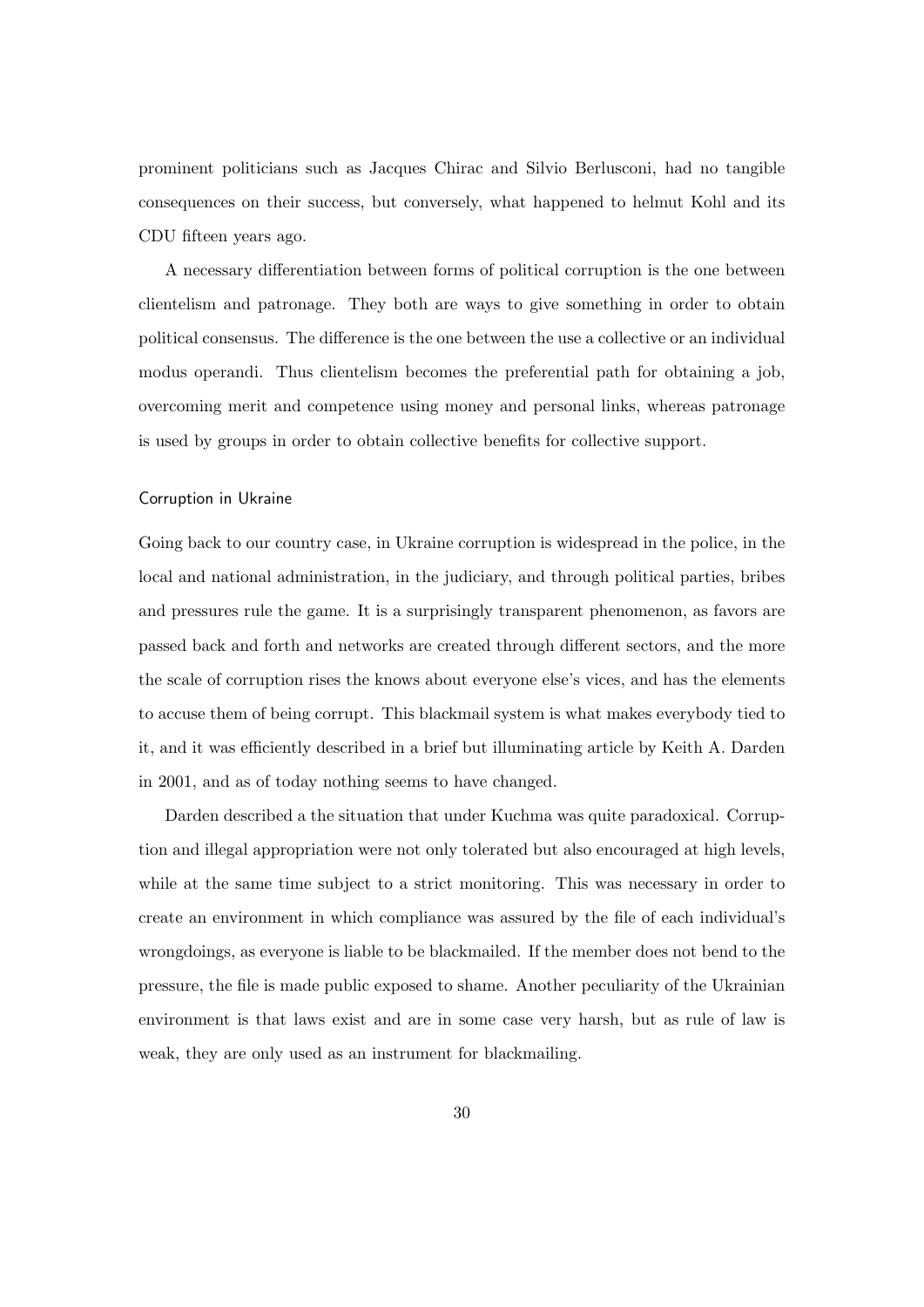prominent politicians such as Jacques Chirac and Silvio Berlusconi, had no tangible consequences on their success, but conversely, what happened to helmut Kohl and its CDU fifteen years ago.

A necessary differentiation between forms of political corruption is the one between clientelism and patronage. They both are ways to give something in order to obtain political consensus. The difference is the one between the use a collective or an individual modus operandi. Thus clientelism becomes the preferential path for obtaining a job, overcoming merit and competence using money and personal links, whereas patronage is used by groups in order to obtain collective benefits for collective support.

#### Corruption in Ukraine

Going back to our country case, in Ukraine corruption is widespread in the police, in the local and national administration, in the judiciary, and through political parties, bribes and pressures rule the game. It is a surprisingly transparent phenomenon, as favors are passed back and forth and networks are created through different sectors, and the more the scale of corruption rises the knows about everyone else's vices, and has the elements to accuse them of being corrupt. This blackmail system is what makes everybody tied to it, and it was efficiently described in a brief but illuminating article by Keith A. Darden in 2001, and as of today nothing seems to have changed.

Darden described a the situation that under Kuchma was quite paradoxical. Corruption and illegal appropriation were not only tolerated but also encouraged at high levels, while at the same time subject to a strict monitoring. This was necessary in order to create an environment in which compliance was assured by the file of each individual's wrongdoings, as everyone is liable to be blackmailed. If the member does not bend to the pressure, the file is made public exposed to shame. Another peculiarity of the Ukrainian environment is that laws exist and are in some case very harsh, but as rule of law is weak, they are only used as an instrument for blackmailing.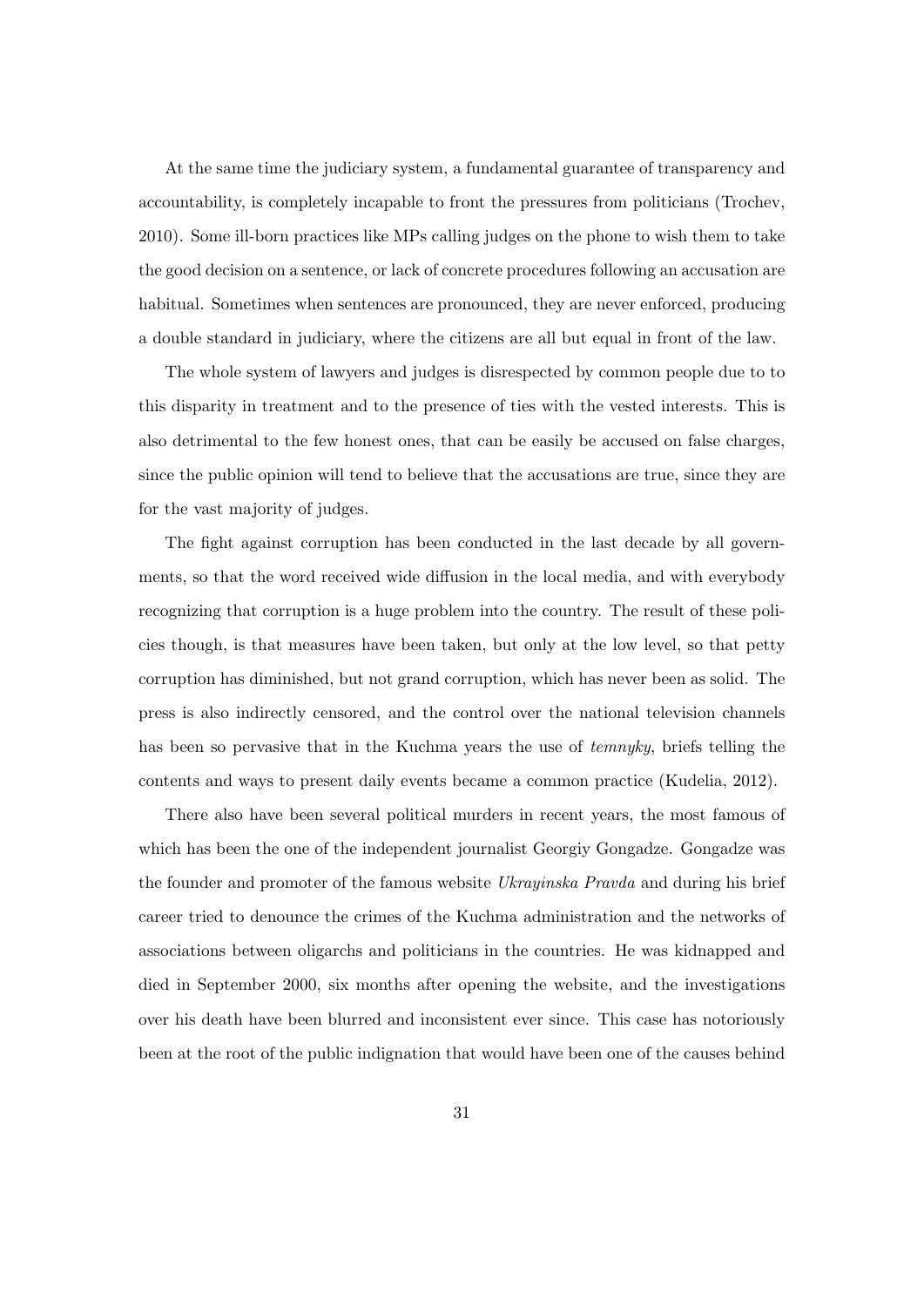At the same time the judiciary system, a fundamental guarantee of transparency and accountability, is completely incapable to front the pressures from politicians (Trochev, 2010). Some ill-born practices like MPs calling judges on the phone to wish them to take the good decision on a sentence, or lack of concrete procedures following an accusation are habitual. Sometimes when sentences are pronounced, they are never enforced, producing a double standard in judiciary, where the citizens are all but equal in front of the law.

The whole system of lawyers and judges is disrespected by common people due to to this disparity in treatment and to the presence of ties with the vested interests. This is also detrimental to the few honest ones, that can be easily be accused on false charges, since the public opinion will tend to believe that the accusations are true, since they are for the vast majority of judges.

The fight against corruption has been conducted in the last decade by all governments, so that the word received wide diffusion in the local media, and with everybody recognizing that corruption is a huge problem into the country. The result of these policies though, is that measures have been taken, but only at the low level, so that petty corruption has diminished, but not grand corruption, which has never been as solid. The press is also indirectly censored, and the control over the national television channels has been so pervasive that in the Kuchma years the use of *temnyky*, briefs telling the contents and ways to present daily events became a common practice (Kudelia, 2012).

There also have been several political murders in recent years, the most famous of which has been the one of the independent journalist Georgiy Gongadze. Gongadze was the founder and promoter of the famous website Ukrayinska Pravda and during his brief career tried to denounce the crimes of the Kuchma administration and the networks of associations between oligarchs and politicians in the countries. He was kidnapped and died in September 2000, six months after opening the website, and the investigations over his death have been blurred and inconsistent ever since. This case has notoriously been at the root of the public indignation that would have been one of the causes behind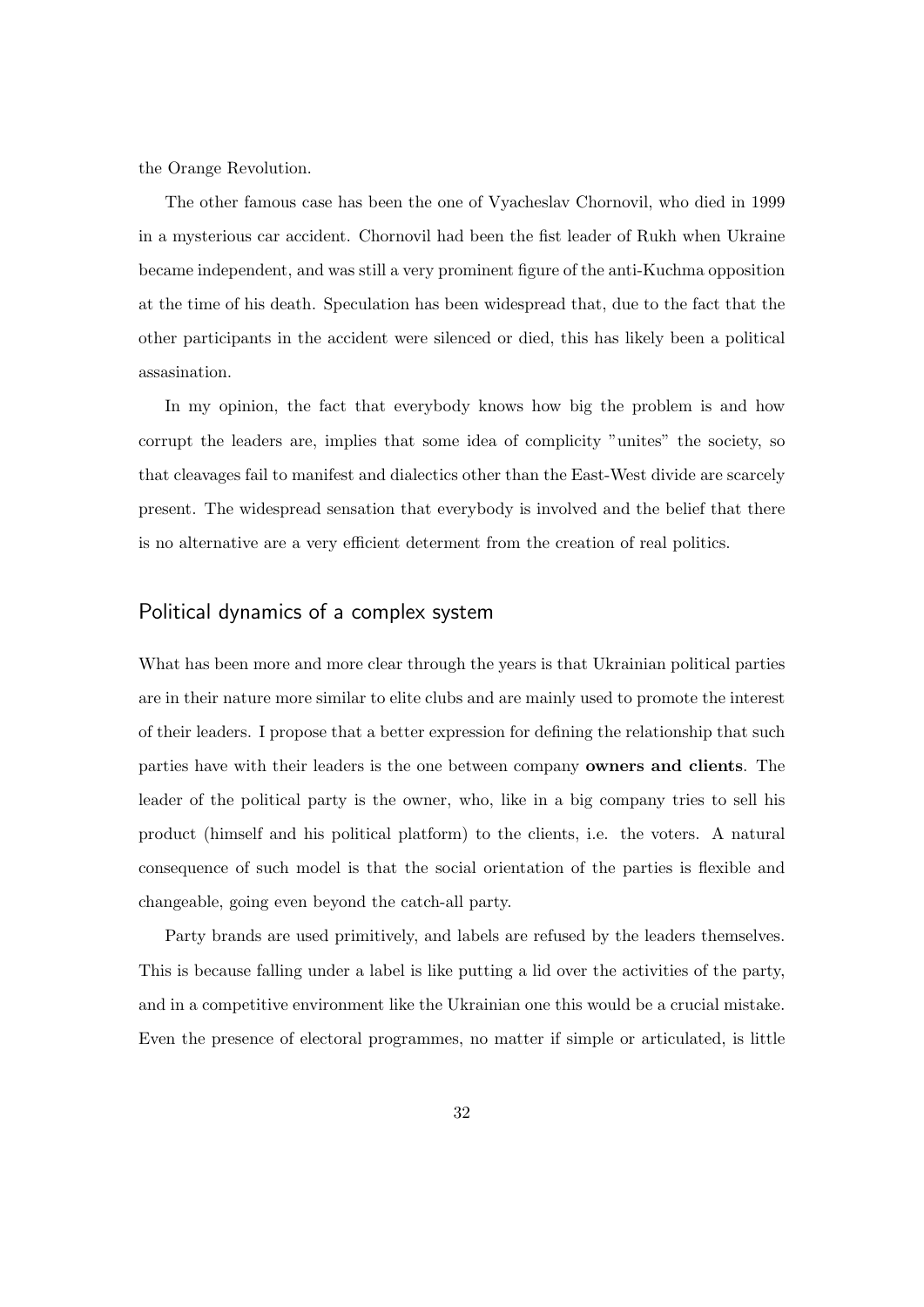the Orange Revolution.

The other famous case has been the one of Vyacheslav Chornovil, who died in 1999 in a mysterious car accident. Chornovil had been the fist leader of Rukh when Ukraine became independent, and was still a very prominent figure of the anti-Kuchma opposition at the time of his death. Speculation has been widespread that, due to the fact that the other participants in the accident were silenced or died, this has likely been a political assasination.

In my opinion, the fact that everybody knows how big the problem is and how corrupt the leaders are, implies that some idea of complicity "unites" the society, so that cleavages fail to manifest and dialectics other than the East-West divide are scarcely present. The widespread sensation that everybody is involved and the belief that there is no alternative are a very efficient determent from the creation of real politics.

## Political dynamics of a complex system

What has been more and more clear through the years is that Ukrainian political parties are in their nature more similar to elite clubs and are mainly used to promote the interest of their leaders. I propose that a better expression for defining the relationship that such parties have with their leaders is the one between company owners and clients. The leader of the political party is the owner, who, like in a big company tries to sell his product (himself and his political platform) to the clients, i.e. the voters. A natural consequence of such model is that the social orientation of the parties is flexible and changeable, going even beyond the catch-all party.

Party brands are used primitively, and labels are refused by the leaders themselves. This is because falling under a label is like putting a lid over the activities of the party, and in a competitive environment like the Ukrainian one this would be a crucial mistake. Even the presence of electoral programmes, no matter if simple or articulated, is little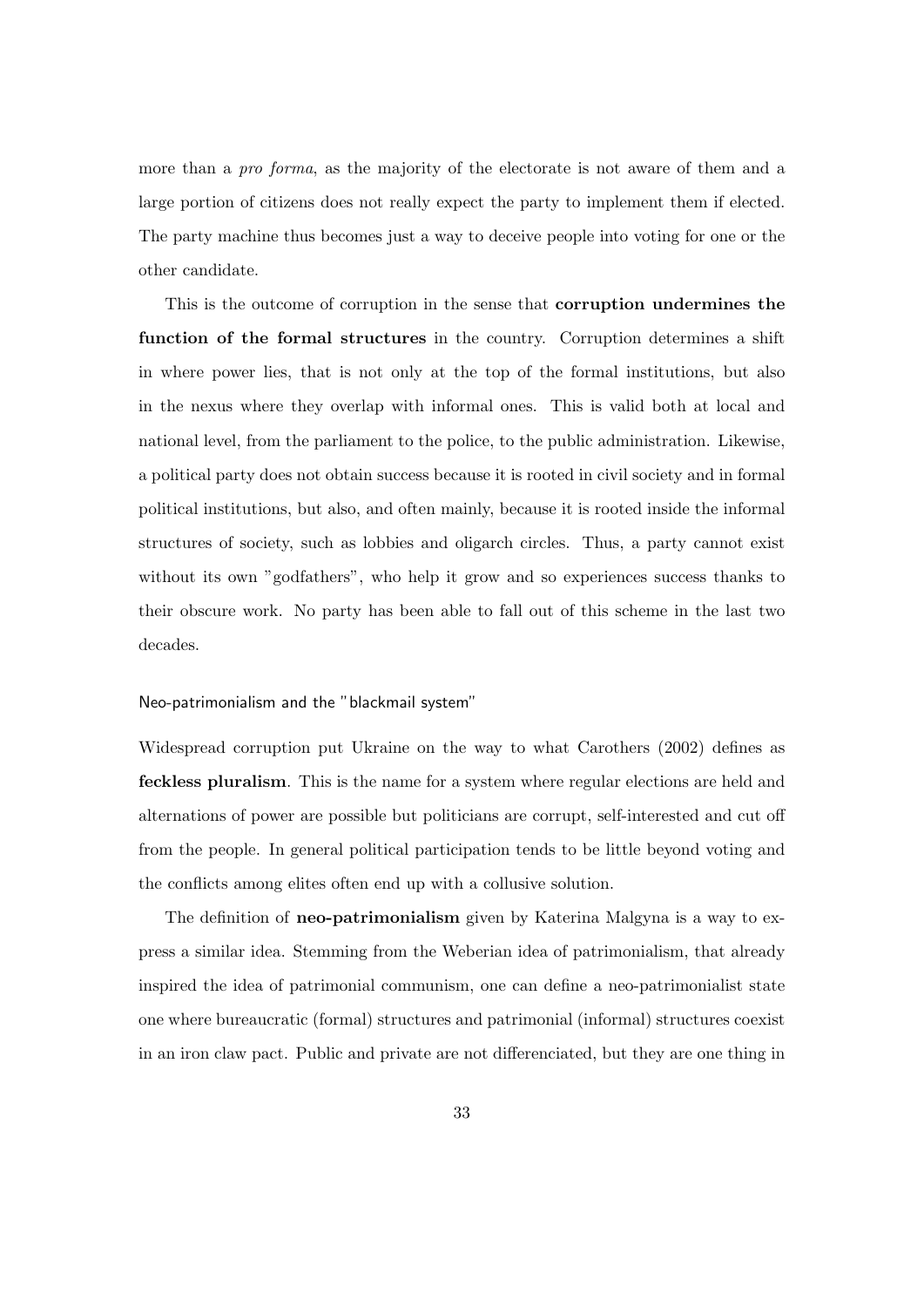more than a *pro forma*, as the majority of the electorate is not aware of them and a large portion of citizens does not really expect the party to implement them if elected. The party machine thus becomes just a way to deceive people into voting for one or the other candidate.

This is the outcome of corruption in the sense that corruption undermines the function of the formal structures in the country. Corruption determines a shift in where power lies, that is not only at the top of the formal institutions, but also in the nexus where they overlap with informal ones. This is valid both at local and national level, from the parliament to the police, to the public administration. Likewise, a political party does not obtain success because it is rooted in civil society and in formal political institutions, but also, and often mainly, because it is rooted inside the informal structures of society, such as lobbies and oligarch circles. Thus, a party cannot exist without its own "godfathers", who help it grow and so experiences success thanks to their obscure work. No party has been able to fall out of this scheme in the last two decades.

#### Neo-patrimonialism and the "blackmail system"

Widespread corruption put Ukraine on the way to what Carothers (2002) defines as feckless pluralism. This is the name for a system where regular elections are held and alternations of power are possible but politicians are corrupt, self-interested and cut off from the people. In general political participation tends to be little beyond voting and the conflicts among elites often end up with a collusive solution.

The definition of **neo-patrimonialism** given by Katerina Malgyna is a way to express a similar idea. Stemming from the Weberian idea of patrimonialism, that already inspired the idea of patrimonial communism, one can define a neo-patrimonialist state one where bureaucratic (formal) structures and patrimonial (informal) structures coexist in an iron claw pact. Public and private are not differenciated, but they are one thing in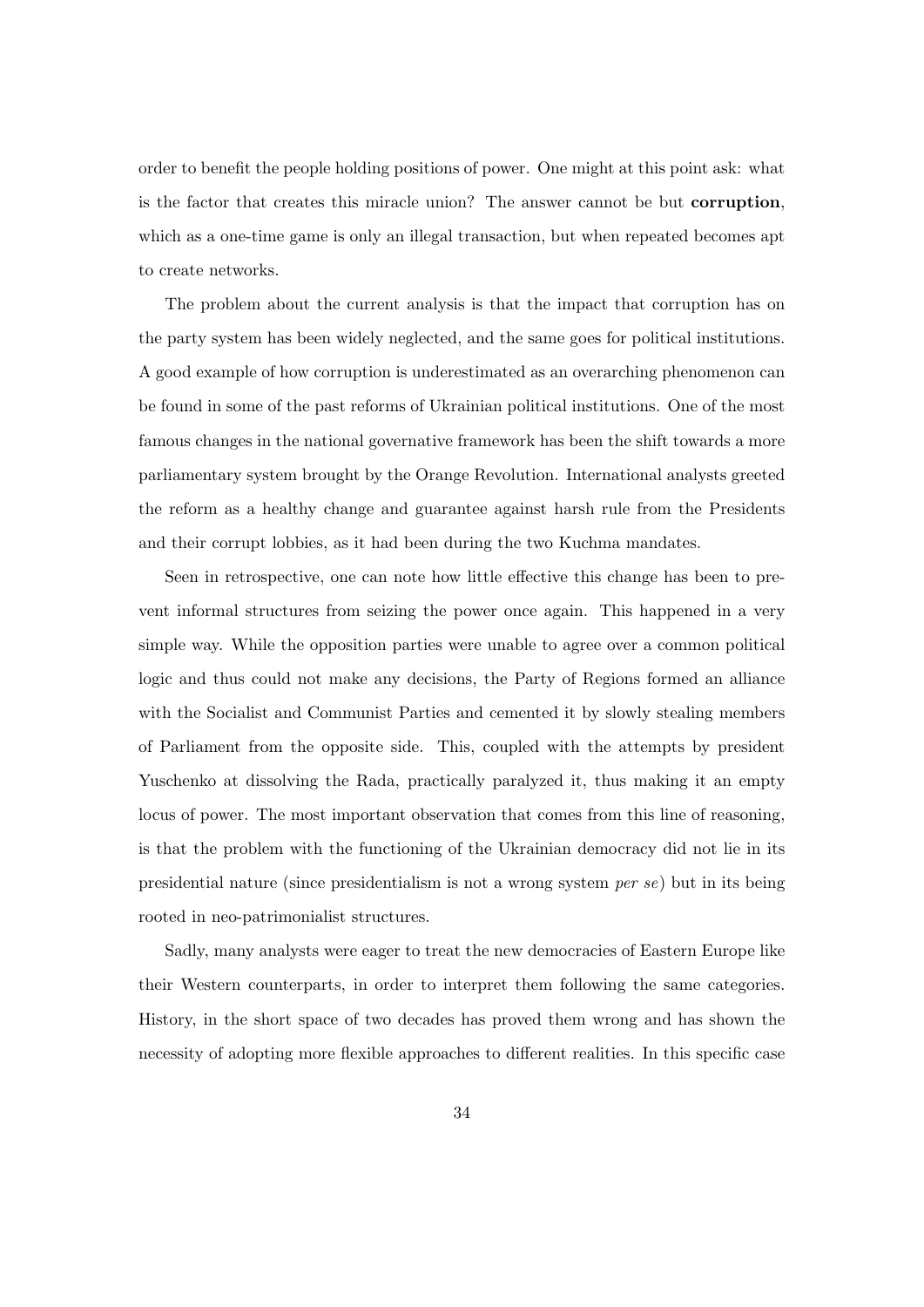order to benefit the people holding positions of power. One might at this point ask: what is the factor that creates this miracle union? The answer cannot be but corruption, which as a one-time game is only an illegal transaction, but when repeated becomes apt to create networks.

The problem about the current analysis is that the impact that corruption has on the party system has been widely neglected, and the same goes for political institutions. A good example of how corruption is underestimated as an overarching phenomenon can be found in some of the past reforms of Ukrainian political institutions. One of the most famous changes in the national governative framework has been the shift towards a more parliamentary system brought by the Orange Revolution. International analysts greeted the reform as a healthy change and guarantee against harsh rule from the Presidents and their corrupt lobbies, as it had been during the two Kuchma mandates.

Seen in retrospective, one can note how little effective this change has been to prevent informal structures from seizing the power once again. This happened in a very simple way. While the opposition parties were unable to agree over a common political logic and thus could not make any decisions, the Party of Regions formed an alliance with the Socialist and Communist Parties and cemented it by slowly stealing members of Parliament from the opposite side. This, coupled with the attempts by president Yuschenko at dissolving the Rada, practically paralyzed it, thus making it an empty locus of power. The most important observation that comes from this line of reasoning, is that the problem with the functioning of the Ukrainian democracy did not lie in its presidential nature (since presidentialism is not a wrong system per se) but in its being rooted in neo-patrimonialist structures.

Sadly, many analysts were eager to treat the new democracies of Eastern Europe like their Western counterparts, in order to interpret them following the same categories. History, in the short space of two decades has proved them wrong and has shown the necessity of adopting more flexible approaches to different realities. In this specific case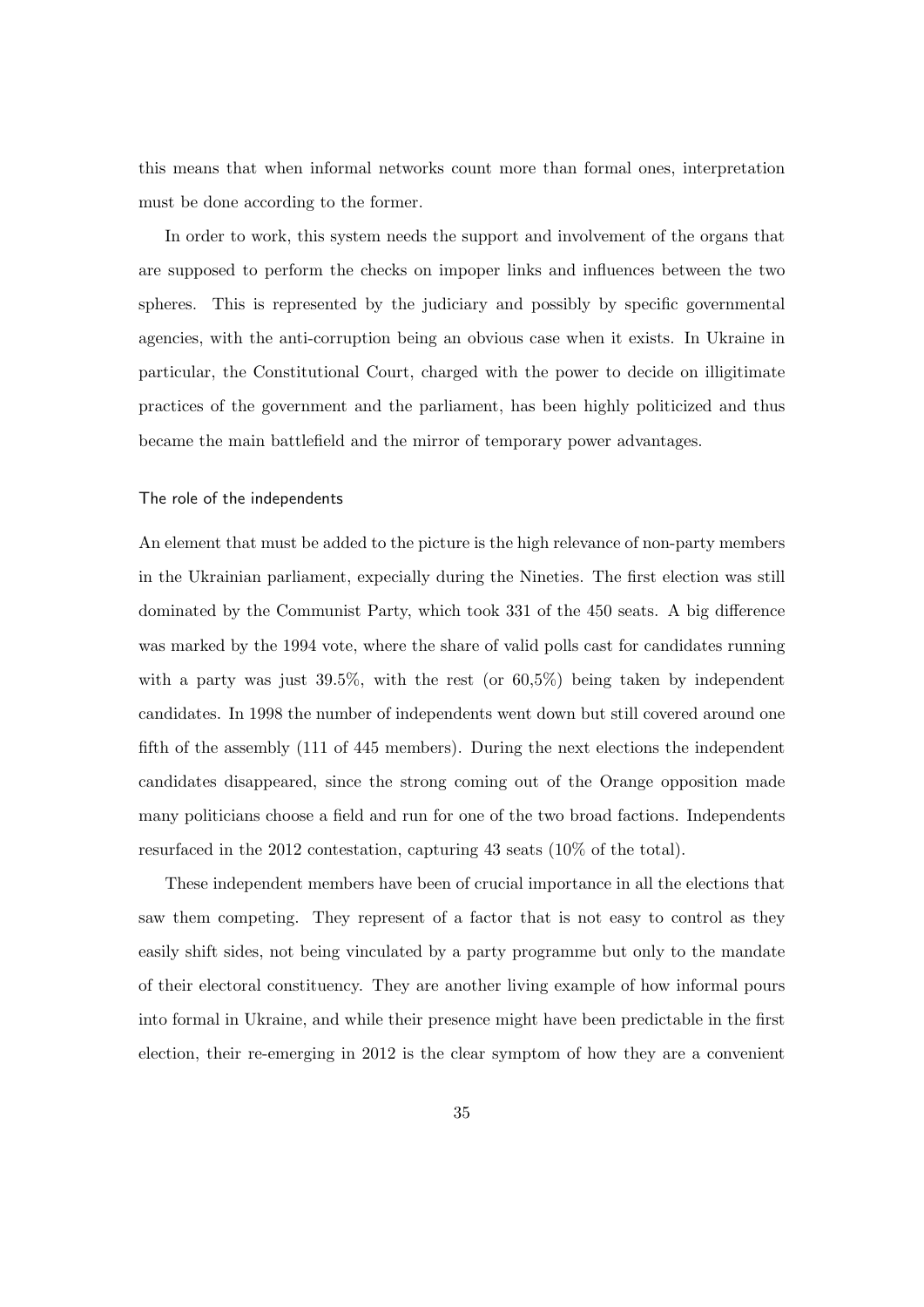this means that when informal networks count more than formal ones, interpretation must be done according to the former.

In order to work, this system needs the support and involvement of the organs that are supposed to perform the checks on impoper links and influences between the two spheres. This is represented by the judiciary and possibly by specific governmental agencies, with the anti-corruption being an obvious case when it exists. In Ukraine in particular, the Constitutional Court, charged with the power to decide on illigitimate practices of the government and the parliament, has been highly politicized and thus became the main battlefield and the mirror of temporary power advantages.

#### The role of the independents

An element that must be added to the picture is the high relevance of non-party members in the Ukrainian parliament, expecially during the Nineties. The first election was still dominated by the Communist Party, which took 331 of the 450 seats. A big difference was marked by the 1994 vote, where the share of valid polls cast for candidates running with a party was just 39.5%, with the rest (or 60,5%) being taken by independent candidates. In 1998 the number of independents went down but still covered around one fifth of the assembly (111 of 445 members). During the next elections the independent candidates disappeared, since the strong coming out of the Orange opposition made many politicians choose a field and run for one of the two broad factions. Independents resurfaced in the 2012 contestation, capturing 43 seats (10% of the total).

These independent members have been of crucial importance in all the elections that saw them competing. They represent of a factor that is not easy to control as they easily shift sides, not being vinculated by a party programme but only to the mandate of their electoral constituency. They are another living example of how informal pours into formal in Ukraine, and while their presence might have been predictable in the first election, their re-emerging in 2012 is the clear symptom of how they are a convenient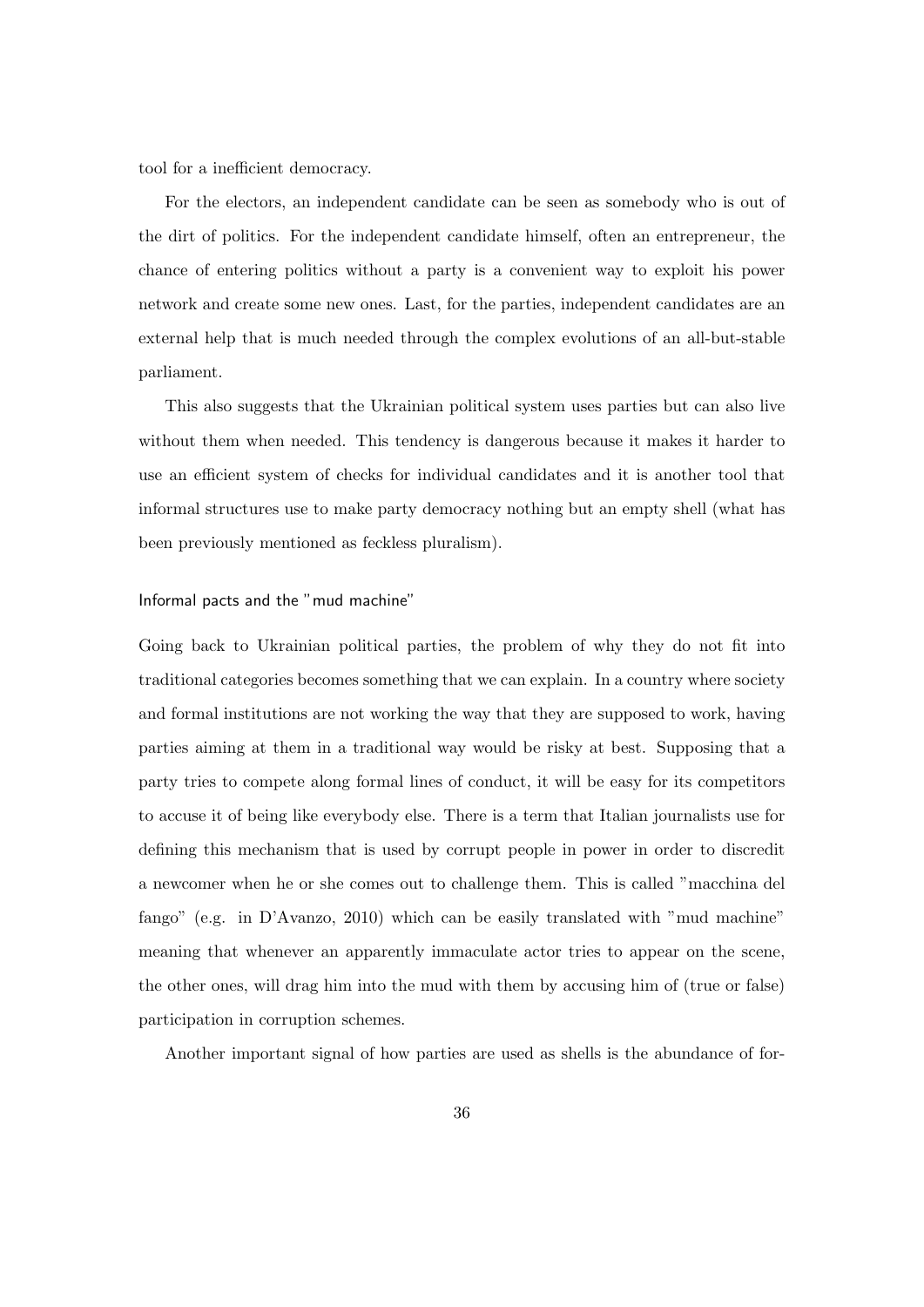tool for a inefficient democracy.

For the electors, an independent candidate can be seen as somebody who is out of the dirt of politics. For the independent candidate himself, often an entrepreneur, the chance of entering politics without a party is a convenient way to exploit his power network and create some new ones. Last, for the parties, independent candidates are an external help that is much needed through the complex evolutions of an all-but-stable parliament.

This also suggests that the Ukrainian political system uses parties but can also live without them when needed. This tendency is dangerous because it makes it harder to use an efficient system of checks for individual candidates and it is another tool that informal structures use to make party democracy nothing but an empty shell (what has been previously mentioned as feckless pluralism).

#### Informal pacts and the "mud machine"

Going back to Ukrainian political parties, the problem of why they do not fit into traditional categories becomes something that we can explain. In a country where society and formal institutions are not working the way that they are supposed to work, having parties aiming at them in a traditional way would be risky at best. Supposing that a party tries to compete along formal lines of conduct, it will be easy for its competitors to accuse it of being like everybody else. There is a term that Italian journalists use for defining this mechanism that is used by corrupt people in power in order to discredit a newcomer when he or she comes out to challenge them. This is called "macchina del fango" (e.g. in D'Avanzo, 2010) which can be easily translated with "mud machine" meaning that whenever an apparently immaculate actor tries to appear on the scene, the other ones, will drag him into the mud with them by accusing him of (true or false) participation in corruption schemes.

Another important signal of how parties are used as shells is the abundance of for-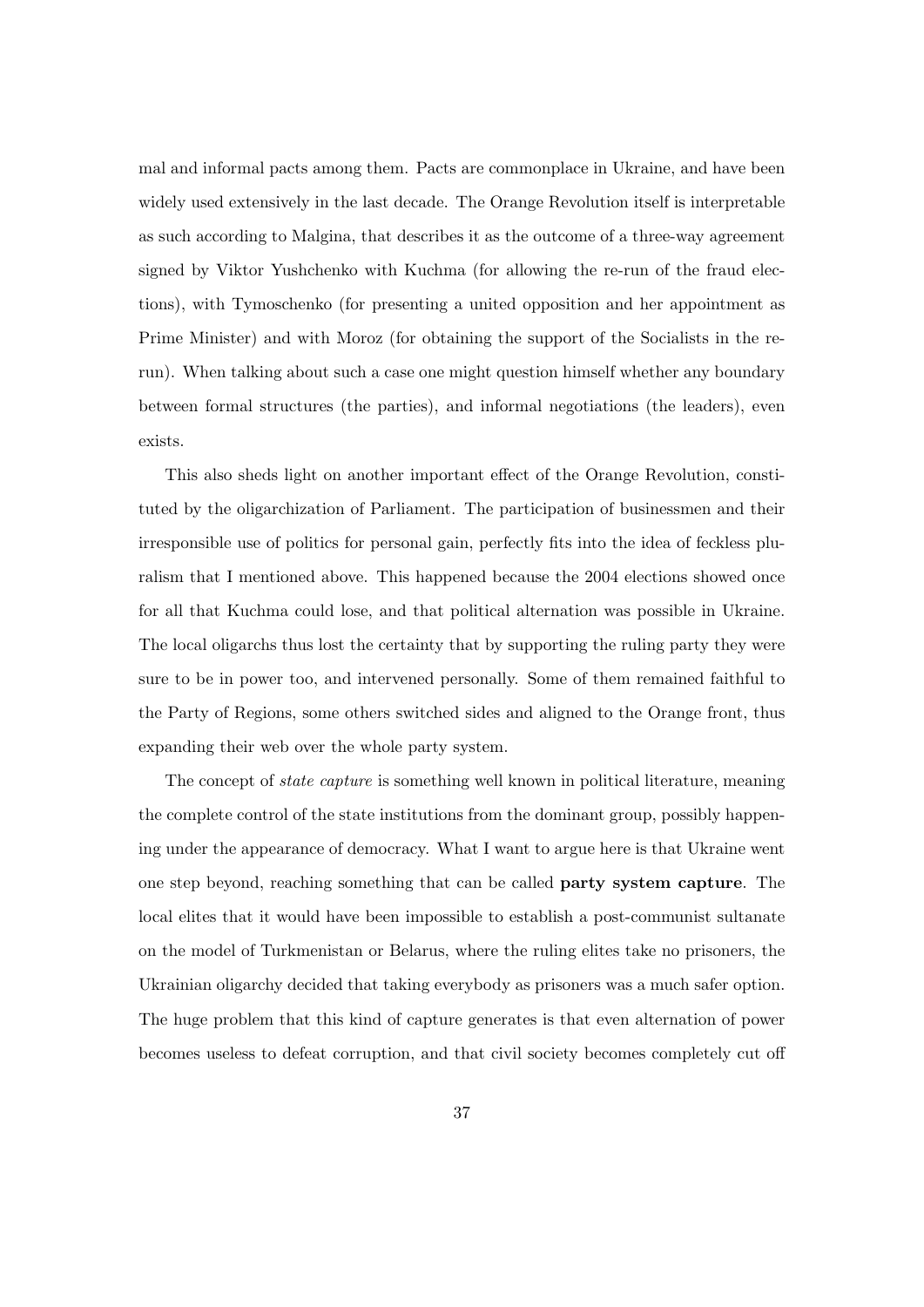mal and informal pacts among them. Pacts are commonplace in Ukraine, and have been widely used extensively in the last decade. The Orange Revolution itself is interpretable as such according to Malgina, that describes it as the outcome of a three-way agreement signed by Viktor Yushchenko with Kuchma (for allowing the re-run of the fraud elections), with Tymoschenko (for presenting a united opposition and her appointment as Prime Minister) and with Moroz (for obtaining the support of the Socialists in the rerun). When talking about such a case one might question himself whether any boundary between formal structures (the parties), and informal negotiations (the leaders), even exists.

This also sheds light on another important effect of the Orange Revolution, constituted by the oligarchization of Parliament. The participation of businessmen and their irresponsible use of politics for personal gain, perfectly fits into the idea of feckless pluralism that I mentioned above. This happened because the 2004 elections showed once for all that Kuchma could lose, and that political alternation was possible in Ukraine. The local oligarchs thus lost the certainty that by supporting the ruling party they were sure to be in power too, and intervened personally. Some of them remained faithful to the Party of Regions, some others switched sides and aligned to the Orange front, thus expanding their web over the whole party system.

The concept of state capture is something well known in political literature, meaning the complete control of the state institutions from the dominant group, possibly happening under the appearance of democracy. What I want to argue here is that Ukraine went one step beyond, reaching something that can be called party system capture. The local elites that it would have been impossible to establish a post-communist sultanate on the model of Turkmenistan or Belarus, where the ruling elites take no prisoners, the Ukrainian oligarchy decided that taking everybody as prisoners was a much safer option. The huge problem that this kind of capture generates is that even alternation of power becomes useless to defeat corruption, and that civil society becomes completely cut off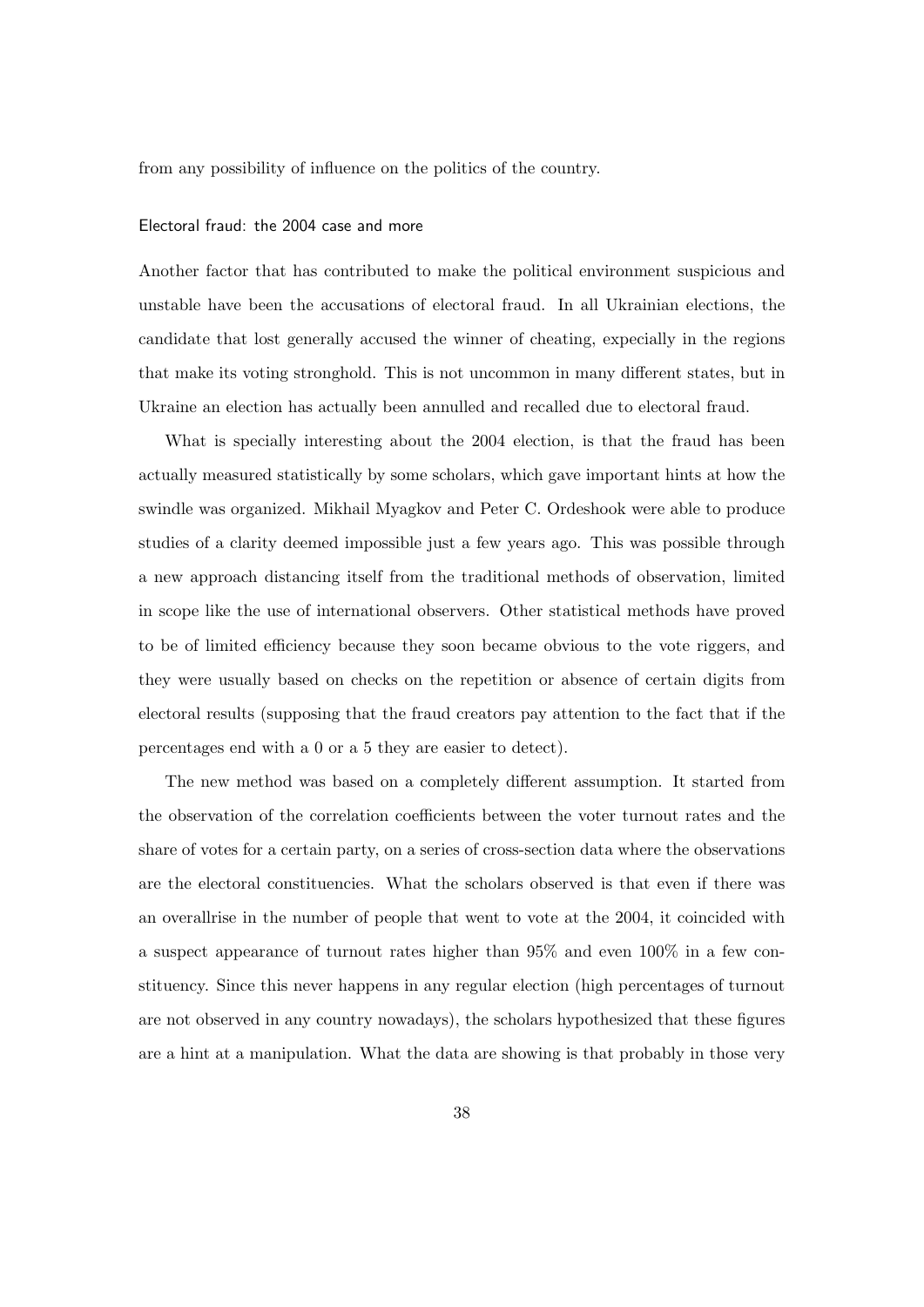from any possibility of influence on the politics of the country.

#### Electoral fraud: the 2004 case and more

Another factor that has contributed to make the political environment suspicious and unstable have been the accusations of electoral fraud. In all Ukrainian elections, the candidate that lost generally accused the winner of cheating, expecially in the regions that make its voting stronghold. This is not uncommon in many different states, but in Ukraine an election has actually been annulled and recalled due to electoral fraud.

What is specially interesting about the 2004 election, is that the fraud has been actually measured statistically by some scholars, which gave important hints at how the swindle was organized. Mikhail Myagkov and Peter C. Ordeshook were able to produce studies of a clarity deemed impossible just a few years ago. This was possible through a new approach distancing itself from the traditional methods of observation, limited in scope like the use of international observers. Other statistical methods have proved to be of limited efficiency because they soon became obvious to the vote riggers, and they were usually based on checks on the repetition or absence of certain digits from electoral results (supposing that the fraud creators pay attention to the fact that if the percentages end with a 0 or a 5 they are easier to detect).

The new method was based on a completely different assumption. It started from the observation of the correlation coefficients between the voter turnout rates and the share of votes for a certain party, on a series of cross-section data where the observations are the electoral constituencies. What the scholars observed is that even if there was an overallrise in the number of people that went to vote at the 2004, it coincided with a suspect appearance of turnout rates higher than 95% and even 100% in a few constituency. Since this never happens in any regular election (high percentages of turnout are not observed in any country nowadays), the scholars hypothesized that these figures are a hint at a manipulation. What the data are showing is that probably in those very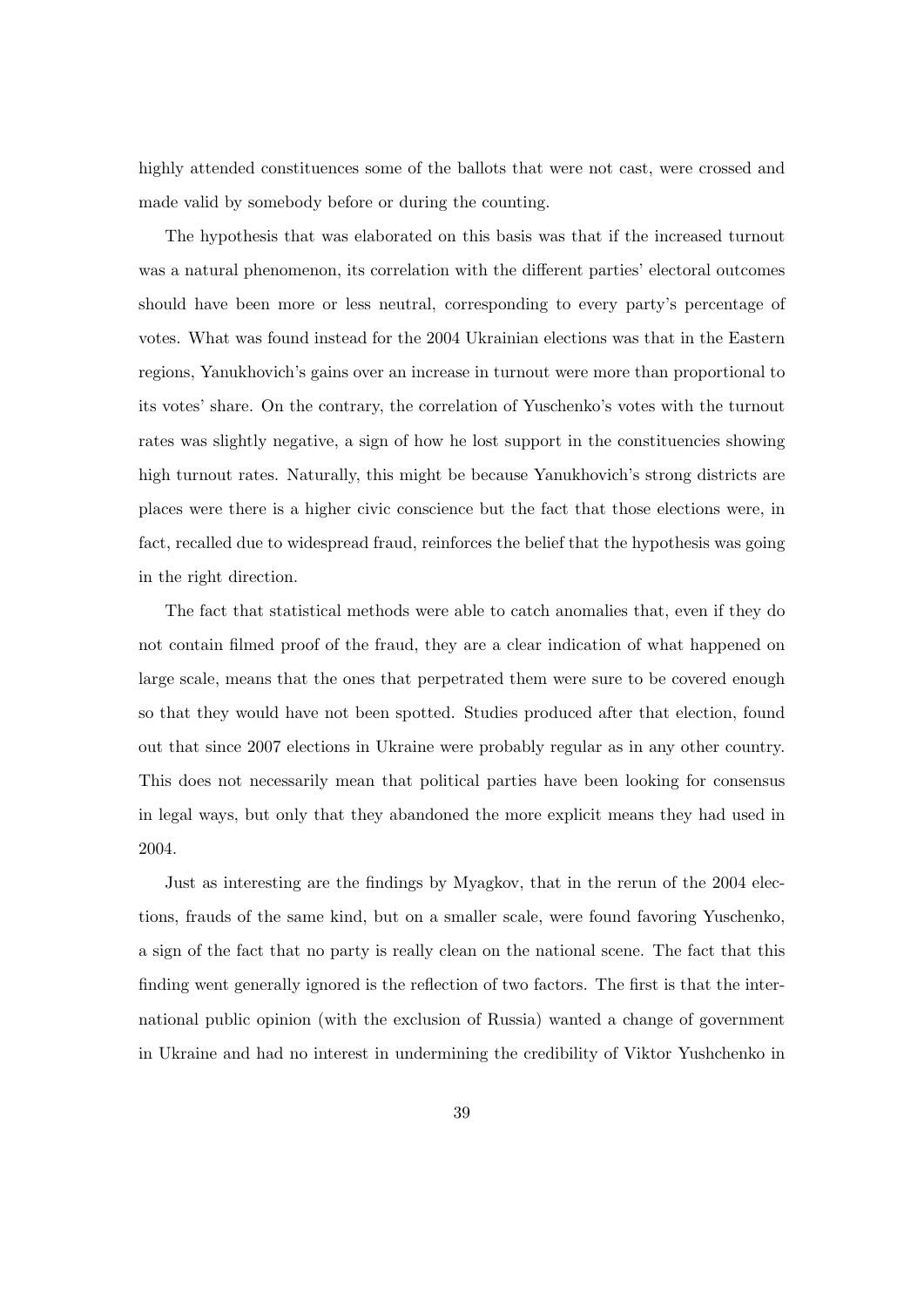highly attended constituences some of the ballots that were not cast, were crossed and made valid by somebody before or during the counting.

The hypothesis that was elaborated on this basis was that if the increased turnout was a natural phenomenon, its correlation with the different parties' electoral outcomes should have been more or less neutral, corresponding to every party's percentage of votes. What was found instead for the 2004 Ukrainian elections was that in the Eastern regions, Yanukhovich's gains over an increase in turnout were more than proportional to its votes' share. On the contrary, the correlation of Yuschenko's votes with the turnout rates was slightly negative, a sign of how he lost support in the constituencies showing high turnout rates. Naturally, this might be because Yanukhovich's strong districts are places were there is a higher civic conscience but the fact that those elections were, in fact, recalled due to widespread fraud, reinforces the belief that the hypothesis was going in the right direction.

The fact that statistical methods were able to catch anomalies that, even if they do not contain filmed proof of the fraud, they are a clear indication of what happened on large scale, means that the ones that perpetrated them were sure to be covered enough so that they would have not been spotted. Studies produced after that election, found out that since 2007 elections in Ukraine were probably regular as in any other country. This does not necessarily mean that political parties have been looking for consensus in legal ways, but only that they abandoned the more explicit means they had used in 2004.

Just as interesting are the findings by Myagkov, that in the rerun of the 2004 elections, frauds of the same kind, but on a smaller scale, were found favoring Yuschenko, a sign of the fact that no party is really clean on the national scene. The fact that this finding went generally ignored is the reflection of two factors. The first is that the international public opinion (with the exclusion of Russia) wanted a change of government in Ukraine and had no interest in undermining the credibility of Viktor Yushchenko in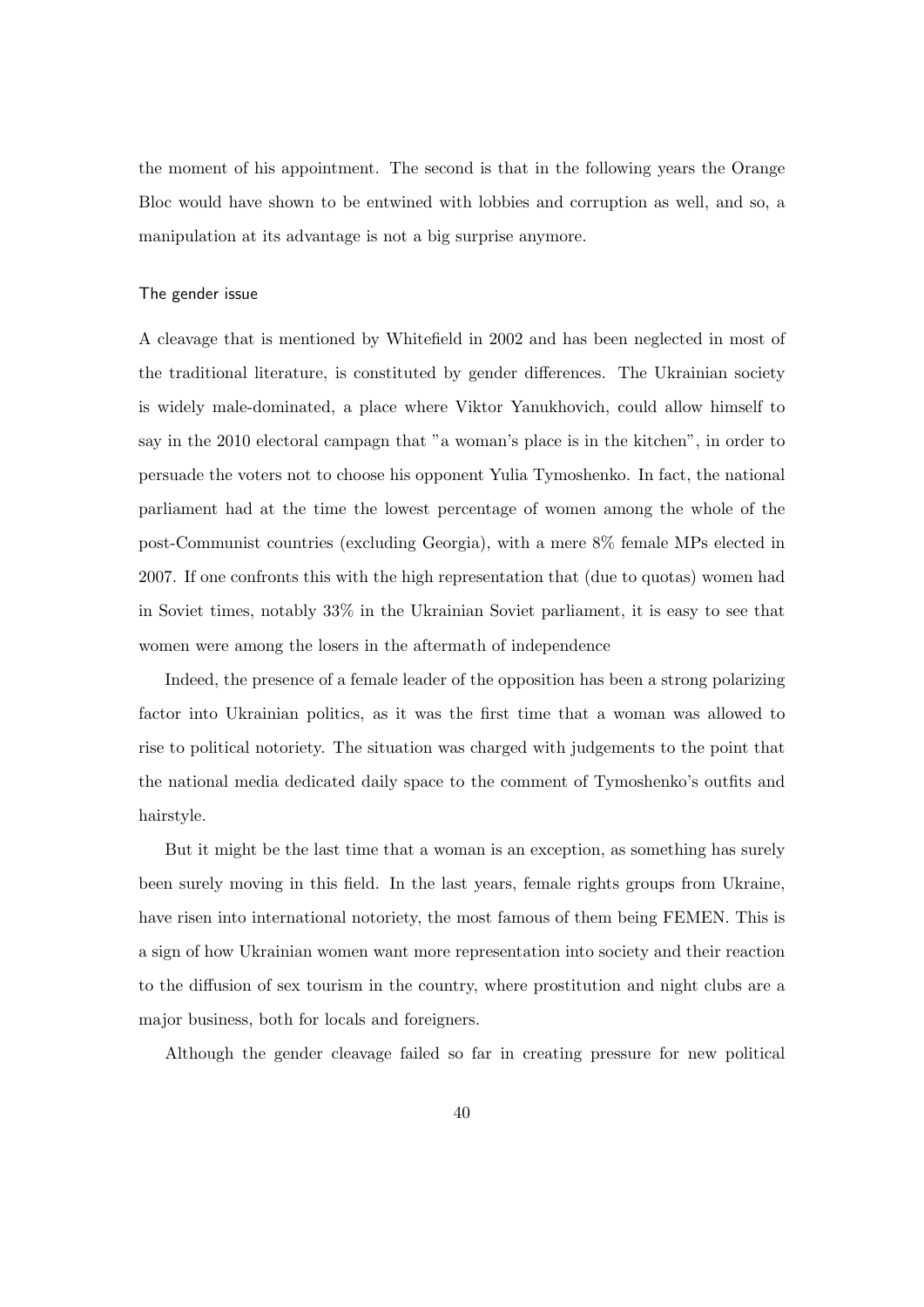the moment of his appointment. The second is that in the following years the Orange Bloc would have shown to be entwined with lobbies and corruption as well, and so, a manipulation at its advantage is not a big surprise anymore.

#### The gender issue

A cleavage that is mentioned by Whitefield in 2002 and has been neglected in most of the traditional literature, is constituted by gender differences. The Ukrainian society is widely male-dominated, a place where Viktor Yanukhovich, could allow himself to say in the 2010 electoral campagn that "a woman's place is in the kitchen", in order to persuade the voters not to choose his opponent Yulia Tymoshenko. In fact, the national parliament had at the time the lowest percentage of women among the whole of the post-Communist countries (excluding Georgia), with a mere 8% female MPs elected in 2007. If one confronts this with the high representation that (due to quotas) women had in Soviet times, notably 33% in the Ukrainian Soviet parliament, it is easy to see that women were among the losers in the aftermath of independence

Indeed, the presence of a female leader of the opposition has been a strong polarizing factor into Ukrainian politics, as it was the first time that a woman was allowed to rise to political notoriety. The situation was charged with judgements to the point that the national media dedicated daily space to the comment of Tymoshenko's outfits and hairstyle.

But it might be the last time that a woman is an exception, as something has surely been surely moving in this field. In the last years, female rights groups from Ukraine, have risen into international notoriety, the most famous of them being FEMEN. This is a sign of how Ukrainian women want more representation into society and their reaction to the diffusion of sex tourism in the country, where prostitution and night clubs are a major business, both for locals and foreigners.

Although the gender cleavage failed so far in creating pressure for new political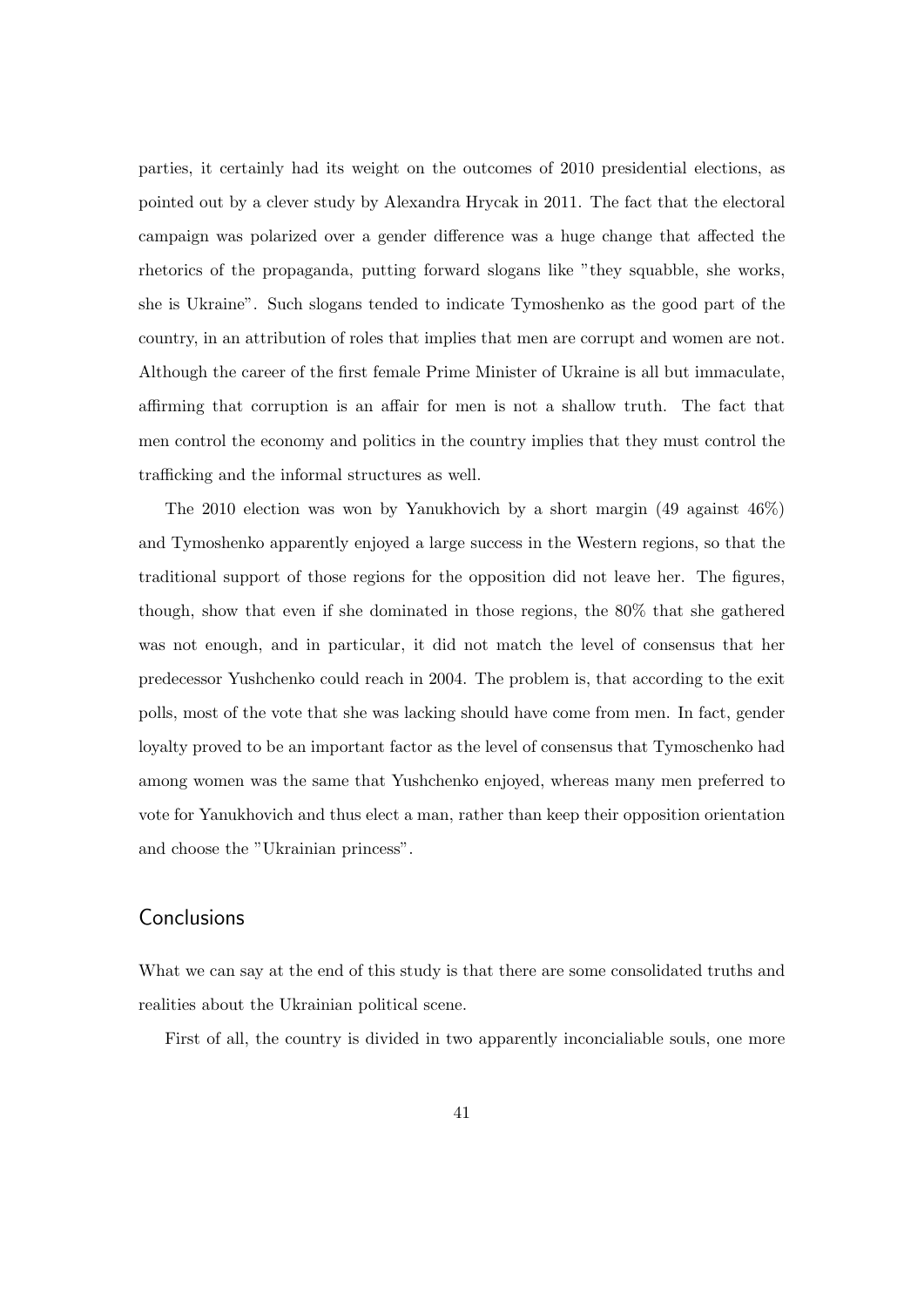parties, it certainly had its weight on the outcomes of 2010 presidential elections, as pointed out by a clever study by Alexandra Hrycak in 2011. The fact that the electoral campaign was polarized over a gender difference was a huge change that affected the rhetorics of the propaganda, putting forward slogans like "they squabble, she works, she is Ukraine". Such slogans tended to indicate Tymoshenko as the good part of the country, in an attribution of roles that implies that men are corrupt and women are not. Although the career of the first female Prime Minister of Ukraine is all but immaculate, affirming that corruption is an affair for men is not a shallow truth. The fact that men control the economy and politics in the country implies that they must control the trafficking and the informal structures as well.

The 2010 election was won by Yanukhovich by a short margin (49 against 46%) and Tymoshenko apparently enjoyed a large success in the Western regions, so that the traditional support of those regions for the opposition did not leave her. The figures, though, show that even if she dominated in those regions, the 80% that she gathered was not enough, and in particular, it did not match the level of consensus that her predecessor Yushchenko could reach in 2004. The problem is, that according to the exit polls, most of the vote that she was lacking should have come from men. In fact, gender loyalty proved to be an important factor as the level of consensus that Tymoschenko had among women was the same that Yushchenko enjoyed, whereas many men preferred to vote for Yanukhovich and thus elect a man, rather than keep their opposition orientation and choose the "Ukrainian princess".

## **Conclusions**

What we can say at the end of this study is that there are some consolidated truths and realities about the Ukrainian political scene.

First of all, the country is divided in two apparently inconcialiable souls, one more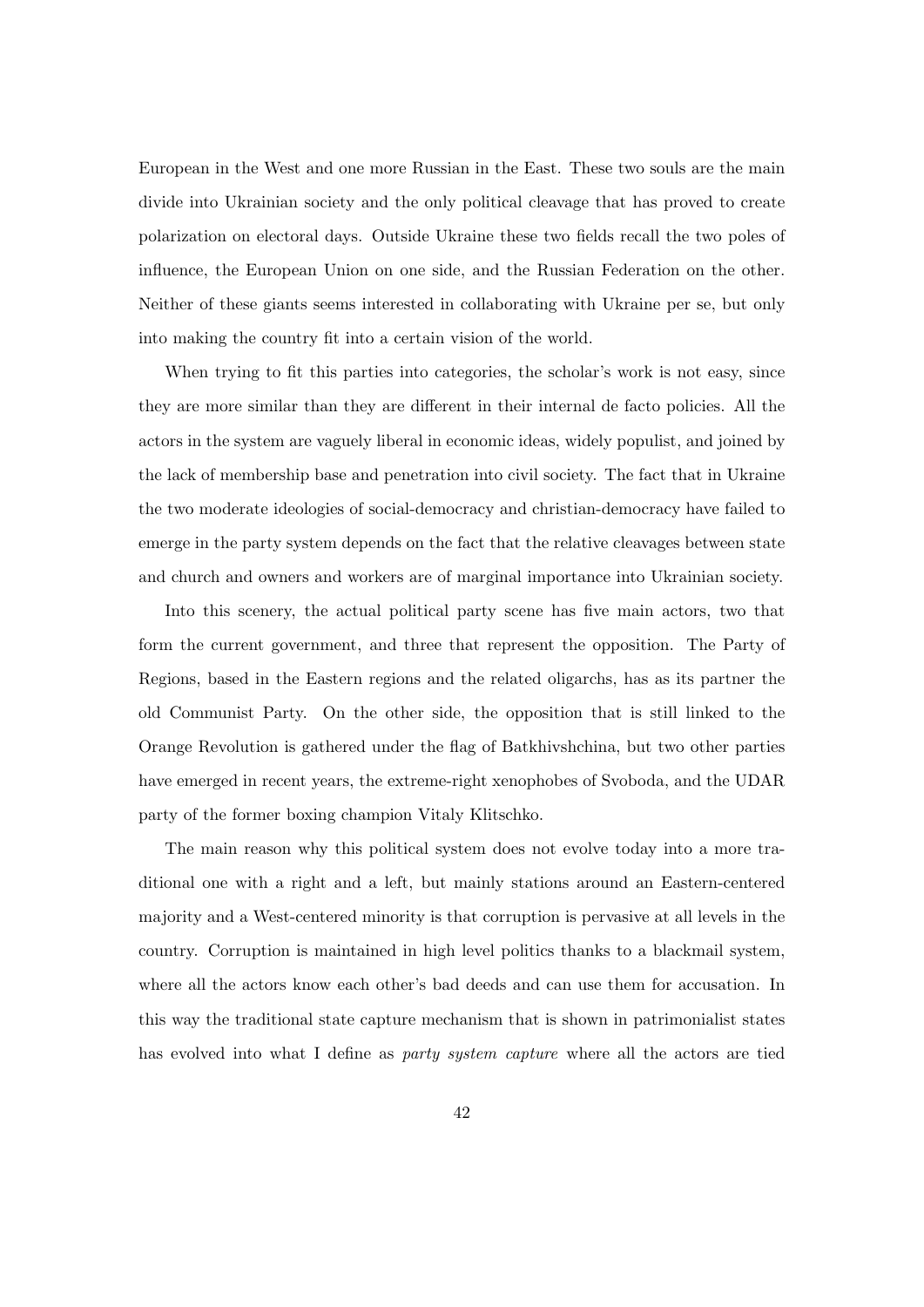European in the West and one more Russian in the East. These two souls are the main divide into Ukrainian society and the only political cleavage that has proved to create polarization on electoral days. Outside Ukraine these two fields recall the two poles of influence, the European Union on one side, and the Russian Federation on the other. Neither of these giants seems interested in collaborating with Ukraine per se, but only into making the country fit into a certain vision of the world.

When trying to fit this parties into categories, the scholar's work is not easy, since they are more similar than they are different in their internal de facto policies. All the actors in the system are vaguely liberal in economic ideas, widely populist, and joined by the lack of membership base and penetration into civil society. The fact that in Ukraine the two moderate ideologies of social-democracy and christian-democracy have failed to emerge in the party system depends on the fact that the relative cleavages between state and church and owners and workers are of marginal importance into Ukrainian society.

Into this scenery, the actual political party scene has five main actors, two that form the current government, and three that represent the opposition. The Party of Regions, based in the Eastern regions and the related oligarchs, has as its partner the old Communist Party. On the other side, the opposition that is still linked to the Orange Revolution is gathered under the flag of Batkhivshchina, but two other parties have emerged in recent years, the extreme-right xenophobes of Svoboda, and the UDAR party of the former boxing champion Vitaly Klitschko.

The main reason why this political system does not evolve today into a more traditional one with a right and a left, but mainly stations around an Eastern-centered majority and a West-centered minority is that corruption is pervasive at all levels in the country. Corruption is maintained in high level politics thanks to a blackmail system, where all the actors know each other's bad deeds and can use them for accusation. In this way the traditional state capture mechanism that is shown in patrimonialist states has evolved into what I define as *party system capture* where all the actors are tied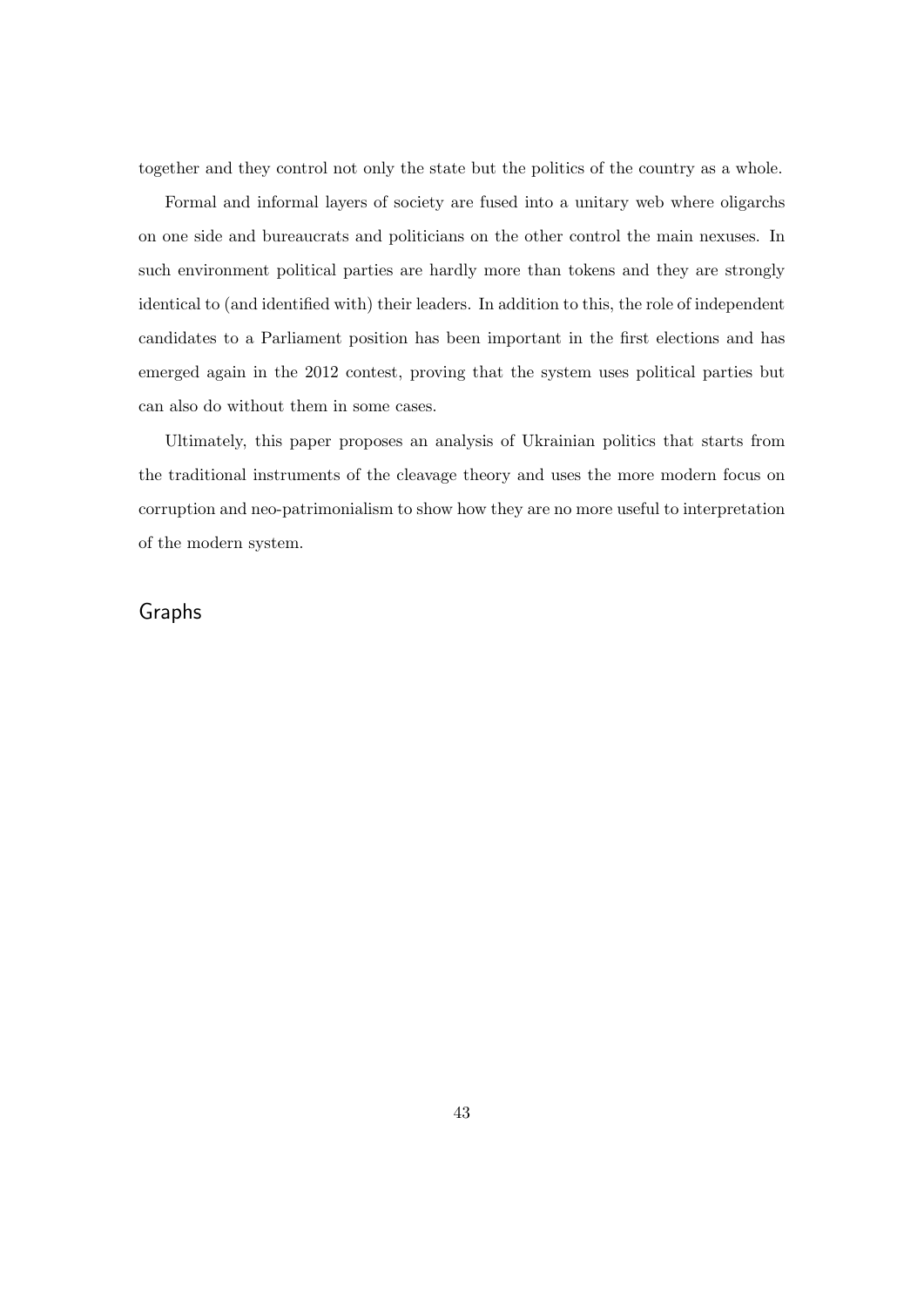together and they control not only the state but the politics of the country as a whole.

Formal and informal layers of society are fused into a unitary web where oligarchs on one side and bureaucrats and politicians on the other control the main nexuses. In such environment political parties are hardly more than tokens and they are strongly identical to (and identified with) their leaders. In addition to this, the role of independent candidates to a Parliament position has been important in the first elections and has emerged again in the 2012 contest, proving that the system uses political parties but can also do without them in some cases.

Ultimately, this paper proposes an analysis of Ukrainian politics that starts from the traditional instruments of the cleavage theory and uses the more modern focus on corruption and neo-patrimonialism to show how they are no more useful to interpretation of the modern system.

## Graphs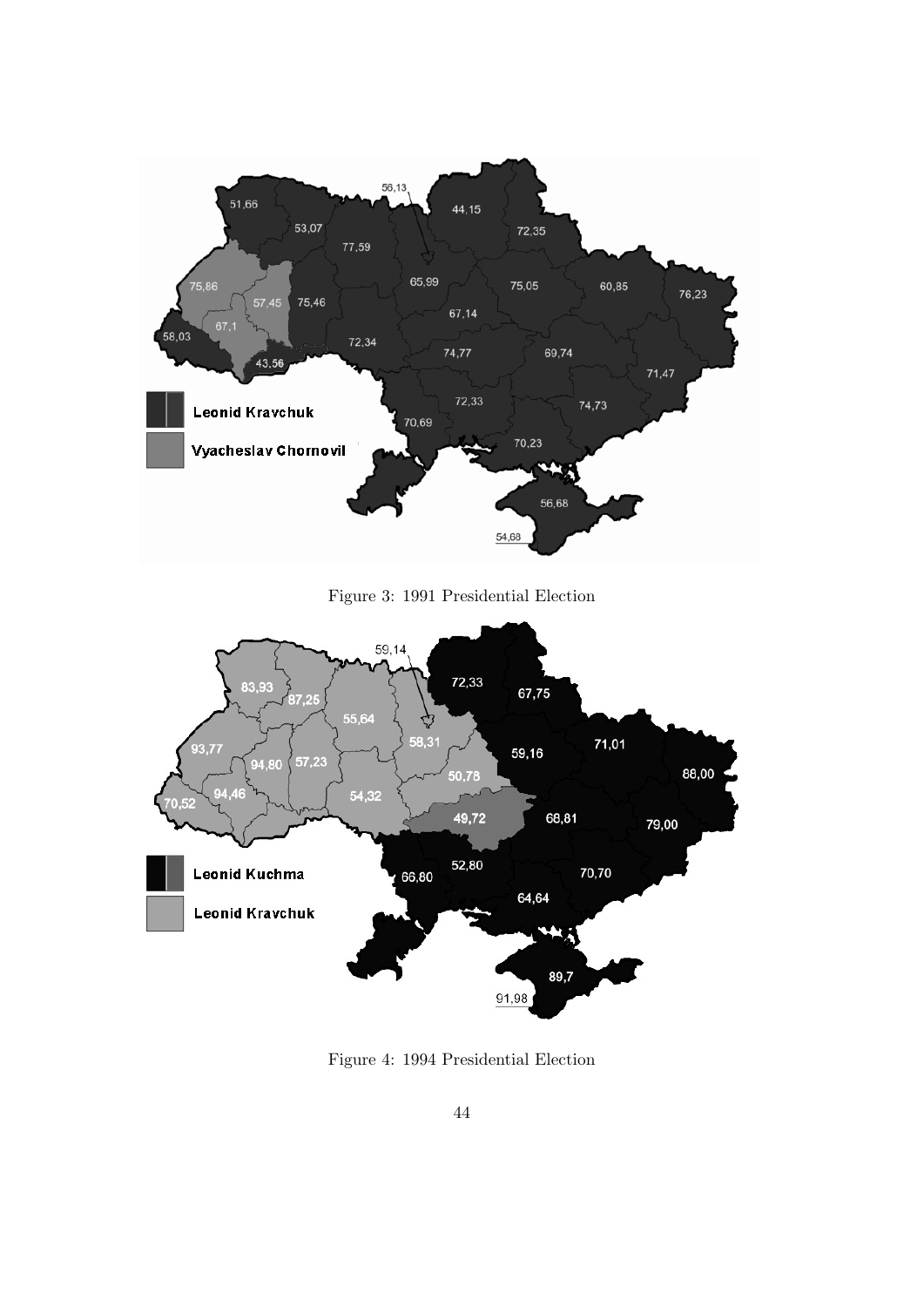

Figure 3: 1991 Presidential Election



Figure 4: 1994 Presidential Election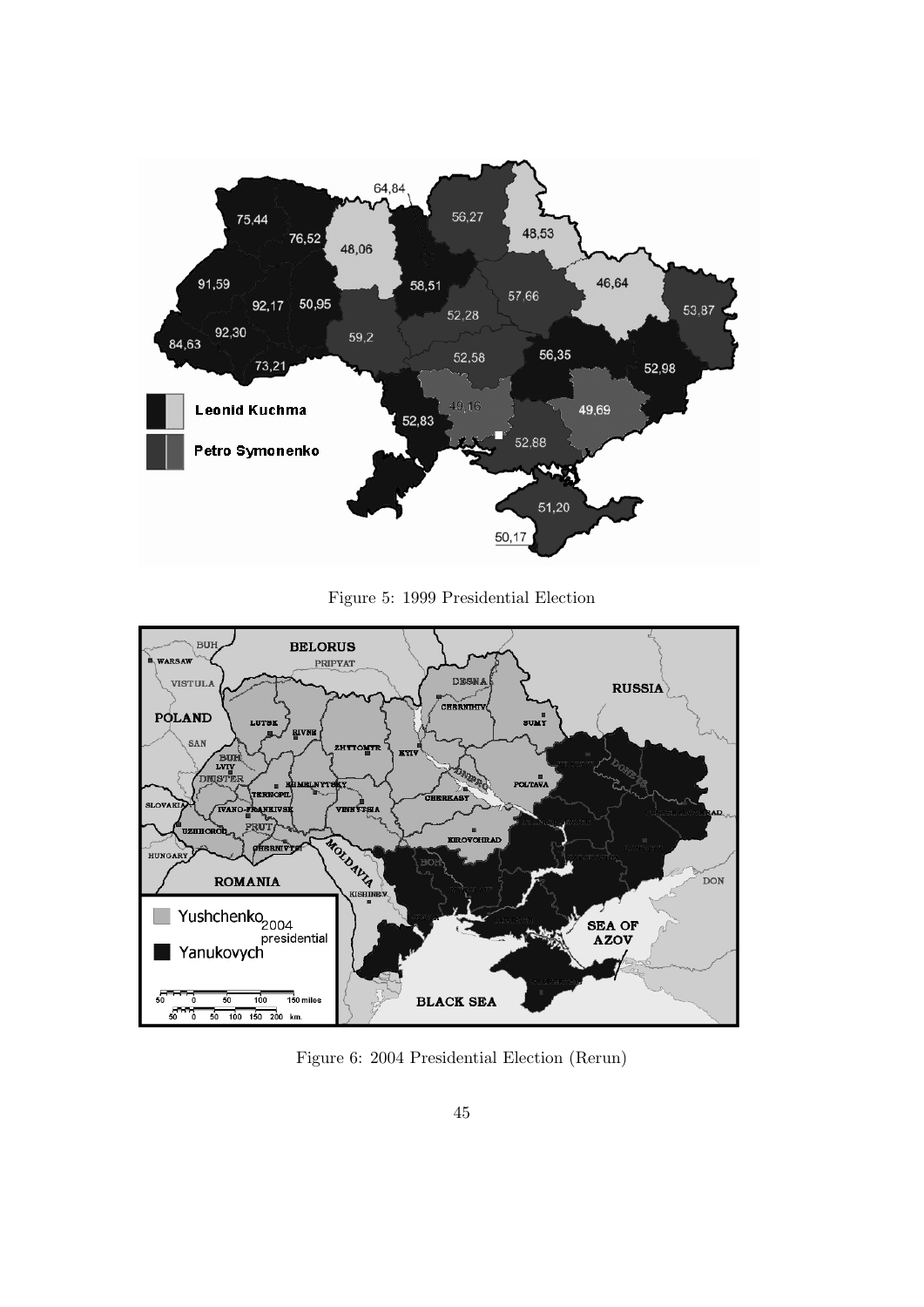

Figure 5: 1999 Presidential Election



Figure 6: 2004 Presidential Election (Rerun)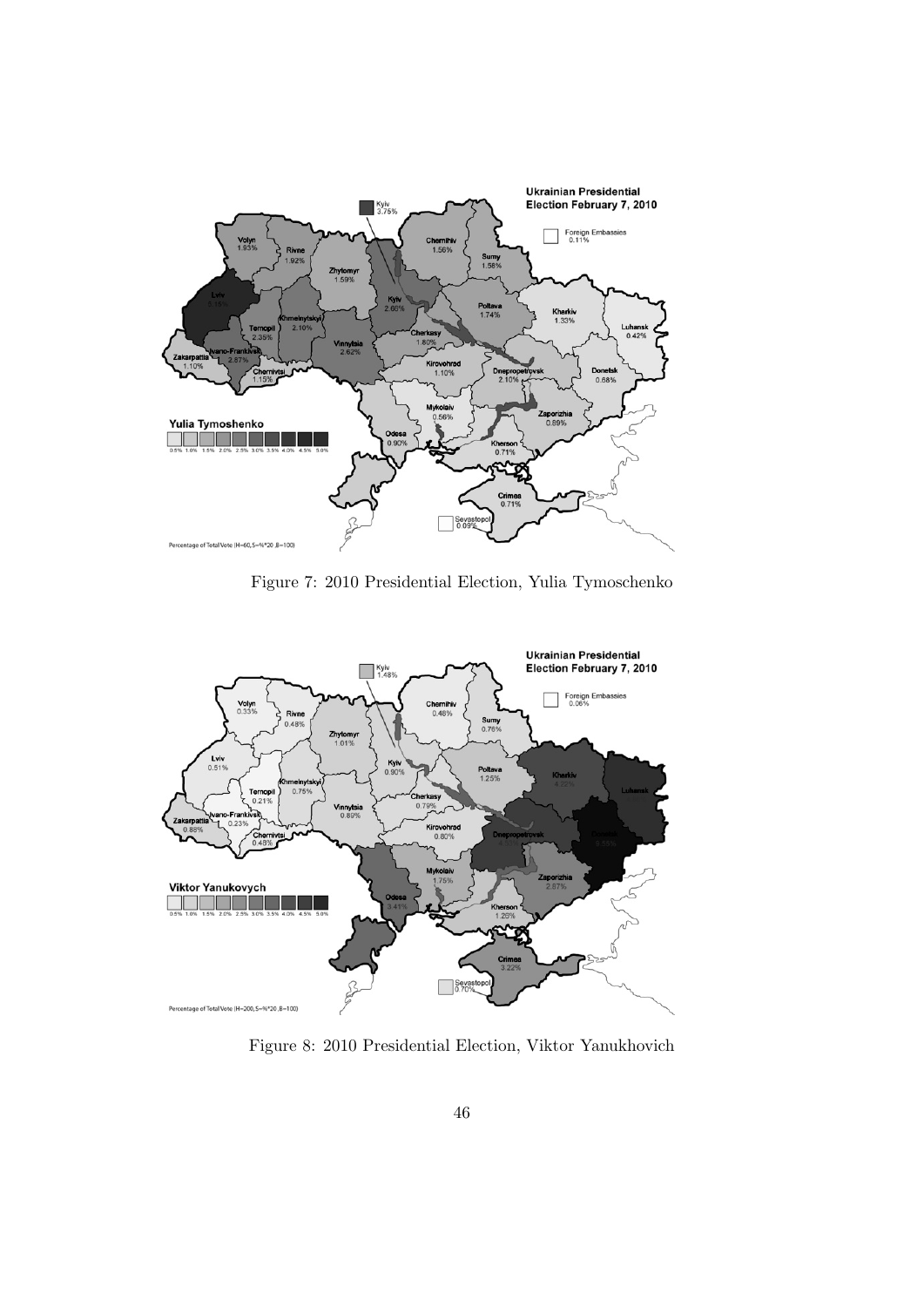

Figure 7: 2010 Presidential Election, Yulia Tymoschenko



Figure 8: 2010 Presidential Election, Viktor Yanukhovich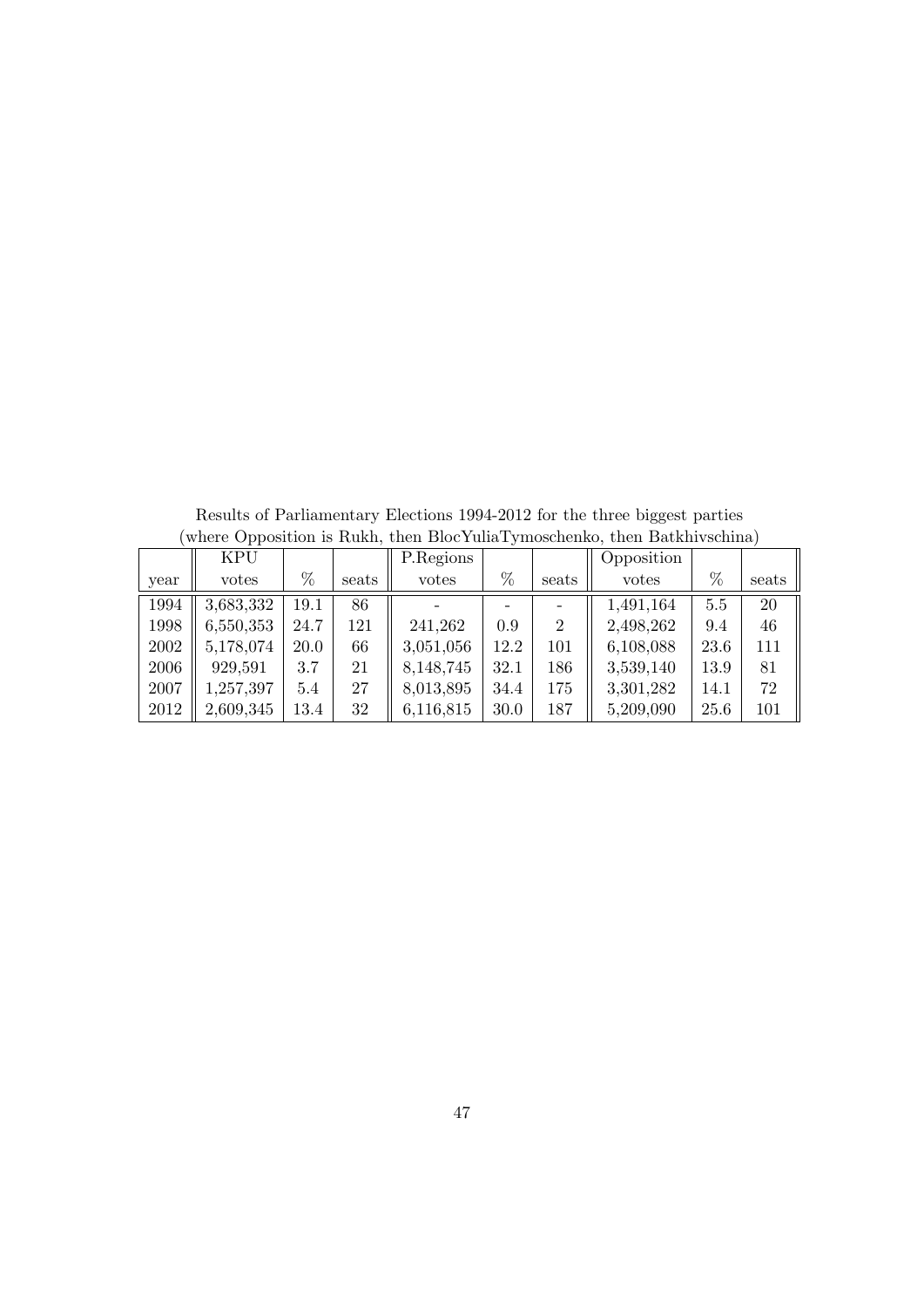|      | <b>KPU</b> |      |       | P.Regions |      |                | Opposition |      |       |
|------|------------|------|-------|-----------|------|----------------|------------|------|-------|
| year | votes      | %    | seats | votes     | %    | seats          | votes      | %    | seats |
| 1994 | 3,683,332  | 19.1 | 86    |           |      |                | 1,491,164  | 5.5  | 20    |
| 1998 | 6,550,353  | 24.7 | 121   | 241,262   | 0.9  | $\overline{2}$ | 2,498,262  | 9.4  | 46    |
| 2002 | 5,178,074  | 20.0 | 66    | 3,051,056 | 12.2 | 101            | 6,108,088  | 23.6 | 111   |
| 2006 | 929,591    | 3.7  | 21    | 8,148,745 | 32.1 | 186            | 3,539,140  | 13.9 | 81    |
| 2007 | 1,257,397  | 5.4  | 27    | 8,013,895 | 34.4 | 175            | 3,301,282  | 14.1 | 72    |
| 2012 | 2,609,345  | 13.4 | 32    | 6,116,815 | 30.0 | 187            | 5,209,090  | 25.6 | 101   |

Results of Parliamentary Elections 1994-2012 for the three biggest parties (where Opposition is Rukh, then BlocYuliaTymoschenko, then Batkhivschina)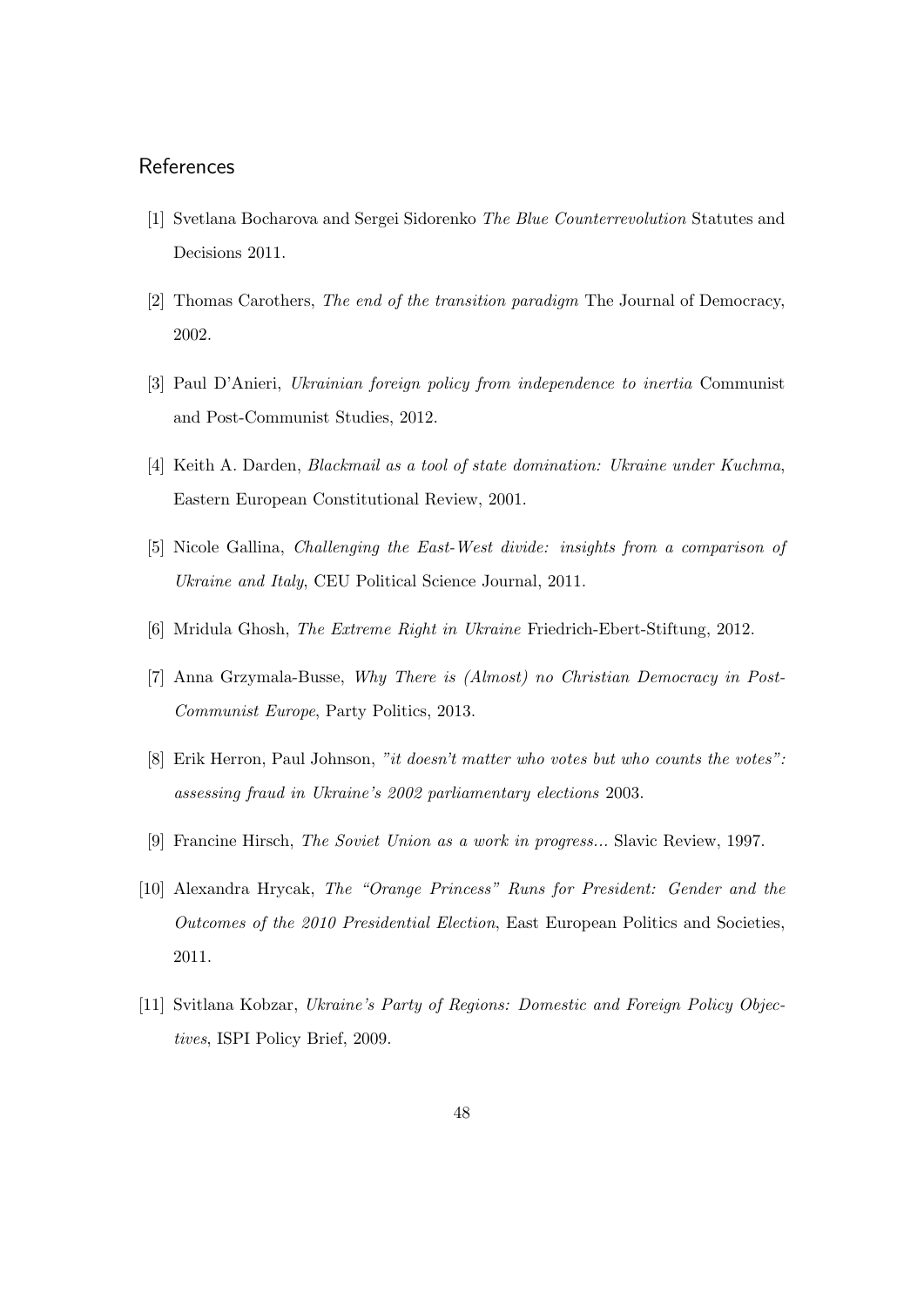## **References**

- [1] Svetlana Bocharova and Sergei Sidorenko The Blue Counterrevolution Statutes and Decisions 2011.
- [2] Thomas Carothers, The end of the transition paradigm The Journal of Democracy, 2002.
- [3] Paul D'Anieri, Ukrainian foreign policy from independence to inertia Communist and Post-Communist Studies, 2012.
- [4] Keith A. Darden, Blackmail as a tool of state domination: Ukraine under Kuchma, Eastern European Constitutional Review, 2001.
- [5] Nicole Gallina, Challenging the East-West divide: insights from a comparison of Ukraine and Italy, CEU Political Science Journal, 2011.
- [6] Mridula Ghosh, The Extreme Right in Ukraine Friedrich-Ebert-Stiftung, 2012.
- [7] Anna Grzymala-Busse, Why There is (Almost) no Christian Democracy in Post-Communist Europe, Party Politics, 2013.
- [8] Erik Herron, Paul Johnson, "it doesn't matter who votes but who counts the votes": assessing fraud in Ukraine's 2002 parliamentary elections 2003.
- [9] Francine Hirsch, The Soviet Union as a work in progress... Slavic Review, 1997.
- [10] Alexandra Hrycak, The "Orange Princess" Runs for President: Gender and the Outcomes of the 2010 Presidential Election, East European Politics and Societies, 2011.
- [11] Svitlana Kobzar, Ukraine's Party of Regions: Domestic and Foreign Policy Objectives, ISPI Policy Brief, 2009.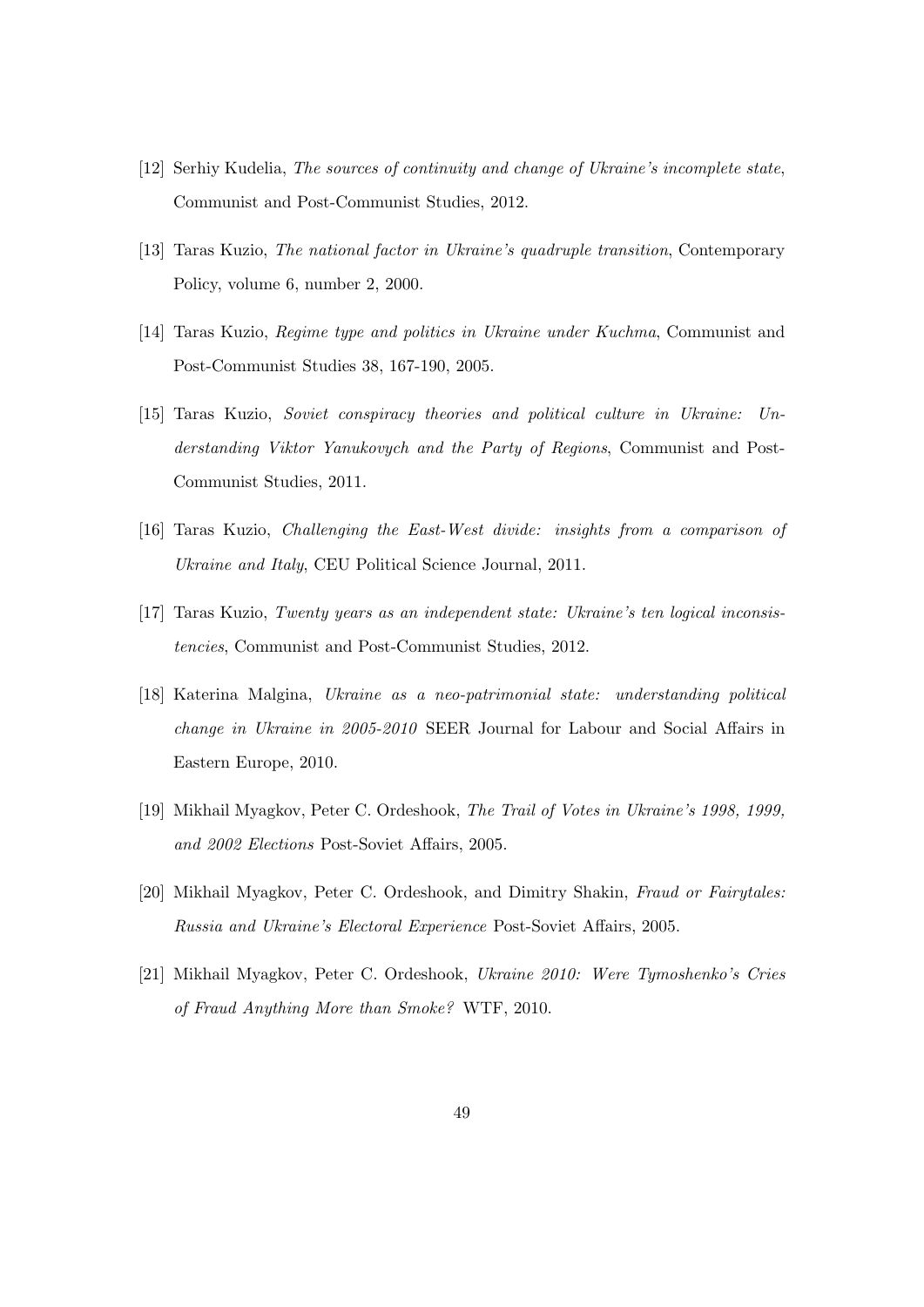- [12] Serhiy Kudelia, The sources of continuity and change of Ukraine's incomplete state, Communist and Post-Communist Studies, 2012.
- [13] Taras Kuzio, The national factor in Ukraine's quadruple transition, Contemporary Policy, volume 6, number 2, 2000.
- [14] Taras Kuzio, Regime type and politics in Ukraine under Kuchma, Communist and Post-Communist Studies 38, 167-190, 2005.
- [15] Taras Kuzio, Soviet conspiracy theories and political culture in Ukraine: Understanding Viktor Yanukovych and the Party of Regions, Communist and Post-Communist Studies, 2011.
- [16] Taras Kuzio, Challenging the East-West divide: insights from a comparison of Ukraine and Italy, CEU Political Science Journal, 2011.
- [17] Taras Kuzio, Twenty years as an independent state: Ukraine's ten logical inconsistencies, Communist and Post-Communist Studies, 2012.
- [18] Katerina Malgina, Ukraine as a neo-patrimonial state: understanding political change in Ukraine in 2005-2010 SEER Journal for Labour and Social Affairs in Eastern Europe, 2010.
- [19] Mikhail Myagkov, Peter C. Ordeshook, The Trail of Votes in Ukraine's 1998, 1999, and 2002 Elections Post-Soviet Affairs, 2005.
- [20] Mikhail Myagkov, Peter C. Ordeshook, and Dimitry Shakin, Fraud or Fairytales: Russia and Ukraine's Electoral Experience Post-Soviet Affairs, 2005.
- [21] Mikhail Myagkov, Peter C. Ordeshook, Ukraine 2010: Were Tymoshenko's Cries of Fraud Anything More than Smoke? WTF, 2010.